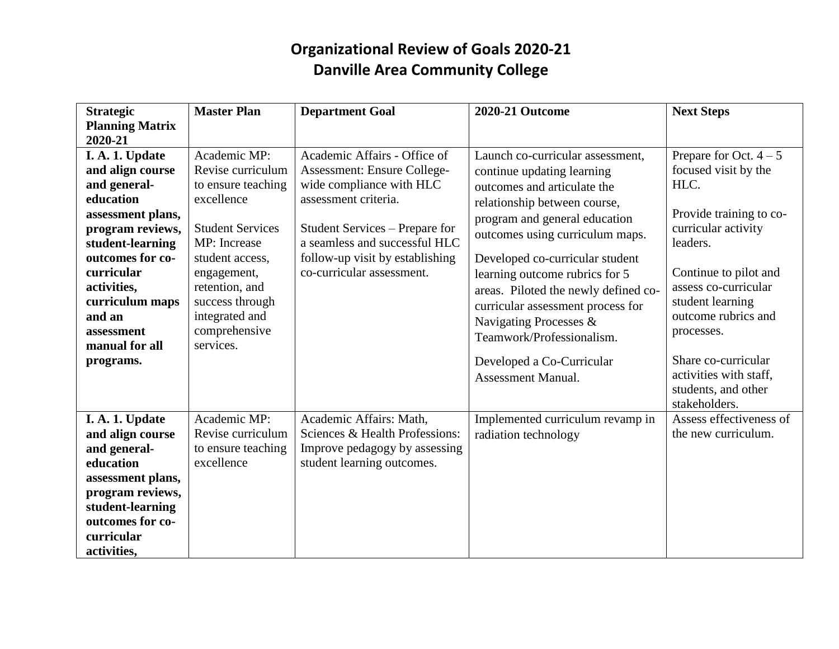# **Organizational Review of Goals 2020-21 Danville Area Community College**

| <b>Strategic</b>             | <b>Master Plan</b>         | <b>Department Goal</b>             | <b>2020-21 Outcome</b>               | <b>Next Steps</b>                       |
|------------------------------|----------------------------|------------------------------------|--------------------------------------|-----------------------------------------|
| <b>Planning Matrix</b>       |                            |                                    |                                      |                                         |
| 2020-21                      |                            |                                    |                                      |                                         |
| I. A. 1. Update              | Academic MP:               | Academic Affairs - Office of       | Launch co-curricular assessment,     | Prepare for Oct. $4-5$                  |
| and align course             | Revise curriculum          | <b>Assessment: Ensure College-</b> | continue updating learning           | focused visit by the                    |
| and general-                 | to ensure teaching         | wide compliance with HLC           | outcomes and articulate the          | HLC.                                    |
| education                    | excellence                 | assessment criteria.               | relationship between course,         |                                         |
| assessment plans,            |                            |                                    | program and general education        | Provide training to co-                 |
| program reviews,             | <b>Student Services</b>    | Student Services – Prepare for     | outcomes using curriculum maps.      | curricular activity                     |
| student-learning             | MP: Increase               | a seamless and successful HLC      |                                      | leaders.                                |
| outcomes for co-             | student access,            | follow-up visit by establishing    | Developed co-curricular student      |                                         |
| curricular                   | engagement,                | co-curricular assessment.          | learning outcome rubrics for 5       | Continue to pilot and                   |
| activities,                  | retention, and             |                                    | areas. Piloted the newly defined co- | assess co-curricular                    |
| curriculum maps              | success through            |                                    | curricular assessment process for    | student learning<br>outcome rubrics and |
| and an                       | integrated and             |                                    | Navigating Processes &               |                                         |
| assessment<br>manual for all | comprehensive<br>services. |                                    | Teamwork/Professionalism.            | processes.                              |
|                              |                            |                                    |                                      | Share co-curricular                     |
| programs.                    |                            |                                    | Developed a Co-Curricular            | activities with staff,                  |
|                              |                            |                                    | <b>Assessment Manual.</b>            | students, and other                     |
|                              |                            |                                    |                                      | stakeholders.                           |
| I. A. 1. Update              | Academic MP:               | Academic Affairs: Math,            | Implemented curriculum revamp in     | Assess effectiveness of                 |
| and align course             | Revise curriculum          | Sciences & Health Professions:     | radiation technology                 | the new curriculum.                     |
| and general-                 | to ensure teaching         | Improve pedagogy by assessing      |                                      |                                         |
| education                    | excellence                 | student learning outcomes.         |                                      |                                         |
| assessment plans,            |                            |                                    |                                      |                                         |
| program reviews,             |                            |                                    |                                      |                                         |
| student-learning             |                            |                                    |                                      |                                         |
| outcomes for co-             |                            |                                    |                                      |                                         |
| curricular                   |                            |                                    |                                      |                                         |
| activities,                  |                            |                                    |                                      |                                         |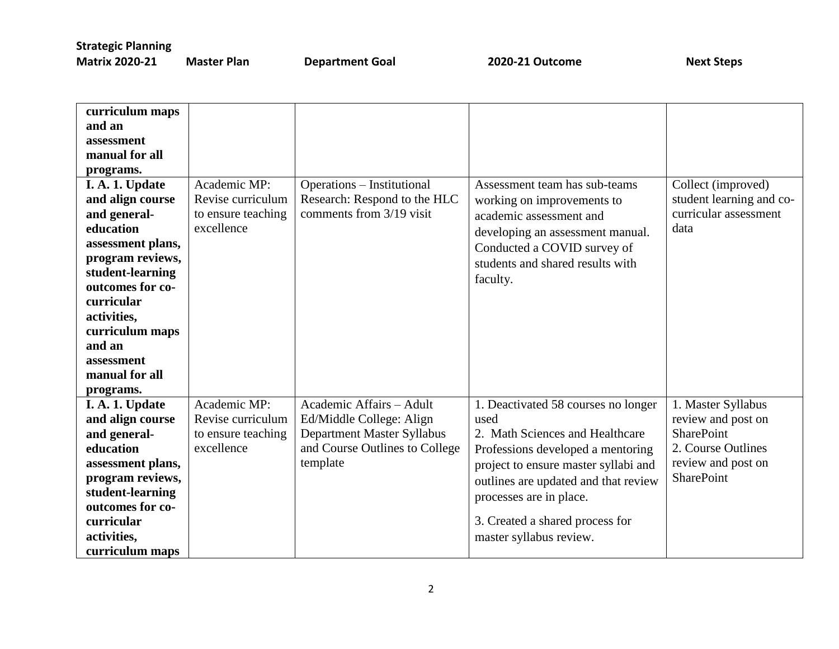| curriculum maps   |                    |                                |                                      |                          |
|-------------------|--------------------|--------------------------------|--------------------------------------|--------------------------|
| and an            |                    |                                |                                      |                          |
| assessment        |                    |                                |                                      |                          |
| manual for all    |                    |                                |                                      |                          |
| programs.         |                    |                                |                                      |                          |
| I. A. 1. Update   | Academic MP:       | Operations - Institutional     | Assessment team has sub-teams        | Collect (improved)       |
| and align course  | Revise curriculum  | Research: Respond to the HLC   | working on improvements to           | student learning and co- |
| and general-      | to ensure teaching | comments from 3/19 visit       | academic assessment and              | curricular assessment    |
| education         | excellence         |                                | developing an assessment manual.     | data                     |
| assessment plans, |                    |                                | Conducted a COVID survey of          |                          |
| program reviews,  |                    |                                | students and shared results with     |                          |
| student-learning  |                    |                                | faculty.                             |                          |
| outcomes for co-  |                    |                                |                                      |                          |
| curricular        |                    |                                |                                      |                          |
| activities,       |                    |                                |                                      |                          |
| curriculum maps   |                    |                                |                                      |                          |
| and an            |                    |                                |                                      |                          |
| assessment        |                    |                                |                                      |                          |
| manual for all    |                    |                                |                                      |                          |
| programs.         |                    |                                |                                      |                          |
| I. A. 1. Update   | Academic MP:       | Academic Affairs - Adult       | 1. Deactivated 58 courses no longer  | 1. Master Syllabus       |
| and align course  | Revise curriculum  | Ed/Middle College: Align       | used                                 | review and post on       |
| and general-      | to ensure teaching | Department Master Syllabus     | 2. Math Sciences and Healthcare      | <b>SharePoint</b>        |
| education         | excellence         | and Course Outlines to College | Professions developed a mentoring    | 2. Course Outlines       |
| assessment plans, |                    | template                       | project to ensure master syllabi and | review and post on       |
| program reviews,  |                    |                                | outlines are updated and that review | <b>SharePoint</b>        |
| student-learning  |                    |                                | processes are in place.              |                          |
| outcomes for co-  |                    |                                |                                      |                          |
| curricular        |                    |                                | 3. Created a shared process for      |                          |
| activities,       |                    |                                | master syllabus review.              |                          |
| curriculum maps   |                    |                                |                                      |                          |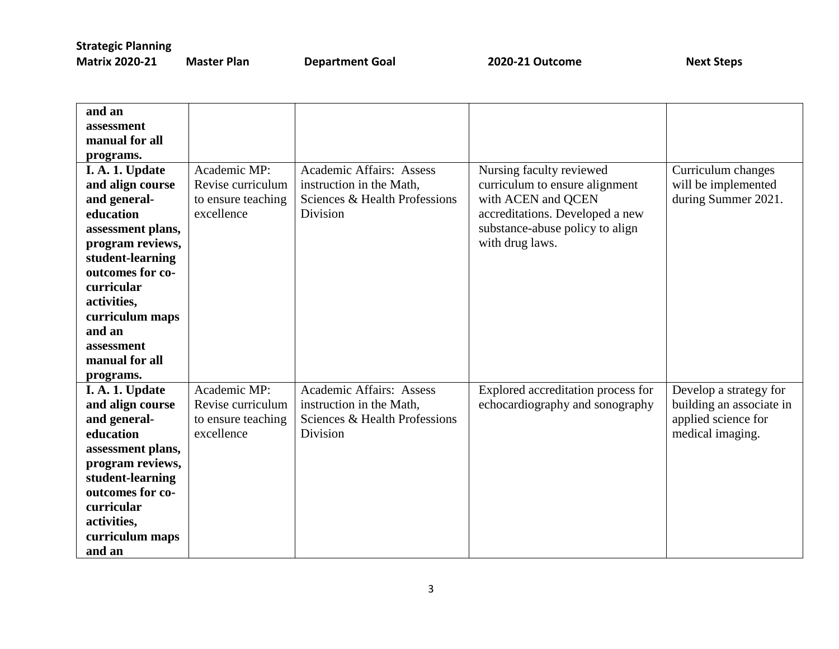| and an            |                    |                                 |                                    |                          |
|-------------------|--------------------|---------------------------------|------------------------------------|--------------------------|
| assessment        |                    |                                 |                                    |                          |
| manual for all    |                    |                                 |                                    |                          |
| programs.         |                    |                                 |                                    |                          |
| I. A. 1. Update   | Academic MP:       | <b>Academic Affairs: Assess</b> | Nursing faculty reviewed           | Curriculum changes       |
| and align course  | Revise curriculum  | instruction in the Math,        | curriculum to ensure alignment     | will be implemented      |
| and general-      | to ensure teaching | Sciences & Health Professions   | with ACEN and QCEN                 | during Summer 2021.      |
| education         | excellence         | Division                        | accreditations. Developed a new    |                          |
| assessment plans, |                    |                                 | substance-abuse policy to align    |                          |
| program reviews,  |                    |                                 | with drug laws.                    |                          |
| student-learning  |                    |                                 |                                    |                          |
| outcomes for co-  |                    |                                 |                                    |                          |
| curricular        |                    |                                 |                                    |                          |
| activities,       |                    |                                 |                                    |                          |
| curriculum maps   |                    |                                 |                                    |                          |
| and an            |                    |                                 |                                    |                          |
| assessment        |                    |                                 |                                    |                          |
| manual for all    |                    |                                 |                                    |                          |
| programs.         |                    |                                 |                                    |                          |
| I. A. 1. Update   | Academic MP:       | <b>Academic Affairs: Assess</b> | Explored accreditation process for | Develop a strategy for   |
| and align course  | Revise curriculum  | instruction in the Math,        | echocardiography and sonography    | building an associate in |
| and general-      | to ensure teaching | Sciences & Health Professions   |                                    | applied science for      |
| education         | excellence         | Division                        |                                    | medical imaging.         |
| assessment plans, |                    |                                 |                                    |                          |
| program reviews,  |                    |                                 |                                    |                          |
| student-learning  |                    |                                 |                                    |                          |
| outcomes for co-  |                    |                                 |                                    |                          |
| curricular        |                    |                                 |                                    |                          |
| activities,       |                    |                                 |                                    |                          |
| curriculum maps   |                    |                                 |                                    |                          |
| and an            |                    |                                 |                                    |                          |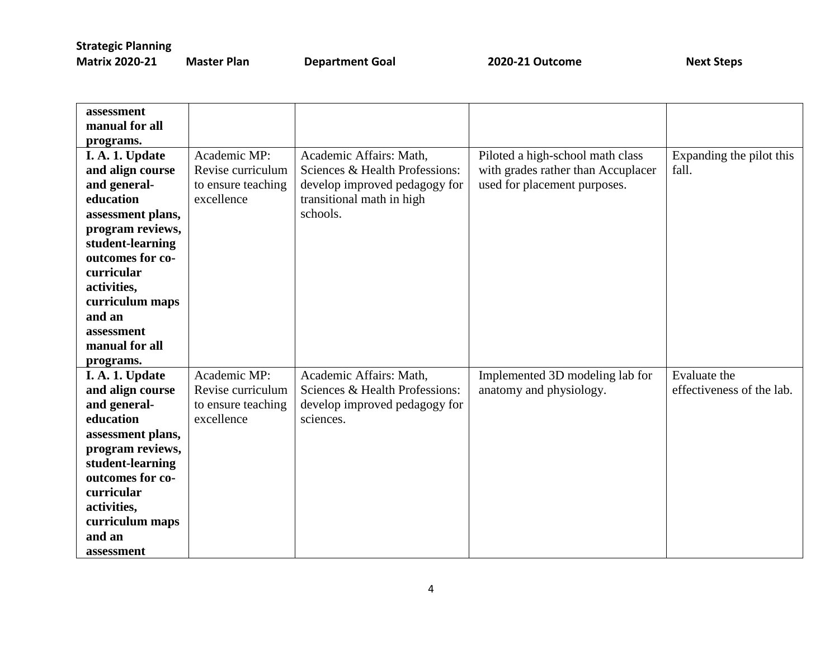| <b>Matrix 2020-21</b><br>M |  |
|----------------------------|--|
|----------------------------|--|

**Master Plan COAL Accord Department Goal COAL 2020-21 Outcome COAL Accord Coal Accord Next Steps** 

| assessment        |                    |                                |                                    |                           |
|-------------------|--------------------|--------------------------------|------------------------------------|---------------------------|
| manual for all    |                    |                                |                                    |                           |
| programs.         |                    |                                |                                    |                           |
| I. A. 1. Update   | Academic MP:       | Academic Affairs: Math,        | Piloted a high-school math class   | Expanding the pilot this  |
| and align course  | Revise curriculum  | Sciences & Health Professions: | with grades rather than Accuplacer | fall.                     |
| and general-      | to ensure teaching | develop improved pedagogy for  | used for placement purposes.       |                           |
| education         | excellence         | transitional math in high      |                                    |                           |
| assessment plans, |                    | schools.                       |                                    |                           |
| program reviews,  |                    |                                |                                    |                           |
| student-learning  |                    |                                |                                    |                           |
| outcomes for co-  |                    |                                |                                    |                           |
| curricular        |                    |                                |                                    |                           |
| activities,       |                    |                                |                                    |                           |
| curriculum maps   |                    |                                |                                    |                           |
| and an            |                    |                                |                                    |                           |
| assessment        |                    |                                |                                    |                           |
| manual for all    |                    |                                |                                    |                           |
| programs.         |                    |                                |                                    |                           |
| I. A. 1. Update   | Academic MP:       | Academic Affairs: Math,        | Implemented 3D modeling lab for    | Evaluate the              |
| and align course  | Revise curriculum  | Sciences & Health Professions: | anatomy and physiology.            | effectiveness of the lab. |
| and general-      | to ensure teaching | develop improved pedagogy for  |                                    |                           |
| education         | excellence         | sciences.                      |                                    |                           |
| assessment plans, |                    |                                |                                    |                           |
| program reviews,  |                    |                                |                                    |                           |
| student-learning  |                    |                                |                                    |                           |
| outcomes for co-  |                    |                                |                                    |                           |
| curricular        |                    |                                |                                    |                           |
| activities,       |                    |                                |                                    |                           |
| curriculum maps   |                    |                                |                                    |                           |
| and an            |                    |                                |                                    |                           |
| assessment        |                    |                                |                                    |                           |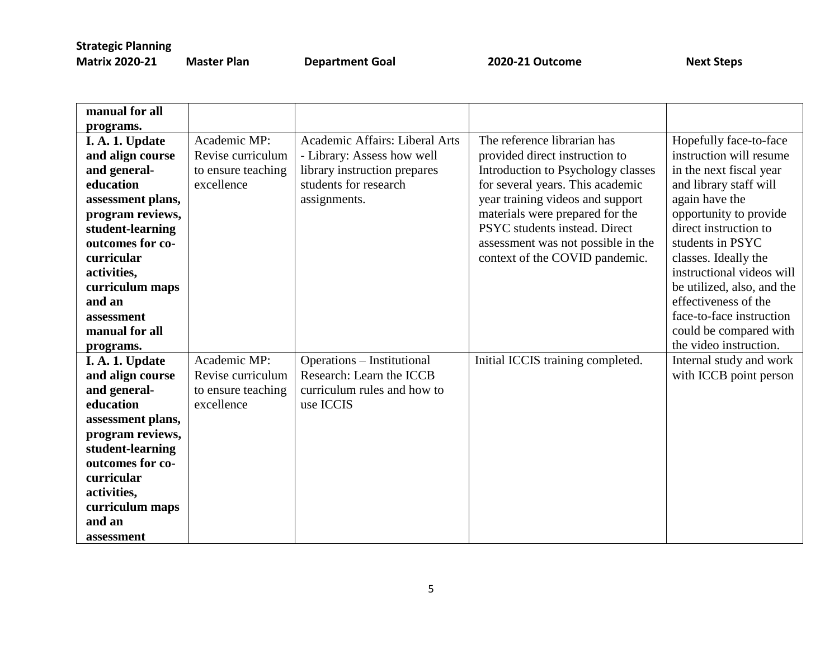| manual for all    |                    |                                |                                    |                            |
|-------------------|--------------------|--------------------------------|------------------------------------|----------------------------|
| programs.         |                    |                                |                                    |                            |
| I. A. 1. Update   | Academic MP:       | Academic Affairs: Liberal Arts | The reference librarian has        | Hopefully face-to-face     |
| and align course  | Revise curriculum  | - Library: Assess how well     | provided direct instruction to     | instruction will resume    |
| and general-      | to ensure teaching | library instruction prepares   | Introduction to Psychology classes | in the next fiscal year    |
| education         | excellence         | students for research          | for several years. This academic   | and library staff will     |
| assessment plans, |                    | assignments.                   | year training videos and support   | again have the             |
| program reviews,  |                    |                                | materials were prepared for the    | opportunity to provide     |
| student-learning  |                    |                                | PSYC students instead. Direct      | direct instruction to      |
| outcomes for co-  |                    |                                | assessment was not possible in the | students in PSYC           |
| curricular        |                    |                                | context of the COVID pandemic.     | classes. Ideally the       |
| activities,       |                    |                                |                                    | instructional videos will  |
| curriculum maps   |                    |                                |                                    | be utilized, also, and the |
| and an            |                    |                                |                                    | effectiveness of the       |
| assessment        |                    |                                |                                    | face-to-face instruction   |
| manual for all    |                    |                                |                                    | could be compared with     |
| programs.         |                    |                                |                                    | the video instruction.     |
| I. A. 1. Update   | Academic MP:       | Operations - Institutional     | Initial ICCIS training completed.  | Internal study and work    |
| and align course  | Revise curriculum  | Research: Learn the ICCB       |                                    | with ICCB point person     |
| and general-      | to ensure teaching | curriculum rules and how to    |                                    |                            |
| education         | excellence         | use ICCIS                      |                                    |                            |
| assessment plans, |                    |                                |                                    |                            |
| program reviews,  |                    |                                |                                    |                            |
| student-learning  |                    |                                |                                    |                            |
| outcomes for co-  |                    |                                |                                    |                            |
| curricular        |                    |                                |                                    |                            |
| activities,       |                    |                                |                                    |                            |
| curriculum maps   |                    |                                |                                    |                            |
| and an            |                    |                                |                                    |                            |
| assessment        |                    |                                |                                    |                            |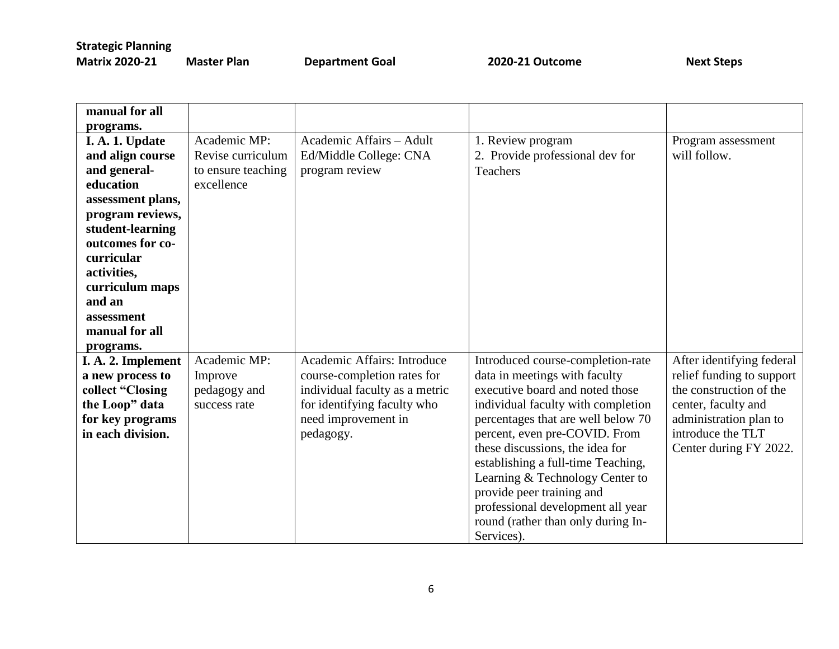| latrix 2020-21 | N |
|----------------|---|
|----------------|---|

**Master Plan COAL Accord Department Goal 2020-21 Outcome Accord Construct Steps** 

| manual for all     |                    |                                |                                    |                           |
|--------------------|--------------------|--------------------------------|------------------------------------|---------------------------|
| programs.          |                    |                                |                                    |                           |
| I. A. 1. Update    | Academic MP:       | Academic Affairs - Adult       | 1. Review program                  | Program assessment        |
| and align course   | Revise curriculum  | Ed/Middle College: CNA         | 2. Provide professional dev for    | will follow.              |
| and general-       | to ensure teaching | program review                 | Teachers                           |                           |
| education          | excellence         |                                |                                    |                           |
| assessment plans,  |                    |                                |                                    |                           |
| program reviews,   |                    |                                |                                    |                           |
| student-learning   |                    |                                |                                    |                           |
| outcomes for co-   |                    |                                |                                    |                           |
| curricular         |                    |                                |                                    |                           |
| activities,        |                    |                                |                                    |                           |
| curriculum maps    |                    |                                |                                    |                           |
| and an             |                    |                                |                                    |                           |
| assessment         |                    |                                |                                    |                           |
| manual for all     |                    |                                |                                    |                           |
| programs.          |                    |                                |                                    |                           |
| I. A. 2. Implement | Academic MP:       | Academic Affairs: Introduce    | Introduced course-completion-rate  | After identifying federal |
| a new process to   | Improve            | course-completion rates for    | data in meetings with faculty      | relief funding to support |
| collect "Closing   | pedagogy and       | individual faculty as a metric | executive board and noted those    | the construction of the   |
| the Loop" data     | success rate       | for identifying faculty who    | individual faculty with completion | center, faculty and       |
| for key programs   |                    | need improvement in            | percentages that are well below 70 | administration plan to    |
| in each division.  |                    | pedagogy.                      | percent, even pre-COVID. From      | introduce the TLT         |
|                    |                    |                                | these discussions, the idea for    | Center during FY 2022.    |
|                    |                    |                                | establishing a full-time Teaching, |                           |
|                    |                    |                                | Learning & Technology Center to    |                           |
|                    |                    |                                | provide peer training and          |                           |
|                    |                    |                                | professional development all year  |                           |
|                    |                    |                                | round (rather than only during In- |                           |
|                    |                    |                                | Services).                         |                           |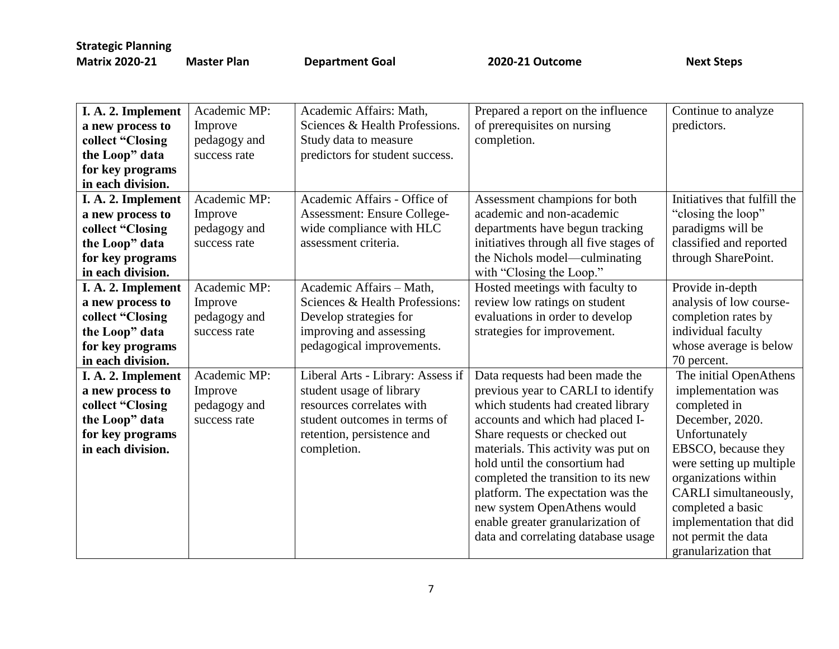| I. A. 2. Implement | Academic MP: | Academic Affairs: Math,           | Prepared a report on the influence                                       | Continue to analyze                                                    |
|--------------------|--------------|-----------------------------------|--------------------------------------------------------------------------|------------------------------------------------------------------------|
| a new process to   | Improve      | Sciences & Health Professions.    | of prerequisites on nursing                                              | predictors.                                                            |
| collect "Closing   | pedagogy and | Study data to measure             | completion.                                                              |                                                                        |
| the Loop" data     | success rate | predictors for student success.   |                                                                          |                                                                        |
| for key programs   |              |                                   |                                                                          |                                                                        |
| in each division.  |              |                                   |                                                                          |                                                                        |
|                    | Academic MP: | Academic Affairs - Office of      |                                                                          | Initiatives that fulfill the                                           |
| I. A. 2. Implement |              |                                   | Assessment champions for both                                            |                                                                        |
| a new process to   | Improve      | Assessment: Ensure College-       | academic and non-academic                                                | "closing the loop"                                                     |
| collect "Closing   | pedagogy and | wide compliance with HLC          | departments have begun tracking                                          | paradigms will be                                                      |
| the Loop" data     | success rate | assessment criteria.              | initiatives through all five stages of                                   | classified and reported                                                |
| for key programs   |              |                                   | the Nichols model—culminating                                            | through SharePoint.                                                    |
| in each division.  |              |                                   | with "Closing the Loop."                                                 |                                                                        |
| I. A. 2. Implement | Academic MP: | Academic Affairs - Math,          | Hosted meetings with faculty to                                          | Provide in-depth                                                       |
| a new process to   | Improve      | Sciences & Health Professions:    | review low ratings on student                                            | analysis of low course-                                                |
| collect "Closing   | pedagogy and | Develop strategies for            | evaluations in order to develop                                          | completion rates by                                                    |
| the Loop" data     | success rate | improving and assessing           | strategies for improvement.                                              | individual faculty                                                     |
| for key programs   |              | pedagogical improvements.         |                                                                          | whose average is below                                                 |
| in each division.  |              |                                   |                                                                          | 70 percent.                                                            |
| I. A. 2. Implement | Academic MP: | Liberal Arts - Library: Assess if | Data requests had been made the                                          | The initial OpenAthens                                                 |
| a new process to   | Improve      | student usage of library          | previous year to CARLI to identify                                       | implementation was                                                     |
| collect "Closing   | pedagogy and | resources correlates with         | which students had created library                                       | completed in                                                           |
| the Loop" data     | success rate | student outcomes in terms of      | accounts and which had placed I-                                         | December, 2020.                                                        |
| for key programs   |              | retention, persistence and        | Share requests or checked out                                            | Unfortunately                                                          |
| in each division.  |              | completion.                       | materials. This activity was put on                                      | EBSCO, because they                                                    |
|                    |              |                                   | hold until the consortium had                                            | were setting up multiple                                               |
|                    |              |                                   | completed the transition to its new                                      | organizations within                                                   |
|                    |              |                                   | platform. The expectation was the                                        | CARLI simultaneously,                                                  |
|                    |              |                                   | new system OpenAthens would                                              | completed a basic                                                      |
|                    |              |                                   |                                                                          |                                                                        |
|                    |              |                                   |                                                                          |                                                                        |
|                    |              |                                   |                                                                          |                                                                        |
|                    |              |                                   | enable greater granularization of<br>data and correlating database usage | implementation that did<br>not permit the data<br>granularization that |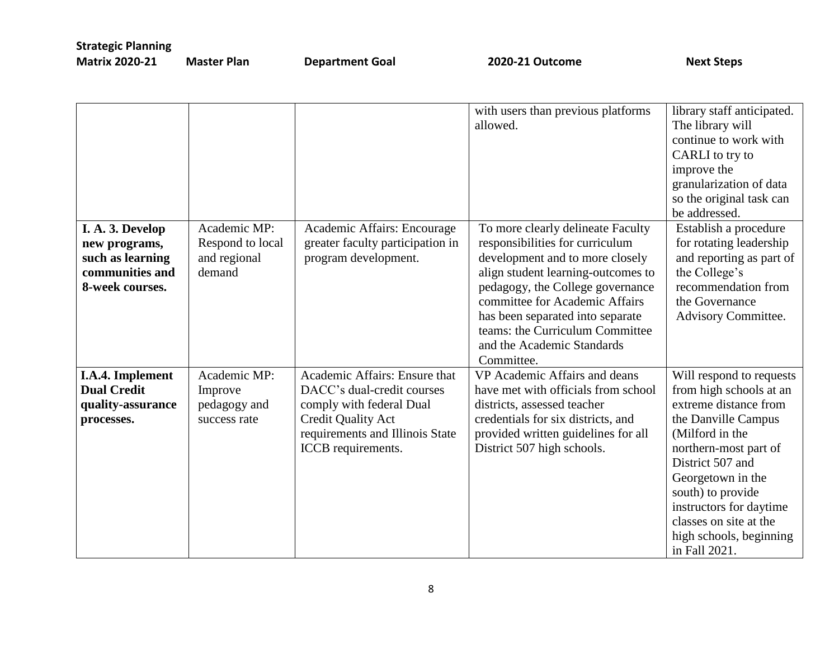|                    | Academic MP:     |                                  | with users than previous platforms<br>allowed. | library staff anticipated.<br>The library will<br>continue to work with<br>CARLI to try to<br>improve the<br>granularization of data<br>so the original task can<br>be addressed. |
|--------------------|------------------|----------------------------------|------------------------------------------------|-----------------------------------------------------------------------------------------------------------------------------------------------------------------------------------|
| I. A. 3. Develop   |                  | Academic Affairs: Encourage      | To more clearly delineate Faculty              | Establish a procedure                                                                                                                                                             |
| new programs,      | Respond to local | greater faculty participation in | responsibilities for curriculum                | for rotating leadership                                                                                                                                                           |
| such as learning   | and regional     | program development.             | development and to more closely                | and reporting as part of                                                                                                                                                          |
| communities and    | demand           |                                  | align student learning-outcomes to             | the College's                                                                                                                                                                     |
| 8-week courses.    |                  |                                  | pedagogy, the College governance               | recommendation from                                                                                                                                                               |
|                    |                  |                                  | committee for Academic Affairs                 | the Governance                                                                                                                                                                    |
|                    |                  |                                  | has been separated into separate               | Advisory Committee.                                                                                                                                                               |
|                    |                  |                                  | teams: the Curriculum Committee                |                                                                                                                                                                                   |
|                    |                  |                                  | and the Academic Standards                     |                                                                                                                                                                                   |
|                    |                  |                                  | Committee.                                     |                                                                                                                                                                                   |
| I.A.4. Implement   | Academic MP:     | Academic Affairs: Ensure that    | VP Academic Affairs and deans                  | Will respond to requests                                                                                                                                                          |
| <b>Dual Credit</b> | Improve          | DACC's dual-credit courses       | have met with officials from school            | from high schools at an                                                                                                                                                           |
| quality-assurance  | pedagogy and     | comply with federal Dual         | districts, assessed teacher                    | extreme distance from                                                                                                                                                             |
| processes.         | success rate     | <b>Credit Quality Act</b>        | credentials for six districts, and             | the Danville Campus                                                                                                                                                               |
|                    |                  | requirements and Illinois State  | provided written guidelines for all            | (Milford in the                                                                                                                                                                   |
|                    |                  | ICCB requirements.               | District 507 high schools.                     | northern-most part of                                                                                                                                                             |
|                    |                  |                                  |                                                | District 507 and                                                                                                                                                                  |
|                    |                  |                                  |                                                | Georgetown in the                                                                                                                                                                 |
|                    |                  |                                  |                                                | south) to provide                                                                                                                                                                 |
|                    |                  |                                  |                                                | instructors for daytime                                                                                                                                                           |
|                    |                  |                                  |                                                | classes on site at the                                                                                                                                                            |
|                    |                  |                                  |                                                | high schools, beginning                                                                                                                                                           |
|                    |                  |                                  |                                                | in Fall 2021.                                                                                                                                                                     |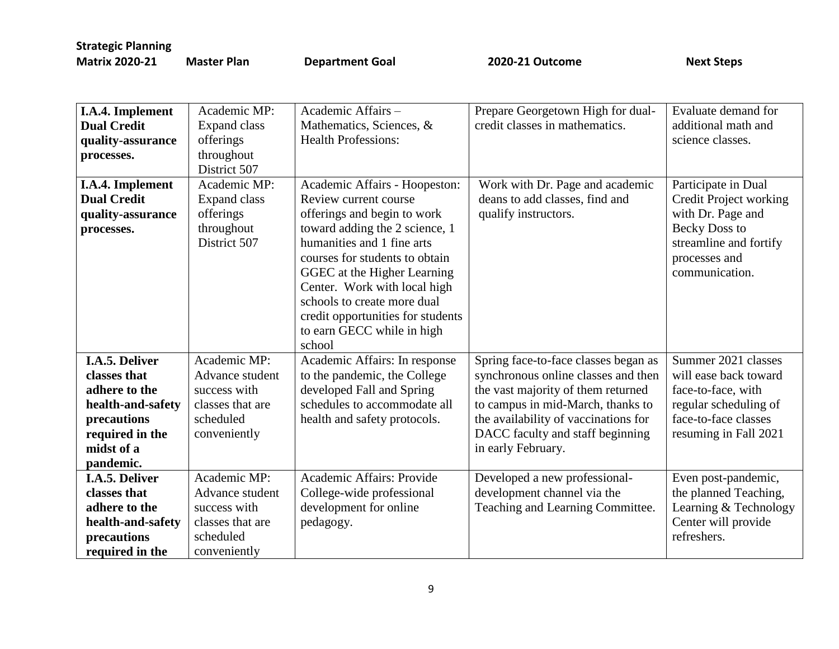| I.A.4. Implement                       | Academic MP:        | Academic Affairs -                | Prepare Georgetown High for dual-    | Evaluate demand for    |
|----------------------------------------|---------------------|-----------------------------------|--------------------------------------|------------------------|
| <b>Dual Credit</b>                     | <b>Expand class</b> | Mathematics, Sciences, &          | credit classes in mathematics.       | additional math and    |
| quality-assurance                      | offerings           | <b>Health Professions:</b>        |                                      | science classes.       |
| processes.                             | throughout          |                                   |                                      |                        |
|                                        | District 507        |                                   |                                      |                        |
|                                        | Academic MP:        | Academic Affairs - Hoopeston:     | Work with Dr. Page and academic      | Participate in Dual    |
| I.A.4. Implement<br><b>Dual Credit</b> |                     | Review current course             | deans to add classes, find and       |                        |
|                                        | Expand class        |                                   |                                      | Credit Project working |
| quality-assurance                      | offerings           | offerings and begin to work       | qualify instructors.                 | with Dr. Page and      |
| processes.                             | throughout          | toward adding the 2 science, 1    |                                      | <b>Becky Doss to</b>   |
|                                        | District 507        | humanities and 1 fine arts        |                                      | streamline and fortify |
|                                        |                     | courses for students to obtain    |                                      | processes and          |
|                                        |                     | GGEC at the Higher Learning       |                                      | communication.         |
|                                        |                     | Center. Work with local high      |                                      |                        |
|                                        |                     | schools to create more dual       |                                      |                        |
|                                        |                     | credit opportunities for students |                                      |                        |
|                                        |                     | to earn GECC while in high        |                                      |                        |
|                                        |                     | school                            |                                      |                        |
| <b>I.A.5. Deliver</b>                  | Academic MP:        | Academic Affairs: In response     | Spring face-to-face classes began as | Summer 2021 classes    |
| classes that                           | Advance student     | to the pandemic, the College      | synchronous online classes and then  | will ease back toward  |
| adhere to the                          | success with        | developed Fall and Spring         | the vast majority of them returned   | face-to-face, with     |
| health-and-safety                      | classes that are    | schedules to accommodate all      | to campus in mid-March, thanks to    | regular scheduling of  |
| precautions                            | scheduled           | health and safety protocols.      | the availability of vaccinations for | face-to-face classes   |
| required in the                        | conveniently        |                                   | DACC faculty and staff beginning     | resuming in Fall 2021  |
| midst of a                             |                     |                                   | in early February.                   |                        |
| pandemic.                              |                     |                                   |                                      |                        |
| I.A.5. Deliver                         | Academic MP:        | Academic Affairs: Provide         | Developed a new professional-        | Even post-pandemic,    |
| classes that                           | Advance student     | College-wide professional         | development channel via the          | the planned Teaching,  |
| adhere to the                          | success with        | development for online            | Teaching and Learning Committee.     | Learning & Technology  |
| health-and-safety                      | classes that are    | pedagogy.                         |                                      | Center will provide    |
| precautions                            | scheduled           |                                   |                                      | refreshers.            |
| required in the                        | conveniently        |                                   |                                      |                        |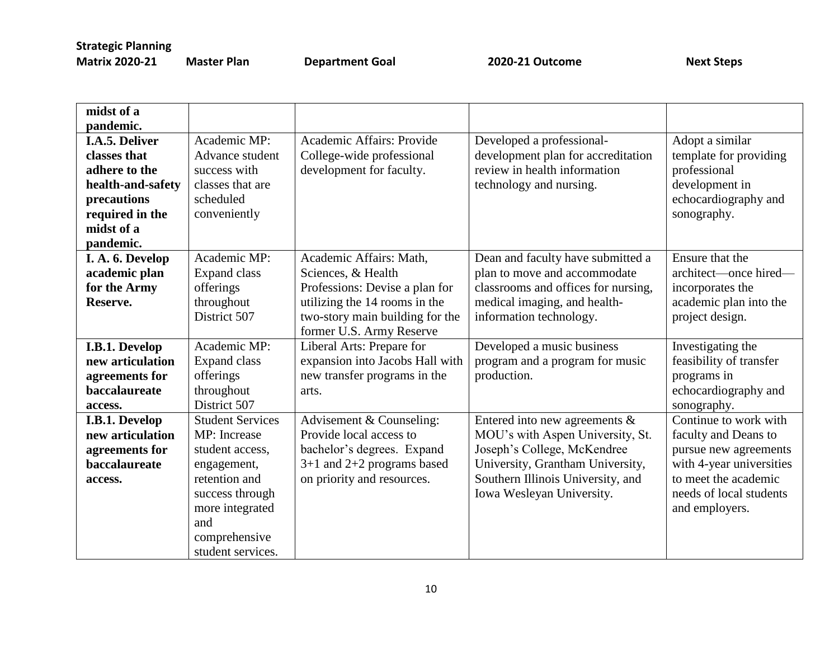| midst of a        |                         |                                 |                                     |                          |
|-------------------|-------------------------|---------------------------------|-------------------------------------|--------------------------|
| pandemic.         |                         |                                 |                                     |                          |
| I.A.5. Deliver    | Academic MP:            | Academic Affairs: Provide       | Developed a professional-           | Adopt a similar          |
| classes that      | Advance student         | College-wide professional       | development plan for accreditation  | template for providing   |
| adhere to the     | success with            | development for faculty.        | review in health information        | professional             |
| health-and-safety | classes that are        |                                 | technology and nursing.             | development in           |
| precautions       | scheduled               |                                 |                                     | echocardiography and     |
| required in the   | conveniently            |                                 |                                     | sonography.              |
| midst of a        |                         |                                 |                                     |                          |
| pandemic.         |                         |                                 |                                     |                          |
| I. A. 6. Develop  | Academic MP:            | Academic Affairs: Math,         | Dean and faculty have submitted a   | Ensure that the          |
| academic plan     | <b>Expand class</b>     | Sciences, & Health              | plan to move and accommodate        | architect—once hired—    |
| for the Army      | offerings               | Professions: Devise a plan for  | classrooms and offices for nursing, | incorporates the         |
| Reserve.          | throughout              | utilizing the 14 rooms in the   | medical imaging, and health-        | academic plan into the   |
|                   | District 507            | two-story main building for the | information technology.             | project design.          |
|                   |                         | former U.S. Army Reserve        |                                     |                          |
| I.B.1. Develop    | Academic MP:            | Liberal Arts: Prepare for       | Developed a music business          | Investigating the        |
| new articulation  | <b>Expand class</b>     | expansion into Jacobs Hall with | program and a program for music     | feasibility of transfer  |
| agreements for    | offerings               | new transfer programs in the    | production.                         | programs in              |
| baccalaureate     | throughout              | arts.                           |                                     | echocardiography and     |
| access.           | District 507            |                                 |                                     | sonography.              |
| I.B.1. Develop    | <b>Student Services</b> | Advisement & Counseling:        | Entered into new agreements $\&$    | Continue to work with    |
| new articulation  | MP: Increase            | Provide local access to         | MOU's with Aspen University, St.    | faculty and Deans to     |
| agreements for    | student access,         | bachelor's degrees. Expand      | Joseph's College, McKendree         | pursue new agreements    |
| baccalaureate     | engagement,             | $3+1$ and $2+2$ programs based  | University, Grantham University,    | with 4-year universities |
| access.           | retention and           | on priority and resources.      | Southern Illinois University, and   | to meet the academic     |
|                   | success through         |                                 | Iowa Wesleyan University.           | needs of local students  |
|                   | more integrated         |                                 |                                     | and employers.           |
|                   | and                     |                                 |                                     |                          |
|                   | comprehensive           |                                 |                                     |                          |
|                   | student services.       |                                 |                                     |                          |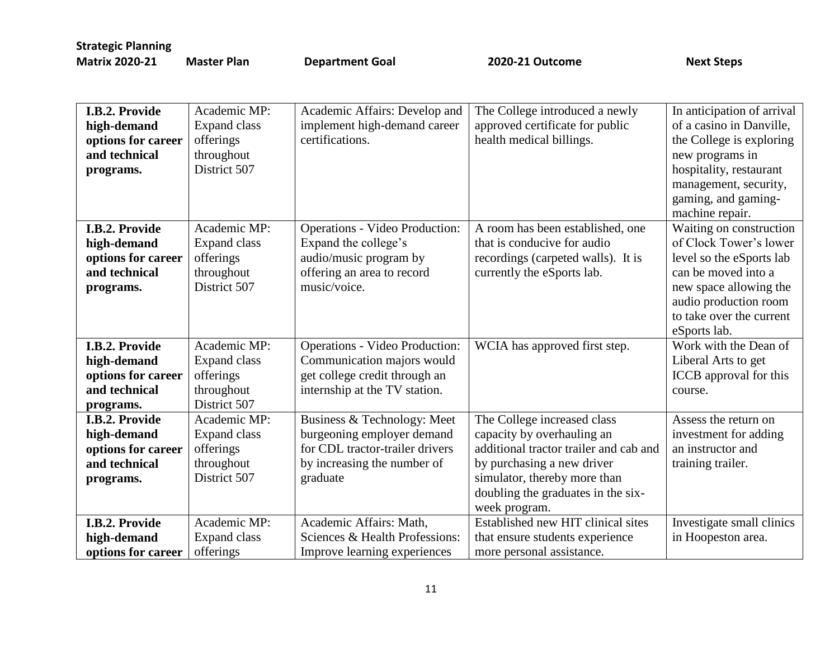| I.B.2. Provide     | Academic MP:        | Academic Affairs: Develop and         | The College introduced a newly         | In anticipation of arrival |
|--------------------|---------------------|---------------------------------------|----------------------------------------|----------------------------|
| high-demand        | <b>Expand class</b> | implement high-demand career          | approved certificate for public        | of a casino in Danville,   |
| options for career | offerings           | certifications.                       | health medical billings.               | the College is exploring   |
| and technical      | throughout          |                                       |                                        | new programs in            |
| programs.          | District 507        |                                       |                                        | hospitality, restaurant    |
|                    |                     |                                       |                                        | management, security,      |
|                    |                     |                                       |                                        | gaming, and gaming-        |
|                    |                     |                                       |                                        | machine repair.            |
| I.B.2. Provide     | Academic MP:        | <b>Operations - Video Production:</b> | A room has been established, one       | Waiting on construction    |
| high-demand        | <b>Expand class</b> | Expand the college's                  | that is conducive for audio            | of Clock Tower's lower     |
| options for career | offerings           | audio/music program by                | recordings (carpeted walls). It is     | level so the eSports lab   |
| and technical      | throughout          | offering an area to record            | currently the eSports lab.             | can be moved into a        |
| programs.          | District 507        | music/voice.                          |                                        | new space allowing the     |
|                    |                     |                                       |                                        | audio production room      |
|                    |                     |                                       |                                        | to take over the current   |
|                    |                     |                                       |                                        | eSports lab.               |
| I.B.2. Provide     | Academic MP:        | <b>Operations - Video Production:</b> | WCIA has approved first step.          | Work with the Dean of      |
| high-demand        | <b>Expand class</b> | Communication majors would            |                                        | Liberal Arts to get        |
| options for career | offerings           | get college credit through an         |                                        | ICCB approval for this     |
| and technical      | throughout          | internship at the TV station.         |                                        | course.                    |
| programs.          | District 507        |                                       |                                        |                            |
| I.B.2. Provide     | Academic MP:        | Business & Technology: Meet           | The College increased class            | Assess the return on       |
| high-demand        | <b>Expand class</b> | burgeoning employer demand            | capacity by overhauling an             | investment for adding      |
| options for career | offerings           | for CDL tractor-trailer drivers       | additional tractor trailer and cab and | an instructor and          |
| and technical      | throughout          | by increasing the number of           | by purchasing a new driver             | training trailer.          |
| programs.          | District 507        | graduate                              | simulator, thereby more than           |                            |
|                    |                     |                                       | doubling the graduates in the six-     |                            |
|                    |                     |                                       | week program.                          |                            |
| I.B.2. Provide     | Academic MP:        | Academic Affairs: Math,               | Established new HIT clinical sites     | Investigate small clinics  |
| high-demand        | <b>Expand class</b> | Sciences & Health Professions:        | that ensure students experience        | in Hoopeston area.         |
| options for career | offerings           | Improve learning experiences          | more personal assistance.              |                            |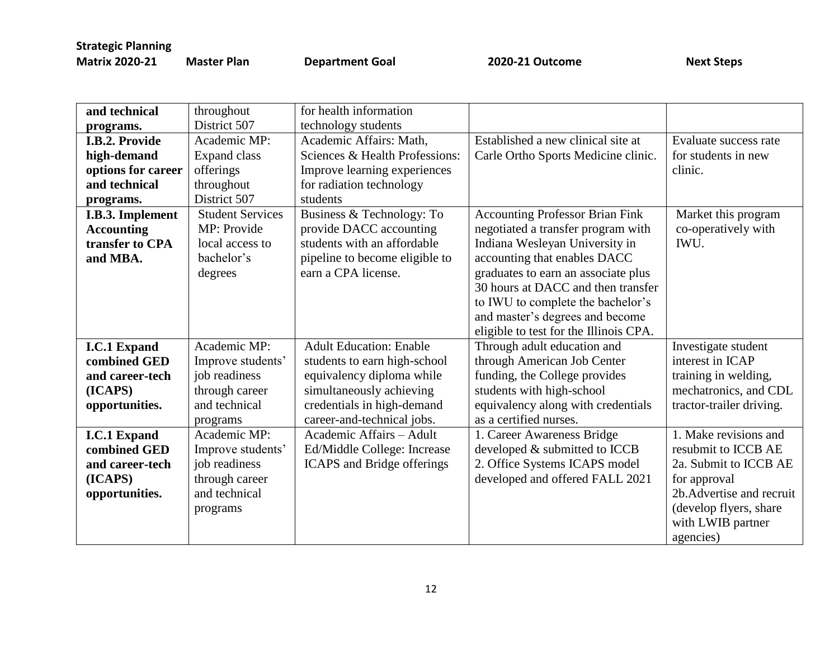| and technical       | throughout              | for health information         |                                        |                           |
|---------------------|-------------------------|--------------------------------|----------------------------------------|---------------------------|
| programs.           | District 507            | technology students            |                                        |                           |
| I.B.2. Provide      | Academic MP:            | Academic Affairs: Math,        | Established a new clinical site at     | Evaluate success rate     |
| high-demand         | Expand class            | Sciences & Health Professions: | Carle Ortho Sports Medicine clinic.    | for students in new       |
| options for career  | offerings               | Improve learning experiences   |                                        | clinic.                   |
| and technical       | throughout              | for radiation technology       |                                        |                           |
| programs.           | District 507            | students                       |                                        |                           |
| I.B.3. Implement    | <b>Student Services</b> | Business & Technology: To      | <b>Accounting Professor Brian Fink</b> | Market this program       |
| <b>Accounting</b>   | MP: Provide             | provide DACC accounting        | negotiated a transfer program with     | co-operatively with       |
| transfer to CPA     | local access to         | students with an affordable    | Indiana Wesleyan University in         | IWU.                      |
| and MBA.            | bachelor's              | pipeline to become eligible to | accounting that enables DACC           |                           |
|                     | degrees                 | earn a CPA license.            | graduates to earn an associate plus    |                           |
|                     |                         |                                | 30 hours at DACC and then transfer     |                           |
|                     |                         |                                | to IWU to complete the bachelor's      |                           |
|                     |                         |                                | and master's degrees and become        |                           |
|                     |                         |                                | eligible to test for the Illinois CPA. |                           |
| <b>I.C.1 Expand</b> | Academic MP:            | <b>Adult Education: Enable</b> | Through adult education and            | Investigate student       |
| combined GED        | Improve students'       | students to earn high-school   | through American Job Center            | interest in ICAP          |
| and career-tech     | job readiness           | equivalency diploma while      | funding, the College provides          | training in welding,      |
| (ICAPS)             | through career          | simultaneously achieving       | students with high-school              | mechatronics, and CDL     |
| opportunities.      | and technical           | credentials in high-demand     | equivalency along with credentials     | tractor-trailer driving.  |
|                     | programs                | career-and-technical jobs.     | as a certified nurses.                 |                           |
| <b>I.C.1 Expand</b> | Academic MP:            | Academic Affairs - Adult       | 1. Career Awareness Bridge             | 1. Make revisions and     |
| combined GED        | Improve students'       | Ed/Middle College: Increase    | developed & submitted to ICCB          | resubmit to ICCB AE       |
| and career-tech     | job readiness           | ICAPS and Bridge offerings     | 2. Office Systems ICAPS model          | 2a. Submit to ICCB AE     |
| (ICAPS)             | through career          |                                | developed and offered FALL 2021        | for approval              |
| opportunities.      | and technical           |                                |                                        | 2b. Advertise and recruit |
|                     | programs                |                                |                                        | (develop flyers, share    |
|                     |                         |                                |                                        | with LWIB partner         |
|                     |                         |                                |                                        | agencies)                 |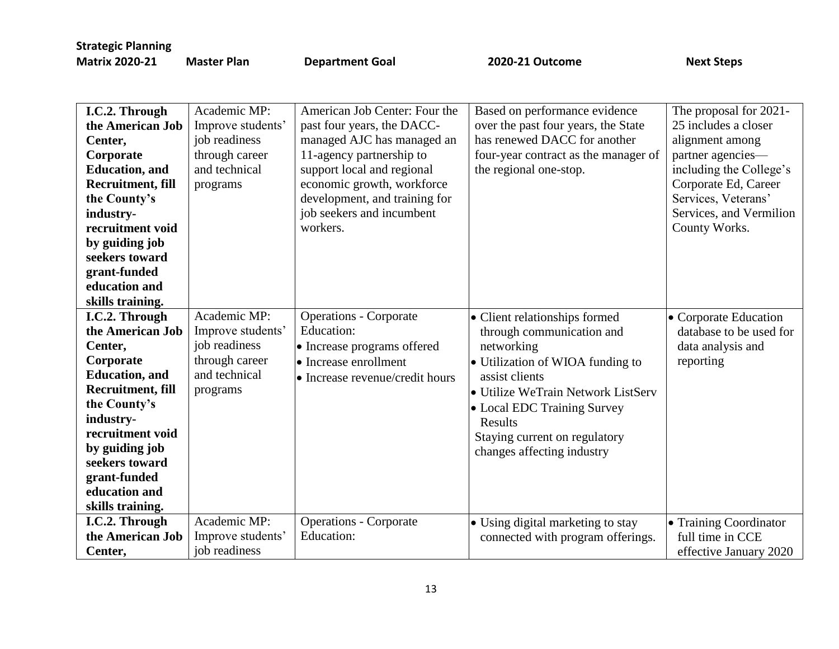| I.C.2. Through           | Academic MP:      | American Job Center: Four the   | Based on performance evidence        | The proposal for 2021-  |
|--------------------------|-------------------|---------------------------------|--------------------------------------|-------------------------|
| the American Job         | Improve students' | past four years, the DACC-      | over the past four years, the State  | 25 includes a closer    |
| Center,                  | job readiness     | managed AJC has managed an      | has renewed DACC for another         | alignment among         |
| Corporate                | through career    | 11-agency partnership to        | four-year contract as the manager of | partner agencies-       |
| <b>Education</b> , and   | and technical     | support local and regional      | the regional one-stop.               | including the College's |
| Recruitment, fill        | programs          | economic growth, workforce      |                                      | Corporate Ed, Career    |
| the County's             |                   | development, and training for   |                                      | Services, Veterans'     |
| industry-                |                   | job seekers and incumbent       |                                      | Services, and Vermilion |
| recruitment void         |                   | workers.                        |                                      | County Works.           |
| by guiding job           |                   |                                 |                                      |                         |
| seekers toward           |                   |                                 |                                      |                         |
| grant-funded             |                   |                                 |                                      |                         |
| education and            |                   |                                 |                                      |                         |
| skills training.         |                   |                                 |                                      |                         |
| I.C.2. Through           | Academic MP:      | <b>Operations - Corporate</b>   | • Client relationships formed        | • Corporate Education   |
| the American Job         | Improve students' | Education:                      | through communication and            | database to be used for |
| Center,                  | job readiness     | • Increase programs offered     | networking                           | data analysis and       |
| Corporate                | through career    | • Increase enrollment           | • Utilization of WIOA funding to     | reporting               |
| <b>Education</b> , and   | and technical     | • Increase revenue/credit hours | assist clients                       |                         |
| <b>Recruitment, fill</b> | programs          |                                 | • Utilize WeTrain Network ListServ   |                         |
| the County's             |                   |                                 | • Local EDC Training Survey          |                         |
| industry-                |                   |                                 | Results                              |                         |
| recruitment void         |                   |                                 | Staying current on regulatory        |                         |
| by guiding job           |                   |                                 | changes affecting industry           |                         |
| seekers toward           |                   |                                 |                                      |                         |
| grant-funded             |                   |                                 |                                      |                         |
| education and            |                   |                                 |                                      |                         |
| skills training.         |                   |                                 |                                      |                         |
| I.C.2. Through           | Academic MP:      | <b>Operations - Corporate</b>   | · Using digital marketing to stay    | • Training Coordinator  |
| the American Job         | Improve students' | Education:                      | connected with program offerings.    | full time in CCE        |
| Center,                  | job readiness     |                                 |                                      | effective January 2020  |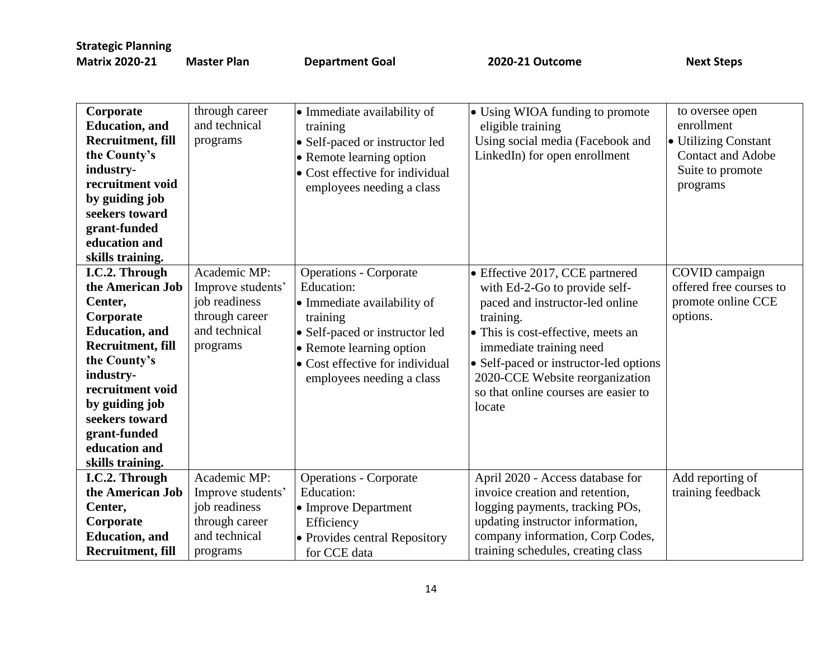| Corporate<br><b>Education</b> , and<br><b>Recruitment, fill</b><br>the County's<br>industry-<br>recruitment void<br>by guiding job<br>seekers toward<br>grant-funded<br>education and<br>skills training.                                                  | through career<br>and technical<br>programs                                                       | • Immediate availability of<br>training<br>• Self-paced or instructor led<br>• Remote learning option<br>• Cost effective for individual<br>employees needing a class                                                | • Using WIOA funding to promote<br>eligible training<br>Using social media (Facebook and<br>LinkedIn) for open enrollment                                                                                                                                                                                                | to oversee open<br>enrollment<br>· Utilizing Constant<br><b>Contact and Adobe</b><br>Suite to promote<br>programs |
|------------------------------------------------------------------------------------------------------------------------------------------------------------------------------------------------------------------------------------------------------------|---------------------------------------------------------------------------------------------------|----------------------------------------------------------------------------------------------------------------------------------------------------------------------------------------------------------------------|--------------------------------------------------------------------------------------------------------------------------------------------------------------------------------------------------------------------------------------------------------------------------------------------------------------------------|-------------------------------------------------------------------------------------------------------------------|
| I.C.2. Through<br>the American Job<br>Center,<br>Corporate<br><b>Education</b> , and<br><b>Recruitment, fill</b><br>the County's<br>industry-<br>recruitment void<br>by guiding job<br>seekers toward<br>grant-funded<br>education and<br>skills training. | Academic MP:<br>Improve students'<br>job readiness<br>through career<br>and technical<br>programs | <b>Operations - Corporate</b><br>Education:<br>• Immediate availability of<br>training<br>• Self-paced or instructor led<br>• Remote learning option<br>• Cost effective for individual<br>employees needing a class | • Effective 2017, CCE partnered<br>with Ed-2-Go to provide self-<br>paced and instructor-led online<br>training.<br>$\bullet$ This is cost-effective, meets an<br>immediate training need<br>• Self-paced or instructor-led options<br>2020-CCE Website reorganization<br>so that online courses are easier to<br>locate | COVID campaign<br>offered free courses to<br>promote online CCE<br>options.                                       |
| I.C.2. Through<br>the American Job<br>Center,<br>Corporate<br><b>Education</b> , and<br><b>Recruitment, fill</b>                                                                                                                                           | Academic MP:<br>Improve students'<br>job readiness<br>through career<br>and technical<br>programs | <b>Operations - Corporate</b><br>Education:<br>• Improve Department<br>Efficiency<br>• Provides central Repository<br>for CCE data                                                                                   | April 2020 - Access database for<br>invoice creation and retention,<br>logging payments, tracking POs,<br>updating instructor information,<br>company information, Corp Codes,<br>training schedules, creating class                                                                                                     | Add reporting of<br>training feedback                                                                             |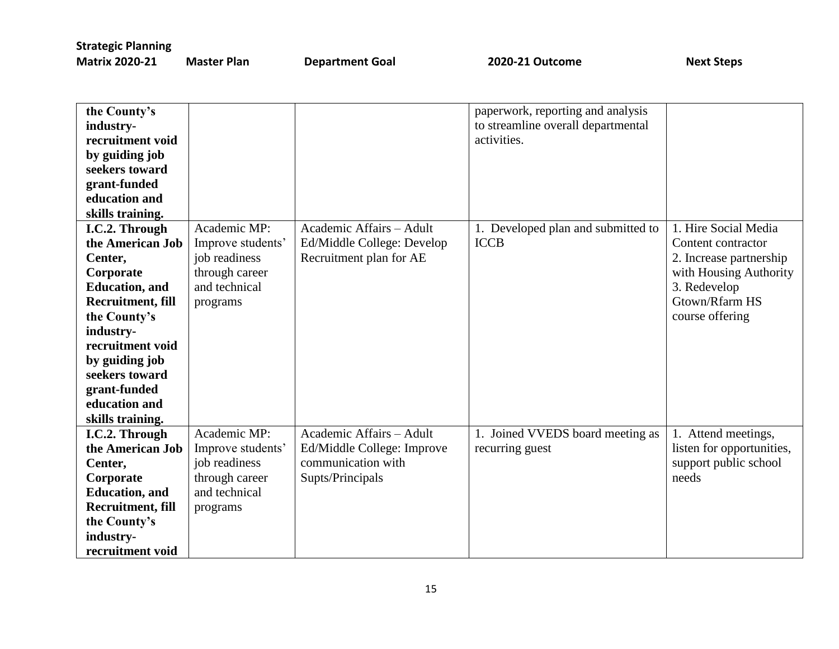| the County's           |                   |                            | paperwork, reporting and analysis  |                           |
|------------------------|-------------------|----------------------------|------------------------------------|---------------------------|
| industry-              |                   |                            | to streamline overall departmental |                           |
| recruitment void       |                   |                            | activities.                        |                           |
| by guiding job         |                   |                            |                                    |                           |
| seekers toward         |                   |                            |                                    |                           |
| grant-funded           |                   |                            |                                    |                           |
| education and          |                   |                            |                                    |                           |
| skills training.       |                   |                            |                                    |                           |
| I.C.2. Through         | Academic MP:      | Academic Affairs - Adult   | 1. Developed plan and submitted to | 1. Hire Social Media      |
| the American Job       | Improve students' | Ed/Middle College: Develop | <b>ICCB</b>                        | Content contractor        |
| Center,                | job readiness     | Recruitment plan for AE    |                                    | 2. Increase partnership   |
| Corporate              | through career    |                            |                                    | with Housing Authority    |
| <b>Education</b> , and | and technical     |                            |                                    | 3. Redevelop              |
| Recruitment, fill      | programs          |                            |                                    | Gtown/Rfarm HS            |
| the County's           |                   |                            |                                    | course offering           |
| industry-              |                   |                            |                                    |                           |
| recruitment void       |                   |                            |                                    |                           |
| by guiding job         |                   |                            |                                    |                           |
| seekers toward         |                   |                            |                                    |                           |
| grant-funded           |                   |                            |                                    |                           |
| education and          |                   |                            |                                    |                           |
| skills training.       |                   |                            |                                    |                           |
| I.C.2. Through         | Academic MP:      | Academic Affairs - Adult   | 1. Joined VVEDS board meeting as   | 1. Attend meetings,       |
| the American Job       | Improve students' | Ed/Middle College: Improve | recurring guest                    | listen for opportunities, |
| Center,                | job readiness     | communication with         |                                    | support public school     |
| Corporate              | through career    | Supts/Principals           |                                    | needs                     |
| <b>Education</b> , and | and technical     |                            |                                    |                           |
| Recruitment, fill      | programs          |                            |                                    |                           |
| the County's           |                   |                            |                                    |                           |
| industry-              |                   |                            |                                    |                           |
| recruitment void       |                   |                            |                                    |                           |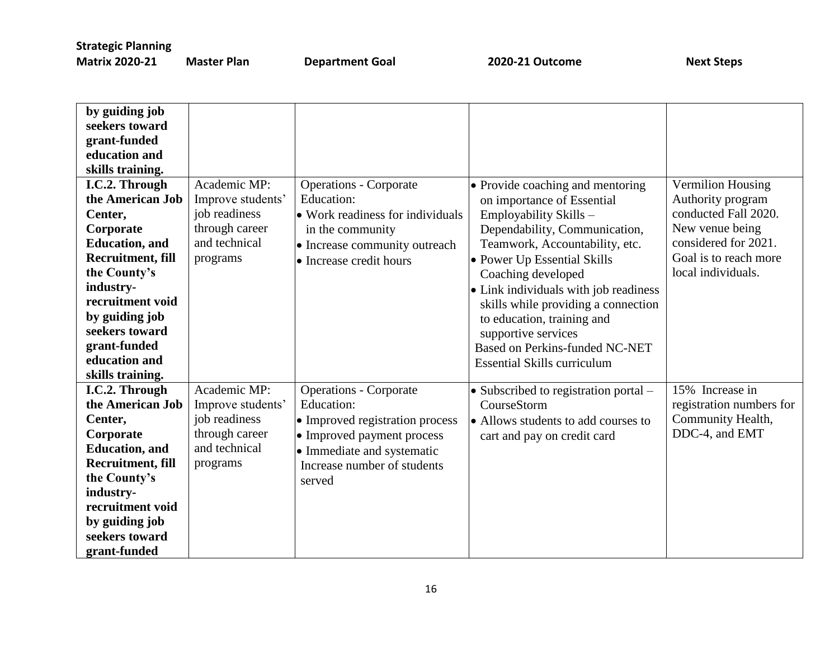| by guiding job           |                   |                                  |                                       |                          |
|--------------------------|-------------------|----------------------------------|---------------------------------------|--------------------------|
| seekers toward           |                   |                                  |                                       |                          |
| grant-funded             |                   |                                  |                                       |                          |
| education and            |                   |                                  |                                       |                          |
| skills training.         |                   |                                  |                                       |                          |
| I.C.2. Through           | Academic MP:      | <b>Operations - Corporate</b>    | • Provide coaching and mentoring      | Vermilion Housing        |
| the American Job         | Improve students' | Education:                       | on importance of Essential            | Authority program        |
| Center,                  | job readiness     | • Work readiness for individuals | Employability Skills-                 | conducted Fall 2020.     |
| Corporate                | through career    | in the community                 | Dependability, Communication,         | New venue being          |
| <b>Education</b> , and   | and technical     | • Increase community outreach    | Teamwork, Accountability, etc.        | considered for 2021.     |
| <b>Recruitment, fill</b> | programs          | • Increase credit hours          | • Power Up Essential Skills           | Goal is to reach more    |
| the County's             |                   |                                  | Coaching developed                    | local individuals.       |
| industry-                |                   |                                  | • Link individuals with job readiness |                          |
| recruitment void         |                   |                                  | skills while providing a connection   |                          |
| by guiding job           |                   |                                  | to education, training and            |                          |
| seekers toward           |                   |                                  | supportive services                   |                          |
| grant-funded             |                   |                                  | <b>Based on Perkins-funded NC-NET</b> |                          |
| education and            |                   |                                  | <b>Essential Skills curriculum</b>    |                          |
| skills training.         |                   |                                  |                                       |                          |
| I.C.2. Through           | Academic MP:      | <b>Operations - Corporate</b>    | • Subscribed to registration portal – | 15% Increase in          |
| the American Job         | Improve students' | Education:                       | CourseStorm                           | registration numbers for |
| Center,                  | job readiness     | • Improved registration process  | • Allows students to add courses to   | Community Health,        |
| Corporate                | through career    | • Improved payment process       | cart and pay on credit card           | DDC-4, and EMT           |
| <b>Education</b> , and   | and technical     | • Immediate and systematic       |                                       |                          |
| <b>Recruitment, fill</b> | programs          | Increase number of students      |                                       |                          |
| the County's             |                   | served                           |                                       |                          |
| industry-                |                   |                                  |                                       |                          |
| recruitment void         |                   |                                  |                                       |                          |
| by guiding job           |                   |                                  |                                       |                          |
| seekers toward           |                   |                                  |                                       |                          |
| grant-funded             |                   |                                  |                                       |                          |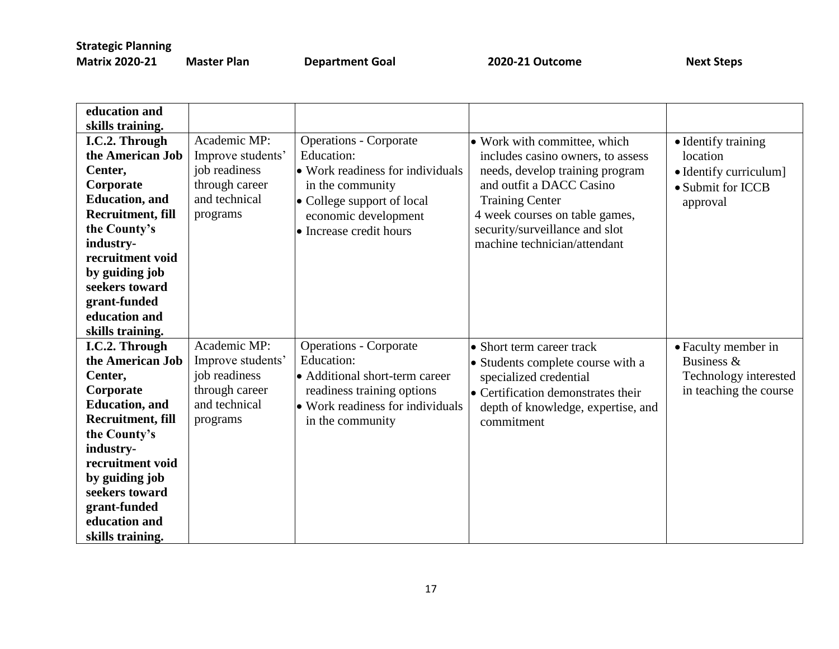**Master Plan Coal 2020-21 Outcome** Next Steps

| education and            |                   |                                  |                                    |                        |
|--------------------------|-------------------|----------------------------------|------------------------------------|------------------------|
|                          |                   |                                  |                                    |                        |
| skills training.         |                   |                                  |                                    |                        |
| I.C.2. Through           | Academic MP:      | <b>Operations - Corporate</b>    | • Work with committee, which       | • Identify training    |
| the American Job         | Improve students' | Education:                       | includes casino owners, to assess  | location               |
| Center,                  | job readiness     | • Work readiness for individuals | needs, develop training program    | • Identify curriculum] |
| Corporate                | through career    | in the community                 | and outfit a DACC Casino           | • Submit for ICCB      |
| <b>Education</b> , and   | and technical     | • College support of local       | <b>Training Center</b>             | approval               |
| <b>Recruitment, fill</b> | programs          | economic development             | 4 week courses on table games,     |                        |
| the County's             |                   | • Increase credit hours          | security/surveillance and slot     |                        |
| industry-                |                   |                                  | machine technician/attendant       |                        |
| recruitment void         |                   |                                  |                                    |                        |
| by guiding job           |                   |                                  |                                    |                        |
| seekers toward           |                   |                                  |                                    |                        |
| grant-funded             |                   |                                  |                                    |                        |
| education and            |                   |                                  |                                    |                        |
| skills training.         |                   |                                  |                                    |                        |
| I.C.2. Through           | Academic MP:      | <b>Operations - Corporate</b>    | • Short term career track          | • Faculty member in    |
| the American Job         | Improve students' | Education:                       | • Students complete course with a  | Business &             |
| Center,                  | job readiness     | • Additional short-term career   | specialized credential             | Technology interested  |
| Corporate                | through career    | readiness training options       | • Certification demonstrates their | in teaching the course |
| <b>Education</b> , and   | and technical     | • Work readiness for individuals | depth of knowledge, expertise, and |                        |
| Recruitment, fill        | programs          | in the community                 | commitment                         |                        |
| the County's             |                   |                                  |                                    |                        |
| industry-                |                   |                                  |                                    |                        |
| recruitment void         |                   |                                  |                                    |                        |
| by guiding job           |                   |                                  |                                    |                        |
| seekers toward           |                   |                                  |                                    |                        |
| grant-funded             |                   |                                  |                                    |                        |
| education and            |                   |                                  |                                    |                        |
| skills training.         |                   |                                  |                                    |                        |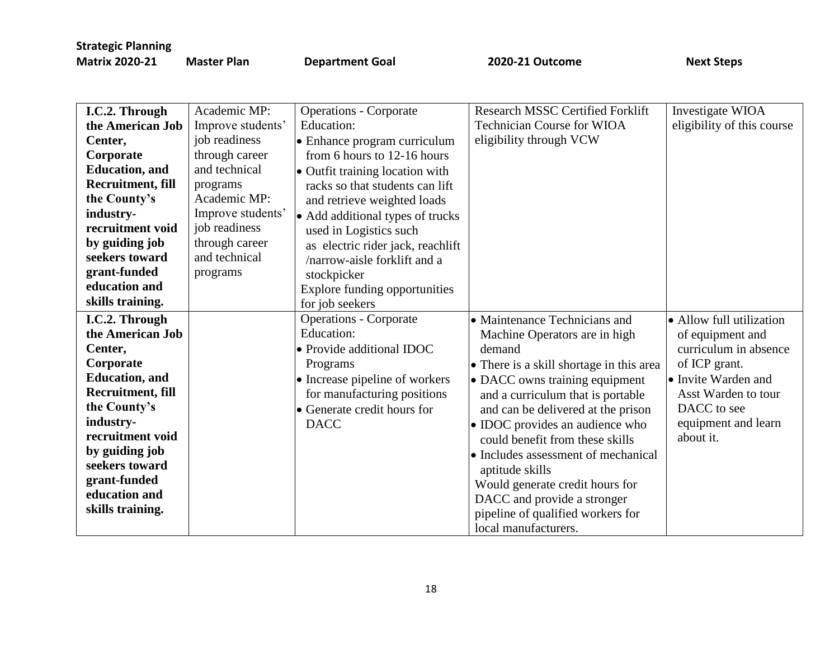| I.C.2. Through         | Academic MP:      | <b>Operations - Corporate</b>        | Research MSSC Certified Forklift         | Investigate WIOA           |
|------------------------|-------------------|--------------------------------------|------------------------------------------|----------------------------|
| the American Job       | Improve students' | Education:                           | <b>Technician Course for WIOA</b>        | eligibility of this course |
| Center,                | job readiness     | • Enhance program curriculum         | eligibility through VCW                  |                            |
| Corporate              | through career    | from 6 hours to 12-16 hours          |                                          |                            |
| <b>Education</b> , and | and technical     | · Outfit training location with      |                                          |                            |
| Recruitment, fill      | programs          | racks so that students can lift      |                                          |                            |
| the County's           | Academic MP:      | and retrieve weighted loads          |                                          |                            |
| industry-              | Improve students' | • Add additional types of trucks     |                                          |                            |
| recruitment void       | job readiness     | used in Logistics such               |                                          |                            |
| by guiding job         | through career    | as electric rider jack, reachlift    |                                          |                            |
| seekers toward         | and technical     | /narrow-aisle forklift and a         |                                          |                            |
| grant-funded           | programs          | stockpicker                          |                                          |                            |
| education and          |                   | <b>Explore funding opportunities</b> |                                          |                            |
| skills training.       |                   | for job seekers                      |                                          |                            |
| I.C.2. Through         |                   | <b>Operations - Corporate</b>        | • Maintenance Technicians and            | • Allow full utilization   |
| the American Job       |                   | Education:                           | Machine Operators are in high            | of equipment and           |
| Center,                |                   | • Provide additional IDOC            | demand                                   | curriculum in absence      |
| Corporate              |                   | Programs                             | • There is a skill shortage in this area | of ICP grant.              |
| <b>Education</b> , and |                   | • Increase pipeline of workers       | • DACC owns training equipment           | • Invite Warden and        |
| Recruitment, fill      |                   | for manufacturing positions          | and a curriculum that is portable        | Asst Warden to tour        |
| the County's           |                   | • Generate credit hours for          | and can be delivered at the prison       | DACC to see                |
| industry-              |                   | <b>DACC</b>                          | • IDOC provides an audience who          | equipment and learn        |
| recruitment void       |                   |                                      | could benefit from these skills          | about it.                  |
| by guiding job         |                   |                                      | • Includes assessment of mechanical      |                            |
| seekers toward         |                   |                                      | aptitude skills                          |                            |
| grant-funded           |                   |                                      | Would generate credit hours for          |                            |
| education and          |                   |                                      | DACC and provide a stronger              |                            |
| skills training.       |                   |                                      | pipeline of qualified workers for        |                            |
|                        |                   |                                      | local manufacturers.                     |                            |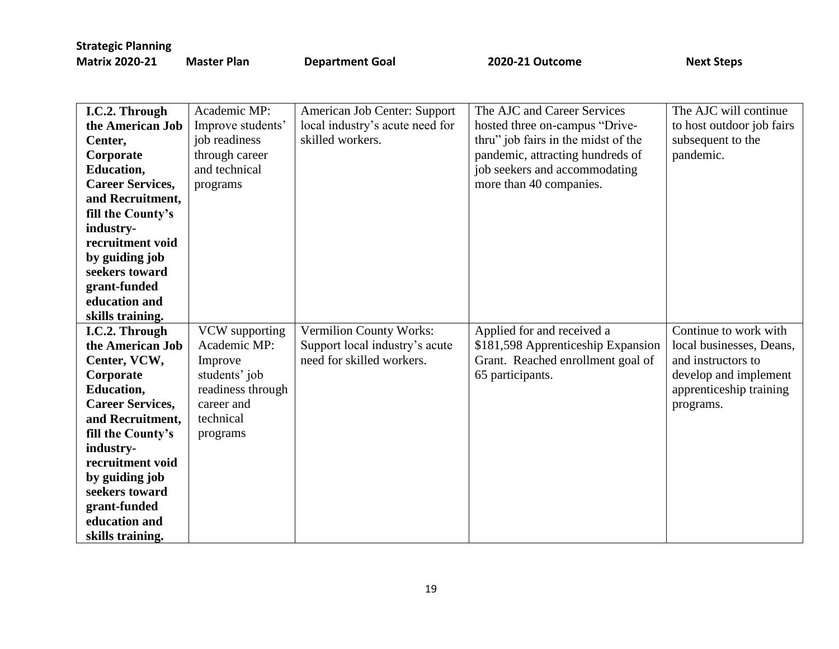| I.C.2. Through          | Academic MP:      | American Job Center: Support    | The AJC and Career Services         | The AJC will continue     |
|-------------------------|-------------------|---------------------------------|-------------------------------------|---------------------------|
| the American Job        | Improve students' | local industry's acute need for | hosted three on-campus "Drive-      | to host outdoor job fairs |
| Center,                 | job readiness     | skilled workers.                | thru" job fairs in the midst of the | subsequent to the         |
| Corporate               | through career    |                                 | pandemic, attracting hundreds of    | pandemic.                 |
| <b>Education,</b>       | and technical     |                                 | job seekers and accommodating       |                           |
| <b>Career Services,</b> | programs          |                                 | more than 40 companies.             |                           |
| and Recruitment,        |                   |                                 |                                     |                           |
| fill the County's       |                   |                                 |                                     |                           |
| industry-               |                   |                                 |                                     |                           |
| recruitment void        |                   |                                 |                                     |                           |
| by guiding job          |                   |                                 |                                     |                           |
| seekers toward          |                   |                                 |                                     |                           |
| grant-funded            |                   |                                 |                                     |                           |
| education and           |                   |                                 |                                     |                           |
| skills training.        |                   |                                 |                                     |                           |
| I.C.2. Through          | VCW supporting    | <b>Vermilion County Works:</b>  | Applied for and received a          | Continue to work with     |
| the American Job        | Academic MP:      | Support local industry's acute  | \$181,598 Apprenticeship Expansion  | local businesses, Deans,  |
| Center, VCW,            | Improve           | need for skilled workers.       | Grant. Reached enrollment goal of   | and instructors to        |
| Corporate               | students' job     |                                 | 65 participants.                    | develop and implement     |
| <b>Education,</b>       | readiness through |                                 |                                     | apprenticeship training   |
| <b>Career Services,</b> | career and        |                                 |                                     | programs.                 |
| and Recruitment,        | technical         |                                 |                                     |                           |
| fill the County's       | programs          |                                 |                                     |                           |
| industry-               |                   |                                 |                                     |                           |
| recruitment void        |                   |                                 |                                     |                           |
| by guiding job          |                   |                                 |                                     |                           |
| seekers toward          |                   |                                 |                                     |                           |
| grant-funded            |                   |                                 |                                     |                           |
| education and           |                   |                                 |                                     |                           |
| skills training.        |                   |                                 |                                     |                           |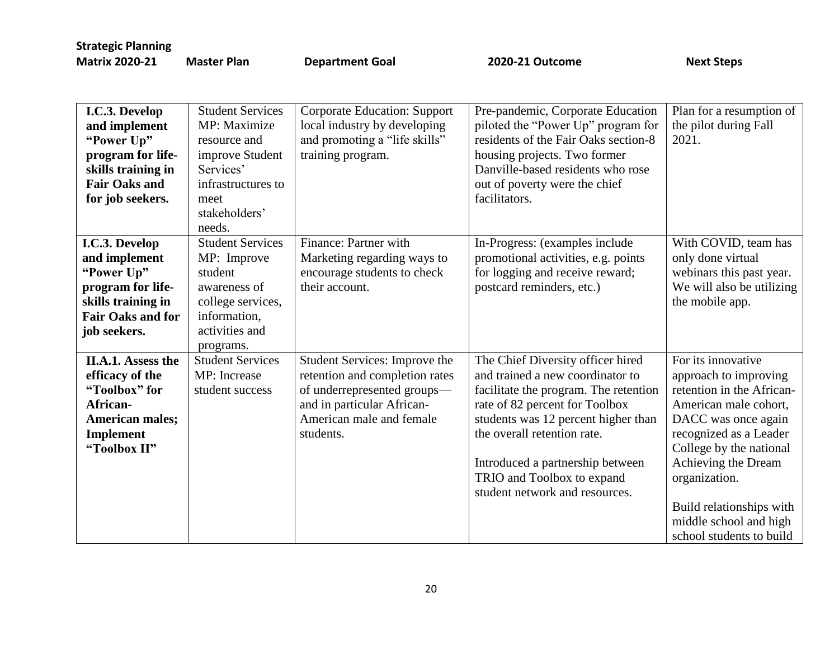**Master Plan Coal 2020-21 Outcome** Next Steps

| I.C.3. Develop<br>and implement<br>"Power Up"<br>program for life-<br>skills training in<br><b>Fair Oaks and</b><br>for job seekers. | <b>Student Services</b><br>MP: Maximize<br>resource and<br>improve Student<br>Services'<br>infrastructures to<br>meet<br>stakeholders'<br>needs. | <b>Corporate Education: Support</b><br>local industry by developing<br>and promoting a "life skills"<br>training program.                                             | Pre-pandemic, Corporate Education<br>piloted the "Power Up" program for<br>residents of the Fair Oaks section-8<br>housing projects. Two former<br>Danville-based residents who rose<br>out of poverty were the chief<br>facilitators.                                                                                     | Plan for a resumption of<br>the pilot during Fall<br>2021.                                                                                                                                                                                                                                              |
|--------------------------------------------------------------------------------------------------------------------------------------|--------------------------------------------------------------------------------------------------------------------------------------------------|-----------------------------------------------------------------------------------------------------------------------------------------------------------------------|----------------------------------------------------------------------------------------------------------------------------------------------------------------------------------------------------------------------------------------------------------------------------------------------------------------------------|---------------------------------------------------------------------------------------------------------------------------------------------------------------------------------------------------------------------------------------------------------------------------------------------------------|
| I.C.3. Develop<br>and implement<br>"Power Up"<br>program for life-<br>skills training in<br><b>Fair Oaks and for</b><br>job seekers. | <b>Student Services</b><br>MP: Improve<br>student<br>awareness of<br>college services,<br>information,<br>activities and<br>programs.            | Finance: Partner with<br>Marketing regarding ways to<br>encourage students to check<br>their account.                                                                 | In-Progress: (examples include<br>promotional activities, e.g. points<br>for logging and receive reward;<br>postcard reminders, etc.)                                                                                                                                                                                      | With COVID, team has<br>only done virtual<br>webinars this past year.<br>We will also be utilizing<br>the mobile app.                                                                                                                                                                                   |
| II.A.1. Assess the<br>efficacy of the<br>"Toolbox" for<br>African-<br><b>American males;</b><br>Implement<br>"Toolbox II"            | <b>Student Services</b><br>MP: Increase<br>student success                                                                                       | Student Services: Improve the<br>retention and completion rates<br>of underrepresented groups-<br>and in particular African-<br>American male and female<br>students. | The Chief Diversity officer hired<br>and trained a new coordinator to<br>facilitate the program. The retention<br>rate of 82 percent for Toolbox<br>students was 12 percent higher than<br>the overall retention rate.<br>Introduced a partnership between<br>TRIO and Toolbox to expand<br>student network and resources. | For its innovative<br>approach to improving<br>retention in the African-<br>American male cohort,<br>DACC was once again<br>recognized as a Leader<br>College by the national<br>Achieving the Dream<br>organization.<br>Build relationships with<br>middle school and high<br>school students to build |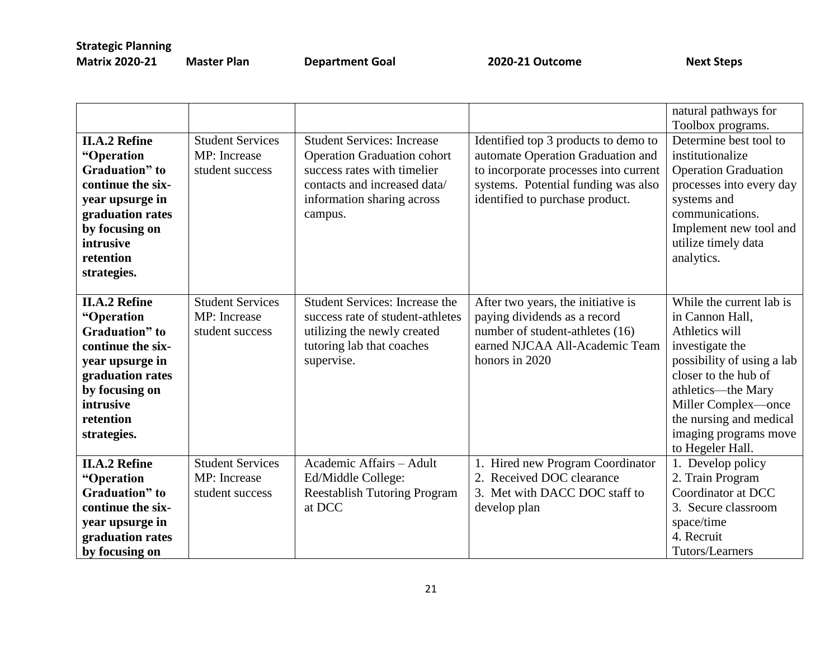|                                                                                                                                                                                     |                                                            |                                                                                                                                                                                 |                                                                                                                                                                                              | natural pathways for<br>Toolbox programs.                                                                                                                                                                                                                   |
|-------------------------------------------------------------------------------------------------------------------------------------------------------------------------------------|------------------------------------------------------------|---------------------------------------------------------------------------------------------------------------------------------------------------------------------------------|----------------------------------------------------------------------------------------------------------------------------------------------------------------------------------------------|-------------------------------------------------------------------------------------------------------------------------------------------------------------------------------------------------------------------------------------------------------------|
| <b>II.A.2 Refine</b><br>"Operation<br>Graduation" to<br>continue the six-<br>year upsurge in<br>graduation rates<br>by focusing on<br>intrusive<br>retention<br>strategies.         | <b>Student Services</b><br>MP: Increase<br>student success | <b>Student Services: Increase</b><br><b>Operation Graduation cohort</b><br>success rates with timelier<br>contacts and increased data/<br>information sharing across<br>campus. | Identified top 3 products to demo to<br>automate Operation Graduation and<br>to incorporate processes into current<br>systems. Potential funding was also<br>identified to purchase product. | Determine best tool to<br>institutionalize<br><b>Operation Graduation</b><br>processes into every day<br>systems and<br>communications.<br>Implement new tool and<br>utilize timely data<br>analytics.                                                      |
| <b>II.A.2 Refine</b><br>"Operation<br><b>Graduation</b> " to<br>continue the six-<br>year upsurge in<br>graduation rates<br>by focusing on<br>intrusive<br>retention<br>strategies. | <b>Student Services</b><br>MP: Increase<br>student success | <b>Student Services: Increase the</b><br>success rate of student-athletes<br>utilizing the newly created<br>tutoring lab that coaches<br>supervise.                             | After two years, the initiative is<br>paying dividends as a record<br>number of student-athletes (16)<br>earned NJCAA All-Academic Team<br>honors in 2020                                    | While the current lab is<br>in Cannon Hall,<br>Athletics will<br>investigate the<br>possibility of using a lab<br>closer to the hub of<br>athletics—the Mary<br>Miller Complex—once<br>the nursing and medical<br>imaging programs move<br>to Hegeler Hall. |
| <b>II.A.2 Refine</b><br>"Operation<br><b>Graduation</b> " to<br>continue the six-<br>year upsurge in<br>graduation rates<br>by focusing on                                          | <b>Student Services</b><br>MP: Increase<br>student success | Academic Affairs - Adult<br>Ed/Middle College:<br><b>Reestablish Tutoring Program</b><br>at DCC                                                                                 | Hired new Program Coordinator<br>Received DOC clearance<br>2.<br>3. Met with DACC DOC staff to<br>develop plan                                                                               | 1. Develop policy<br>2. Train Program<br>Coordinator at DCC<br>3. Secure classroom<br>space/time<br>4. Recruit<br>Tutors/Learners                                                                                                                           |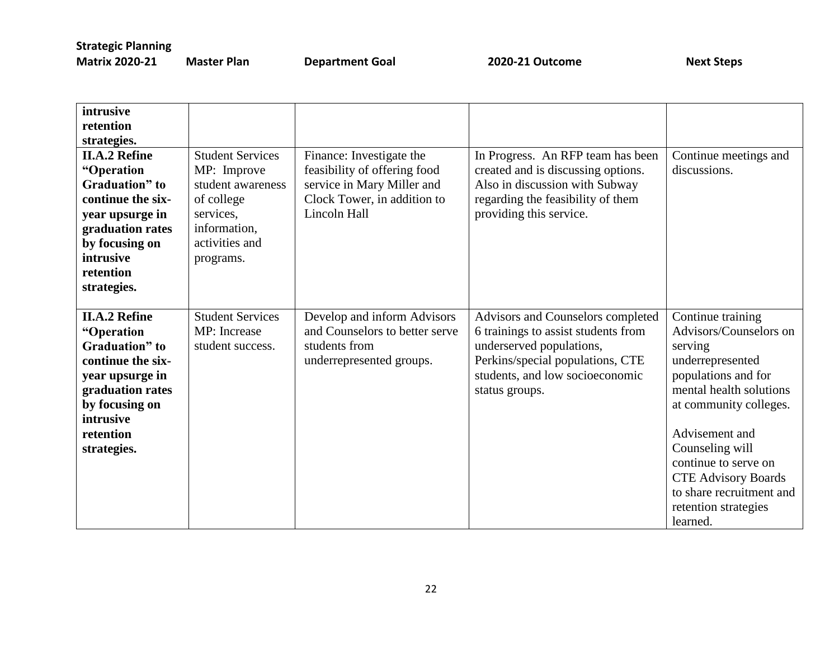| intrusive<br>retention<br>strategies.<br><b>II.A.2 Refine</b><br>"Operation                                                                                                         | <b>Student Services</b><br>MP: Improve                                                      | Finance: Investigate the<br>feasibility of offering food                                                   | In Progress. An RFP team has been<br>created and is discussing options.                                                                                                                       | Continue meetings and<br>discussions.                                                                                                                                                                                                                                                                             |
|-------------------------------------------------------------------------------------------------------------------------------------------------------------------------------------|---------------------------------------------------------------------------------------------|------------------------------------------------------------------------------------------------------------|-----------------------------------------------------------------------------------------------------------------------------------------------------------------------------------------------|-------------------------------------------------------------------------------------------------------------------------------------------------------------------------------------------------------------------------------------------------------------------------------------------------------------------|
| Graduation" to<br>continue the six-<br>year upsurge in<br>graduation rates<br>by focusing on<br>intrusive<br>retention<br>strategies.                                               | student awareness<br>of college<br>services,<br>information,<br>activities and<br>programs. | service in Mary Miller and<br>Clock Tower, in addition to<br>Lincoln Hall                                  | Also in discussion with Subway<br>regarding the feasibility of them<br>providing this service.                                                                                                |                                                                                                                                                                                                                                                                                                                   |
| <b>II.A.2 Refine</b><br>"Operation<br><b>Graduation</b> " to<br>continue the six-<br>year upsurge in<br>graduation rates<br>by focusing on<br>intrusive<br>retention<br>strategies. | <b>Student Services</b><br>MP: Increase<br>student success.                                 | Develop and inform Advisors<br>and Counselors to better serve<br>students from<br>underrepresented groups. | Advisors and Counselors completed<br>6 trainings to assist students from<br>underserved populations,<br>Perkins/special populations, CTE<br>students, and low socioeconomic<br>status groups. | Continue training<br>Advisors/Counselors on<br>serving<br>underrepresented<br>populations and for<br>mental health solutions<br>at community colleges.<br>Advisement and<br>Counseling will<br>continue to serve on<br><b>CTE Advisory Boards</b><br>to share recruitment and<br>retention strategies<br>learned. |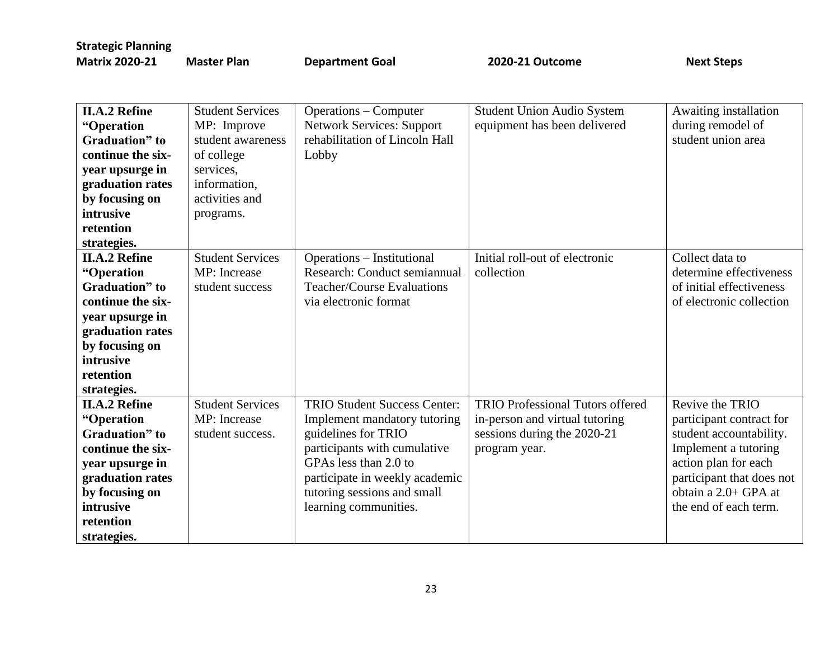| <b>II.A.2 Refine</b>   | <b>Student Services</b> | <b>Operations – Computer</b>        | <b>Student Union Audio System</b>       | Awaiting installation     |
|------------------------|-------------------------|-------------------------------------|-----------------------------------------|---------------------------|
| "Operation             | MP: Improve             | <b>Network Services: Support</b>    | equipment has been delivered            | during remodel of         |
| Graduation" to         | student awareness       | rehabilitation of Lincoln Hall      |                                         | student union area        |
| continue the six-      | of college              | Lobby                               |                                         |                           |
| year upsurge in        | services,               |                                     |                                         |                           |
| graduation rates       | information,            |                                     |                                         |                           |
| by focusing on         | activities and          |                                     |                                         |                           |
| intrusive              | programs.               |                                     |                                         |                           |
| retention              |                         |                                     |                                         |                           |
| strategies.            |                         |                                     |                                         |                           |
| <b>II.A.2 Refine</b>   | <b>Student Services</b> | Operations – Institutional          | Initial roll-out of electronic          | Collect data to           |
| "Operation             | MP: Increase            | Research: Conduct semiannual        | collection                              | determine effectiveness   |
| <b>Graduation</b> " to | student success         | <b>Teacher/Course Evaluations</b>   |                                         | of initial effectiveness  |
| continue the six-      |                         | via electronic format               |                                         | of electronic collection  |
| year upsurge in        |                         |                                     |                                         |                           |
| graduation rates       |                         |                                     |                                         |                           |
| by focusing on         |                         |                                     |                                         |                           |
| intrusive              |                         |                                     |                                         |                           |
| retention              |                         |                                     |                                         |                           |
| strategies.            |                         |                                     |                                         |                           |
| <b>II.A.2 Refine</b>   | <b>Student Services</b> | <b>TRIO Student Success Center:</b> | <b>TRIO Professional Tutors offered</b> | Revive the TRIO           |
| "Operation             | MP: Increase            | Implement mandatory tutoring        | in-person and virtual tutoring          | participant contract for  |
| <b>Graduation</b> " to | student success.        | guidelines for TRIO                 | sessions during the 2020-21             | student accountability.   |
| continue the six-      |                         | participants with cumulative        | program year.                           | Implement a tutoring      |
| year upsurge in        |                         | GPAs less than 2.0 to               |                                         | action plan for each      |
| graduation rates       |                         | participate in weekly academic      |                                         | participant that does not |
| by focusing on         |                         | tutoring sessions and small         |                                         | obtain a 2.0+ GPA at      |
| intrusive              |                         | learning communities.               |                                         | the end of each term.     |
| retention              |                         |                                     |                                         |                           |
| strategies.            |                         |                                     |                                         |                           |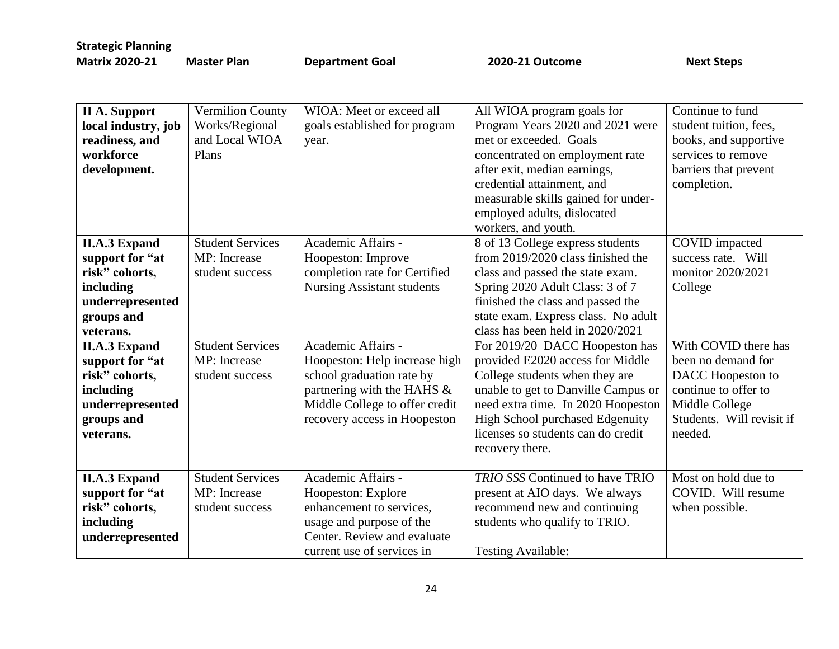| <b>II A. Support</b><br>local industry, job<br>readiness, and<br>workforce<br>development.                                                                                                                                                     | <b>Vermilion County</b><br>Works/Regional<br>and Local WIOA<br>Plans                                                     | WIOA: Meet or exceed all<br>goals established for program<br>year.                                                                                                                                                                                                                                 | All WIOA program goals for<br>Program Years 2020 and 2021 were<br>met or exceeded. Goals<br>concentrated on employment rate<br>after exit, median earnings,<br>credential attainment, and<br>measurable skills gained for under-<br>employed adults, dislocated<br>workers, and youth.                                                                                                                                                                                                                                                        | Continue to fund<br>student tuition, fees,<br>books, and supportive<br>services to remove<br>barriers that prevent<br>completion.                                                                                         |
|------------------------------------------------------------------------------------------------------------------------------------------------------------------------------------------------------------------------------------------------|--------------------------------------------------------------------------------------------------------------------------|----------------------------------------------------------------------------------------------------------------------------------------------------------------------------------------------------------------------------------------------------------------------------------------------------|-----------------------------------------------------------------------------------------------------------------------------------------------------------------------------------------------------------------------------------------------------------------------------------------------------------------------------------------------------------------------------------------------------------------------------------------------------------------------------------------------------------------------------------------------|---------------------------------------------------------------------------------------------------------------------------------------------------------------------------------------------------------------------------|
| <b>II.A.3 Expand</b><br>support for "at<br>risk" cohorts,<br>including<br>underrepresented<br>groups and<br>veterans.<br><b>II.A.3 Expand</b><br>support for "at<br>risk" cohorts,<br>including<br>underrepresented<br>groups and<br>veterans. | <b>Student Services</b><br>MP: Increase<br>student success<br><b>Student Services</b><br>MP: Increase<br>student success | Academic Affairs -<br>Hoopeston: Improve<br>completion rate for Certified<br><b>Nursing Assistant students</b><br>Academic Affairs -<br>Hoopeston: Help increase high<br>school graduation rate by<br>partnering with the HAHS &<br>Middle College to offer credit<br>recovery access in Hoopeston | 8 of 13 College express students<br>from 2019/2020 class finished the<br>class and passed the state exam.<br>Spring 2020 Adult Class: 3 of 7<br>finished the class and passed the<br>state exam. Express class. No adult<br>class has been held in 2020/2021<br>For 2019/20 DACC Hoopeston has<br>provided E2020 access for Middle<br>College students when they are<br>unable to get to Danville Campus or<br>need extra time. In 2020 Hoopeston<br>High School purchased Edgenuity<br>licenses so students can do credit<br>recovery there. | COVID impacted<br>success rate. Will<br>monitor 2020/2021<br>College<br>With COVID there has<br>been no demand for<br>DACC Hoopeston to<br>continue to offer to<br>Middle College<br>Students. Will revisit if<br>needed. |
| <b>II.A.3 Expand</b><br>support for "at<br>risk" cohorts,<br>including<br>underrepresented                                                                                                                                                     | <b>Student Services</b><br>MP: Increase<br>student success                                                               | Academic Affairs -<br>Hoopeston: Explore<br>enhancement to services,<br>usage and purpose of the<br>Center. Review and evaluate<br>current use of services in                                                                                                                                      | <b>TRIO SSS Continued to have TRIO</b><br>present at AIO days. We always<br>recommend new and continuing<br>students who qualify to TRIO.<br><b>Testing Available:</b>                                                                                                                                                                                                                                                                                                                                                                        | Most on hold due to<br>COVID. Will resume<br>when possible.                                                                                                                                                               |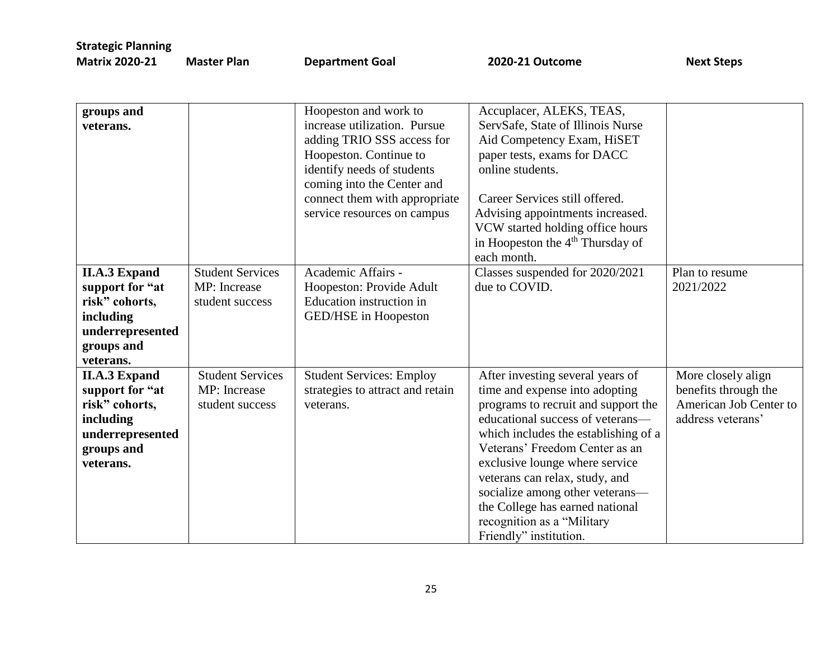**Pan CEE ATTE:** Department Goal **2020-21 Outcome** Next Steps

| groups and           |                         | Hoopeston and work to            | Accuplacer, ALEKS, TEAS,                     |                        |
|----------------------|-------------------------|----------------------------------|----------------------------------------------|------------------------|
| veterans.            |                         | increase utilization. Pursue     | ServSafe, State of Illinois Nurse            |                        |
|                      |                         | adding TRIO SSS access for       | Aid Competency Exam, HiSET                   |                        |
|                      |                         | Hoopeston. Continue to           | paper tests, exams for DACC                  |                        |
|                      |                         | identify needs of students       | online students.                             |                        |
|                      |                         | coming into the Center and       |                                              |                        |
|                      |                         | connect them with appropriate    | Career Services still offered.               |                        |
|                      |                         | service resources on campus      | Advising appointments increased.             |                        |
|                      |                         |                                  | VCW started holding office hours             |                        |
|                      |                         |                                  | in Hoopeston the 4 <sup>th</sup> Thursday of |                        |
|                      |                         |                                  | each month.                                  |                        |
| <b>II.A.3 Expand</b> | <b>Student Services</b> | Academic Affairs -               | Classes suspended for 2020/2021              | Plan to resume         |
|                      |                         |                                  |                                              |                        |
| support for "at      | MP: Increase            | Hoopeston: Provide Adult         | due to COVID.                                | 2021/2022              |
| risk" cohorts,       | student success         | Education instruction in         |                                              |                        |
| including            |                         | GED/HSE in Hoopeston             |                                              |                        |
| underrepresented     |                         |                                  |                                              |                        |
| groups and           |                         |                                  |                                              |                        |
| veterans.            |                         |                                  |                                              |                        |
| <b>II.A.3 Expand</b> | <b>Student Services</b> | <b>Student Services: Employ</b>  | After investing several years of             | More closely align     |
| support for "at      | MP: Increase            | strategies to attract and retain | time and expense into adopting               | benefits through the   |
| risk" cohorts,       | student success         | veterans.                        | programs to recruit and support the          | American Job Center to |
| including            |                         |                                  | educational success of veterans—             | address veterans'      |
| underrepresented     |                         |                                  | which includes the establishing of a         |                        |
| groups and           |                         |                                  | Veterans' Freedom Center as an               |                        |
| veterans.            |                         |                                  | exclusive lounge where service               |                        |
|                      |                         |                                  | veterans can relax, study, and               |                        |
|                      |                         |                                  | socialize among other veterans-              |                        |
|                      |                         |                                  | the College has earned national              |                        |
|                      |                         |                                  | recognition as a "Military                   |                        |
|                      |                         |                                  |                                              |                        |
|                      |                         |                                  | Friendly" institution.                       |                        |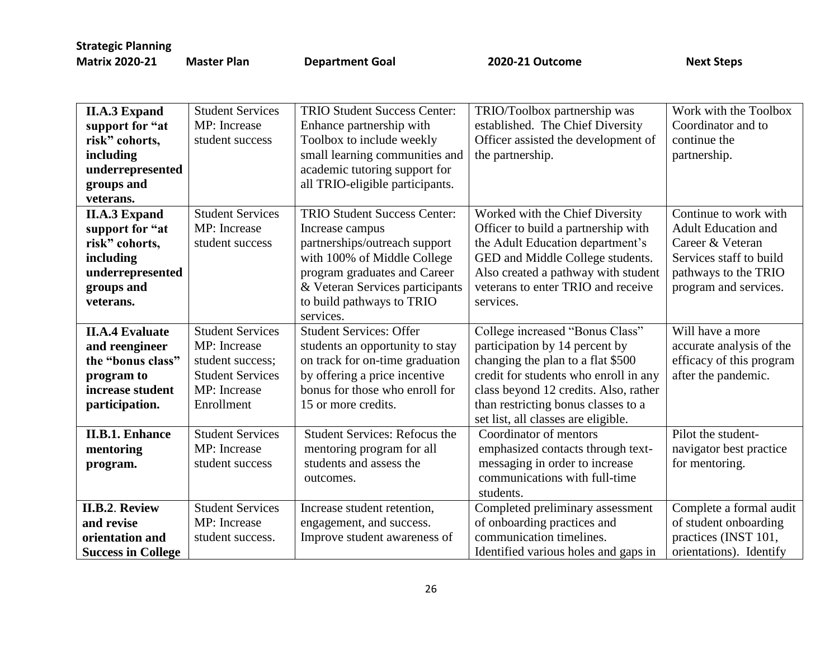| <b>II.A.3 Expand</b>      | <b>Student Services</b> | <b>TRIO Student Success Center:</b>  | TRIO/Toolbox partnership was          | Work with the Toolbox    |
|---------------------------|-------------------------|--------------------------------------|---------------------------------------|--------------------------|
| support for "at           | MP: Increase            | Enhance partnership with             | established. The Chief Diversity      | Coordinator and to       |
| risk" cohorts,            | student success         | Toolbox to include weekly            | Officer assisted the development of   | continue the             |
| including                 |                         | small learning communities and       | the partnership.                      | partnership.             |
| underrepresented          |                         | academic tutoring support for        |                                       |                          |
| groups and                |                         | all TRIO-eligible participants.      |                                       |                          |
| veterans.                 |                         |                                      |                                       |                          |
| <b>II.A.3 Expand</b>      | <b>Student Services</b> | <b>TRIO Student Success Center:</b>  | Worked with the Chief Diversity       | Continue to work with    |
| support for "at           | MP: Increase            | Increase campus                      | Officer to build a partnership with   | Adult Education and      |
| risk" cohorts,            | student success         | partnerships/outreach support        | the Adult Education department's      | Career & Veteran         |
| including                 |                         | with 100% of Middle College          | GED and Middle College students.      | Services staff to build  |
| underrepresented          |                         | program graduates and Career         | Also created a pathway with student   | pathways to the TRIO     |
| groups and                |                         | & Veteran Services participants      | veterans to enter TRIO and receive    | program and services.    |
| veterans.                 |                         | to build pathways to TRIO            | services.                             |                          |
|                           |                         | services.                            |                                       |                          |
| <b>II.A.4 Evaluate</b>    | <b>Student Services</b> | <b>Student Services: Offer</b>       | College increased "Bonus Class"       | Will have a more         |
| and reengineer            | MP: Increase            | students an opportunity to stay      | participation by 14 percent by        | accurate analysis of the |
| the "bonus class"         | student success;        | on track for on-time graduation      | changing the plan to a flat \$500     | efficacy of this program |
| program to                | <b>Student Services</b> | by offering a price incentive        | credit for students who enroll in any | after the pandemic.      |
| increase student          | MP: Increase            | bonus for those who enroll for       | class beyond 12 credits. Also, rather |                          |
| participation.            | Enrollment              | 15 or more credits.                  | than restricting bonus classes to a   |                          |
|                           |                         |                                      | set list, all classes are eligible.   |                          |
| <b>II.B.1. Enhance</b>    | <b>Student Services</b> | <b>Student Services: Refocus the</b> | Coordinator of mentors                | Pilot the student-       |
| mentoring                 | MP: Increase            | mentoring program for all            | emphasized contacts through text-     | navigator best practice  |
| program.                  | student success         | students and assess the              | messaging in order to increase        | for mentoring.           |
|                           |                         | outcomes.                            | communications with full-time         |                          |
|                           |                         |                                      | students.                             |                          |
| <b>II.B.2. Review</b>     | <b>Student Services</b> | Increase student retention,          | Completed preliminary assessment      | Complete a formal audit  |
| and revise                | MP: Increase            | engagement, and success.             | of onboarding practices and           | of student onboarding    |
| orientation and           | student success.        | Improve student awareness of         | communication timelines.              | practices (INST 101,     |
| <b>Success in College</b> |                         |                                      | Identified various holes and gaps in  | orientations). Identify  |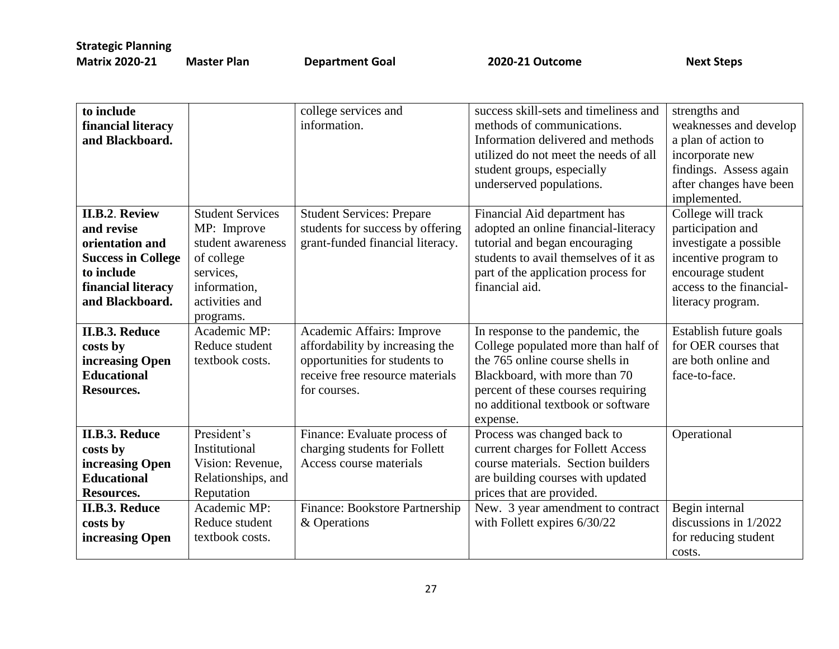| to include                |                         | college services and             | success skill-sets and timeliness and | strengths and            |
|---------------------------|-------------------------|----------------------------------|---------------------------------------|--------------------------|
| financial literacy        |                         | information.                     | methods of communications.            | weaknesses and develop   |
| and Blackboard.           |                         |                                  | Information delivered and methods     | a plan of action to      |
|                           |                         |                                  | utilized do not meet the needs of all | incorporate new          |
|                           |                         |                                  | student groups, especially            | findings. Assess again   |
|                           |                         |                                  | underserved populations.              | after changes have been  |
|                           |                         |                                  |                                       | implemented.             |
| <b>II.B.2. Review</b>     | <b>Student Services</b> | <b>Student Services: Prepare</b> | Financial Aid department has          | College will track       |
| and revise                | MP: Improve             | students for success by offering | adopted an online financial-literacy  | participation and        |
| orientation and           | student awareness       | grant-funded financial literacy. | tutorial and began encouraging        | investigate a possible   |
| <b>Success in College</b> | of college              |                                  | students to avail themselves of it as | incentive program to     |
| to include                | services.               |                                  | part of the application process for   | encourage student        |
| financial literacy        | information,            |                                  | financial aid.                        | access to the financial- |
| and Blackboard.           | activities and          |                                  |                                       | literacy program.        |
|                           | programs.               |                                  |                                       |                          |
| <b>II.B.3. Reduce</b>     | Academic MP:            | Academic Affairs: Improve        | In response to the pandemic, the      | Establish future goals   |
| costs by                  | Reduce student          | affordability by increasing the  | College populated more than half of   | for OER courses that     |
| increasing Open           | textbook costs.         | opportunities for students to    | the 765 online course shells in       | are both online and      |
| <b>Educational</b>        |                         | receive free resource materials  | Blackboard, with more than 70         | face-to-face.            |
| <b>Resources.</b>         |                         | for courses.                     | percent of these courses requiring    |                          |
|                           |                         |                                  | no additional textbook or software    |                          |
|                           |                         |                                  | expense.                              |                          |
| <b>II.B.3. Reduce</b>     | President's             | Finance: Evaluate process of     | Process was changed back to           | Operational              |
| costs by                  | Institutional           | charging students for Follett    | current charges for Follett Access    |                          |
| increasing Open           | Vision: Revenue,        | Access course materials          | course materials. Section builders    |                          |
| <b>Educational</b>        | Relationships, and      |                                  | are building courses with updated     |                          |
| Resources.                | Reputation              |                                  | prices that are provided.             |                          |
| <b>II.B.3. Reduce</b>     | Academic MP:            | Finance: Bookstore Partnership   | New. 3 year amendment to contract     | Begin internal           |
| costs by                  | Reduce student          | & Operations                     | with Follett expires 6/30/22          | discussions in 1/2022    |
| increasing Open           | textbook costs.         |                                  |                                       | for reducing student     |
|                           |                         |                                  |                                       | costs.                   |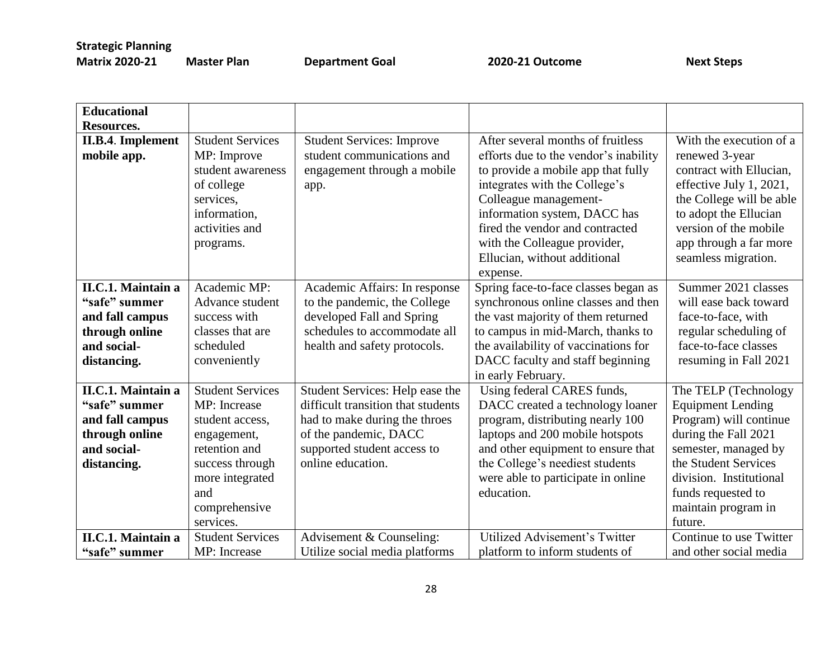|  | <b>Matrix 2020-21</b> | М |
|--|-----------------------|---|
|--|-----------------------|---|

**Mater Plan Coal 2020-21 Outcome** Next Steps

| <b>Educational</b><br><b>Resources.</b>                                                                       |                                                                                                                                                                       |                                                                                                                                                                                     |                                                                                                                                                                                                                                                                                                                           |                                                                                                                                                                                                                                       |
|---------------------------------------------------------------------------------------------------------------|-----------------------------------------------------------------------------------------------------------------------------------------------------------------------|-------------------------------------------------------------------------------------------------------------------------------------------------------------------------------------|---------------------------------------------------------------------------------------------------------------------------------------------------------------------------------------------------------------------------------------------------------------------------------------------------------------------------|---------------------------------------------------------------------------------------------------------------------------------------------------------------------------------------------------------------------------------------|
| <b>II.B.4. Implement</b><br>mobile app.                                                                       | <b>Student Services</b><br>MP: Improve<br>student awareness<br>of college<br>services,<br>information,<br>activities and<br>programs.                                 | <b>Student Services: Improve</b><br>student communications and<br>engagement through a mobile<br>app.                                                                               | After several months of fruitless<br>efforts due to the vendor's inability<br>to provide a mobile app that fully<br>integrates with the College's<br>Colleague management-<br>information system, DACC has<br>fired the vendor and contracted<br>with the Colleague provider,<br>Ellucian, without additional<br>expense. | With the execution of a<br>renewed 3-year<br>contract with Ellucian,<br>effective July 1, 2021,<br>the College will be able<br>to adopt the Ellucian<br>version of the mobile<br>app through a far more<br>seamless migration.        |
| <b>II.C.1. Maintain a</b><br>"safe" summer<br>and fall campus<br>through online<br>and social-<br>distancing. | Academic MP:<br>Advance student<br>success with<br>classes that are<br>scheduled<br>conveniently                                                                      | Academic Affairs: In response<br>to the pandemic, the College<br>developed Fall and Spring<br>schedules to accommodate all<br>health and safety protocols.                          | Spring face-to-face classes began as<br>synchronous online classes and then<br>the vast majority of them returned<br>to campus in mid-March, thanks to<br>the availability of vaccinations for<br>DACC faculty and staff beginning<br>in early February.                                                                  | Summer 2021 classes<br>will ease back toward<br>face-to-face, with<br>regular scheduling of<br>face-to-face classes<br>resuming in Fall 2021                                                                                          |
| <b>II.C.1. Maintain a</b><br>"safe" summer<br>and fall campus<br>through online<br>and social-<br>distancing. | <b>Student Services</b><br>MP: Increase<br>student access,<br>engagement,<br>retention and<br>success through<br>more integrated<br>and<br>comprehensive<br>services. | Student Services: Help ease the<br>difficult transition that students<br>had to make during the throes<br>of the pandemic, DACC<br>supported student access to<br>online education. | Using federal CARES funds,<br>DACC created a technology loaner<br>program, distributing nearly 100<br>laptops and 200 mobile hotspots<br>and other equipment to ensure that<br>the College's neediest students<br>were able to participate in online<br>education.                                                        | The TELP (Technology<br><b>Equipment Lending</b><br>Program) will continue<br>during the Fall 2021<br>semester, managed by<br>the Student Services<br>division. Institutional<br>funds requested to<br>maintain program in<br>future. |
| <b>II.C.1. Maintain a</b><br>"safe" summer                                                                    | <b>Student Services</b><br>MP: Increase                                                                                                                               | Advisement & Counseling:<br>Utilize social media platforms                                                                                                                          | Utilized Advisement's Twitter<br>platform to inform students of                                                                                                                                                                                                                                                           | Continue to use Twitter<br>and other social media                                                                                                                                                                                     |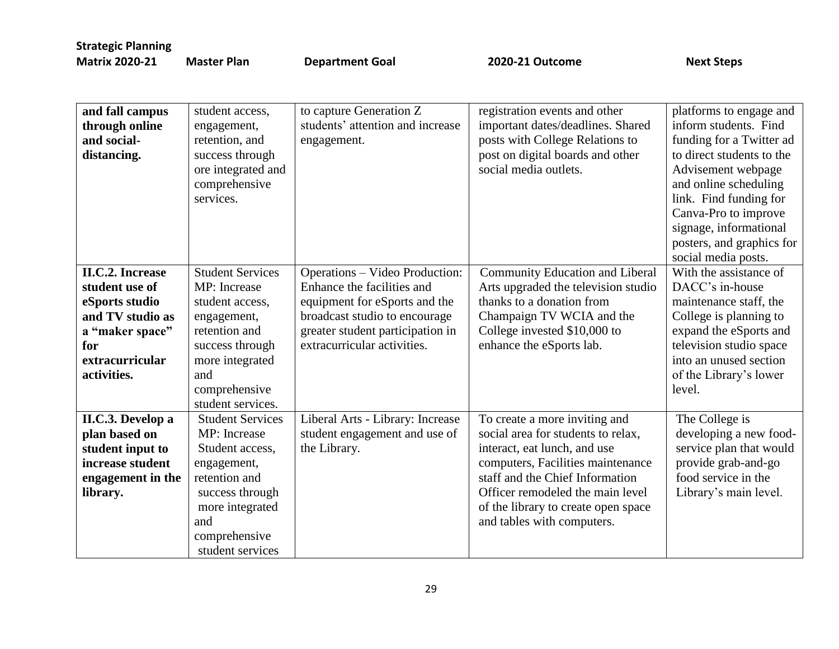| and fall campus<br>through online<br>and social-<br>distancing.                                                                             | student access,<br>engagement,<br>retention, and<br>success through<br>ore integrated and<br>comprehensive<br>services.                                                       | to capture Generation Z<br>students' attention and increase<br>engagement.                                                                                                                        | registration events and other<br>important dates/deadlines. Shared<br>posts with College Relations to<br>post on digital boards and other<br>social media outlets.                                                                                                                   | platforms to engage and<br>inform students. Find<br>funding for a Twitter ad<br>to direct students to the<br>Advisement webpage<br>and online scheduling<br>link. Find funding for<br>Canva-Pro to improve<br>signage, informational<br>posters, and graphics for<br>social media posts. |
|---------------------------------------------------------------------------------------------------------------------------------------------|-------------------------------------------------------------------------------------------------------------------------------------------------------------------------------|---------------------------------------------------------------------------------------------------------------------------------------------------------------------------------------------------|--------------------------------------------------------------------------------------------------------------------------------------------------------------------------------------------------------------------------------------------------------------------------------------|------------------------------------------------------------------------------------------------------------------------------------------------------------------------------------------------------------------------------------------------------------------------------------------|
| <b>II.C.2. Increase</b><br>student use of<br>eSports studio<br>and TV studio as<br>a "maker space"<br>for<br>extracurricular<br>activities. | <b>Student Services</b><br>MP: Increase<br>student access,<br>engagement,<br>retention and<br>success through<br>more integrated<br>and<br>comprehensive<br>student services. | Operations – Video Production:<br>Enhance the facilities and<br>equipment for eSports and the<br>broadcast studio to encourage<br>greater student participation in<br>extracurricular activities. | Community Education and Liberal<br>Arts upgraded the television studio<br>thanks to a donation from<br>Champaign TV WCIA and the<br>College invested \$10,000 to<br>enhance the eSports lab.                                                                                         | With the assistance of<br>DACC's in-house<br>maintenance staff, the<br>College is planning to<br>expand the eSports and<br>television studio space<br>into an unused section<br>of the Library's lower<br>level.                                                                         |
| II.C.3. Develop a<br>plan based on<br>student input to<br>increase student<br>engagement in the<br>library.                                 | <b>Student Services</b><br>MP: Increase<br>Student access,<br>engagement,<br>retention and<br>success through<br>more integrated<br>and<br>comprehensive<br>student services  | Liberal Arts - Library: Increase<br>student engagement and use of<br>the Library.                                                                                                                 | To create a more inviting and<br>social area for students to relax,<br>interact, eat lunch, and use<br>computers, Facilities maintenance<br>staff and the Chief Information<br>Officer remodeled the main level<br>of the library to create open space<br>and tables with computers. | The College is<br>developing a new food-<br>service plan that would<br>provide grab-and-go<br>food service in the<br>Library's main level.                                                                                                                                               |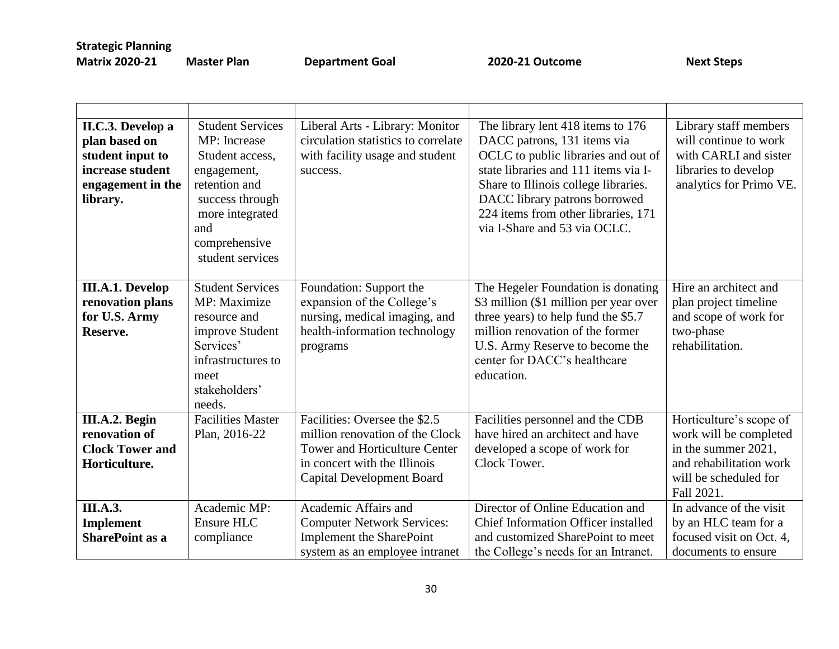| II.C.3. Develop a<br>plan based on<br>student input to<br>increase student<br>engagement in the<br>library. | <b>Student Services</b><br>MP: Increase<br>Student access,<br>engagement,<br>retention and<br>success through<br>more integrated<br>and<br>comprehensive<br>student services | Liberal Arts - Library: Monitor<br>circulation statistics to correlate<br>with facility usage and student<br>success.                                                        | The library lent 418 items to 176<br>DACC patrons, 131 items via<br>OCLC to public libraries and out of<br>state libraries and 111 items via I-<br>Share to Illinois college libraries.<br>DACC library patrons borrowed<br>224 items from other libraries, 171<br>via I-Share and 53 via OCLC. | Library staff members<br>will continue to work<br>with CARLI and sister<br>libraries to develop<br>analytics for Primo VE.                 |
|-------------------------------------------------------------------------------------------------------------|------------------------------------------------------------------------------------------------------------------------------------------------------------------------------|------------------------------------------------------------------------------------------------------------------------------------------------------------------------------|-------------------------------------------------------------------------------------------------------------------------------------------------------------------------------------------------------------------------------------------------------------------------------------------------|--------------------------------------------------------------------------------------------------------------------------------------------|
| <b>III.A.1. Develop</b><br>renovation plans<br>for U.S. Army<br>Reserve.                                    | <b>Student Services</b><br>MP: Maximize<br>resource and<br>improve Student<br>Services'<br>infrastructures to<br>meet<br>stakeholders'<br>needs.                             | Foundation: Support the<br>expansion of the College's<br>nursing, medical imaging, and<br>health-information technology<br>programs                                          | The Hegeler Foundation is donating<br>\$3 million (\$1 million per year over<br>three years) to help fund the \$5.7<br>million renovation of the former<br>U.S. Army Reserve to become the<br>center for DACC's healthcare<br>education.                                                        | Hire an architect and<br>plan project timeline<br>and scope of work for<br>two-phase<br>rehabilitation.                                    |
| III.A.2. Begin<br>renovation of<br><b>Clock Tower and</b><br>Horticulture.                                  | <b>Facilities Master</b><br>Plan, 2016-22                                                                                                                                    | Facilities: Oversee the \$2.5<br>million renovation of the Clock<br><b>Tower and Horticulture Center</b><br>in concert with the Illinois<br><b>Capital Development Board</b> | Facilities personnel and the CDB<br>have hired an architect and have<br>developed a scope of work for<br>Clock Tower.                                                                                                                                                                           | Horticulture's scope of<br>work will be completed<br>in the summer 2021,<br>and rehabilitation work<br>will be scheduled for<br>Fall 2021. |
| <b>III.A.3.</b><br>Implement<br><b>SharePoint as a</b>                                                      | Academic MP:<br>Ensure HLC<br>compliance                                                                                                                                     | Academic Affairs and<br><b>Computer Network Services:</b><br><b>Implement the SharePoint</b><br>system as an employee intranet                                               | Director of Online Education and<br>Chief Information Officer installed<br>and customized SharePoint to meet<br>the College's needs for an Intranet.                                                                                                                                            | In advance of the visit<br>by an HLC team for a<br>focused visit on Oct. 4,<br>documents to ensure                                         |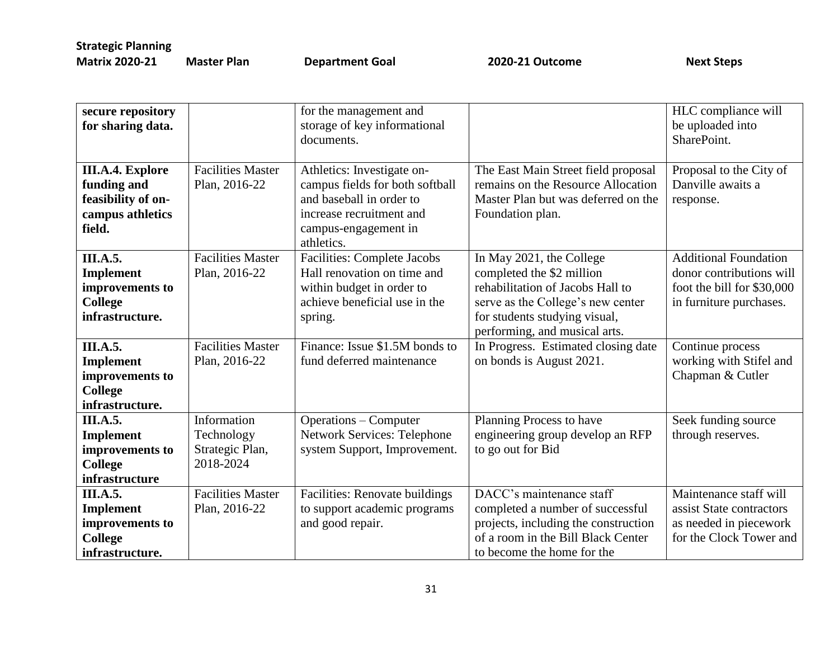| secure repository<br>for sharing data.                                                      |                                                           | for the management and<br>storage of key informational<br>documents.                                                                                        |                                                                                                                                                                                                  | HLC compliance will<br>be uploaded into<br>SharePoint.                                                            |
|---------------------------------------------------------------------------------------------|-----------------------------------------------------------|-------------------------------------------------------------------------------------------------------------------------------------------------------------|--------------------------------------------------------------------------------------------------------------------------------------------------------------------------------------------------|-------------------------------------------------------------------------------------------------------------------|
| <b>III.A.4. Explore</b><br>funding and<br>feasibility of on-<br>campus athletics<br>field.  | <b>Facilities Master</b><br>Plan, 2016-22                 | Athletics: Investigate on-<br>campus fields for both softball<br>and baseball in order to<br>increase recruitment and<br>campus-engagement in<br>athletics. | The East Main Street field proposal<br>remains on the Resource Allocation<br>Master Plan but was deferred on the<br>Foundation plan.                                                             | Proposal to the City of<br>Danville awaits a<br>response.                                                         |
| <b>III.A.5.</b><br><b>Implement</b><br>improvements to<br><b>College</b><br>infrastructure. | <b>Facilities Master</b><br>Plan, 2016-22                 | Facilities: Complete Jacobs<br>Hall renovation on time and<br>within budget in order to<br>achieve beneficial use in the<br>spring.                         | In May 2021, the College<br>completed the \$2 million<br>rehabilitation of Jacobs Hall to<br>serve as the College's new center<br>for students studying visual,<br>performing, and musical arts. | <b>Additional Foundation</b><br>donor contributions will<br>foot the bill for \$30,000<br>in furniture purchases. |
| <b>III.A.5.</b><br>Implement<br>improvements to<br><b>College</b><br>infrastructure.        | <b>Facilities Master</b><br>Plan, 2016-22                 | Finance: Issue \$1.5M bonds to<br>fund deferred maintenance                                                                                                 | In Progress. Estimated closing date<br>on bonds is August 2021.                                                                                                                                  | Continue process<br>working with Stifel and<br>Chapman & Cutler                                                   |
| <b>III.A.5.</b><br><b>Implement</b><br>improvements to<br><b>College</b><br>infrastructure  | Information<br>Technology<br>Strategic Plan,<br>2018-2024 | Operations - Computer<br><b>Network Services: Telephone</b><br>system Support, Improvement.                                                                 | Planning Process to have<br>engineering group develop an RFP<br>to go out for Bid                                                                                                                | Seek funding source<br>through reserves.                                                                          |
| <b>III.A.5.</b><br><b>Implement</b><br>improvements to<br><b>College</b><br>infrastructure. | Facilities Master<br>Plan, 2016-22                        | Facilities: Renovate buildings<br>to support academic programs<br>and good repair.                                                                          | DACC's maintenance staff<br>completed a number of successful<br>projects, including the construction<br>of a room in the Bill Black Center<br>to become the home for the                         | Maintenance staff will<br>assist State contractors<br>as needed in piecework<br>for the Clock Tower and           |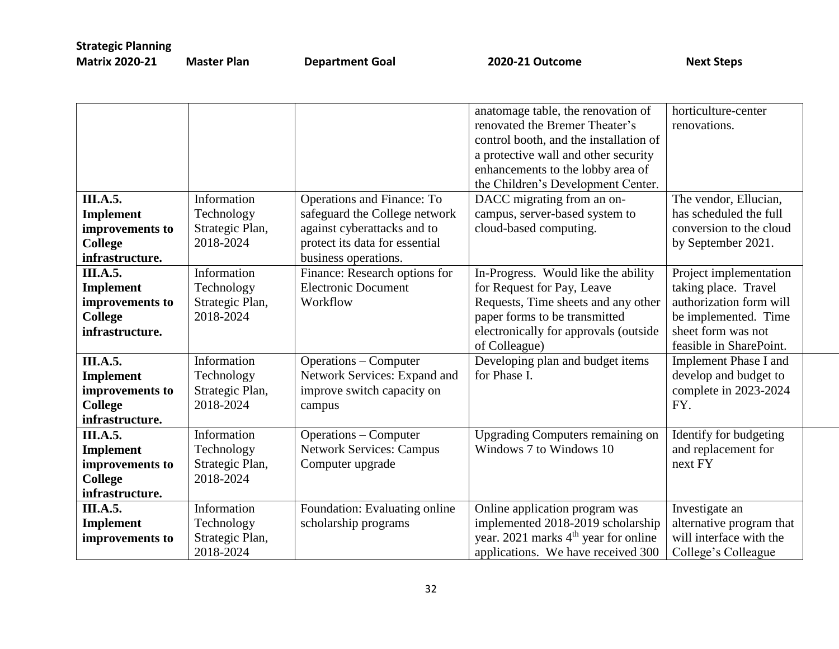|                  |                 |                                 | anatomage table, the renovation of               | horticulture-center          |
|------------------|-----------------|---------------------------------|--------------------------------------------------|------------------------------|
|                  |                 |                                 | renovated the Bremer Theater's                   | renovations.                 |
|                  |                 |                                 | control booth, and the installation of           |                              |
|                  |                 |                                 | a protective wall and other security             |                              |
|                  |                 |                                 | enhancements to the lobby area of                |                              |
|                  |                 |                                 | the Children's Development Center.               |                              |
| III.A.5.         | Information     | Operations and Finance: To      | DACC migrating from an on-                       | The vendor, Ellucian,        |
| <b>Implement</b> | Technology      | safeguard the College network   | campus, server-based system to                   | has scheduled the full       |
| improvements to  | Strategic Plan, | against cyberattacks and to     | cloud-based computing.                           | conversion to the cloud      |
| <b>College</b>   | 2018-2024       | protect its data for essential  |                                                  | by September 2021.           |
| infrastructure.  |                 | business operations.            |                                                  |                              |
| <b>III.A.5.</b>  | Information     | Finance: Research options for   | In-Progress. Would like the ability              | Project implementation       |
| Implement        | Technology      | <b>Electronic Document</b>      | for Request for Pay, Leave                       | taking place. Travel         |
| improvements to  | Strategic Plan, | Workflow                        | Requests, Time sheets and any other              | authorization form will      |
| College          | 2018-2024       |                                 | paper forms to be transmitted                    | be implemented. Time         |
| infrastructure.  |                 |                                 | electronically for approvals (outside            | sheet form was not           |
|                  |                 |                                 | of Colleague)                                    | feasible in SharePoint.      |
| <b>III.A.5.</b>  | Information     | <b>Operations – Computer</b>    | Developing plan and budget items                 | <b>Implement Phase I and</b> |
| <b>Implement</b> | Technology      | Network Services: Expand and    | for Phase I.                                     | develop and budget to        |
| improvements to  | Strategic Plan, | improve switch capacity on      |                                                  | complete in 2023-2024        |
| <b>College</b>   | 2018-2024       | campus                          |                                                  | FY.                          |
| infrastructure.  |                 |                                 |                                                  |                              |
| <b>III.A.5.</b>  | Information     | <b>Operations – Computer</b>    | <b>Upgrading Computers remaining on</b>          | Identify for budgeting       |
| <b>Implement</b> | Technology      | <b>Network Services: Campus</b> | Windows 7 to Windows 10                          | and replacement for          |
| improvements to  | Strategic Plan, | Computer upgrade                |                                                  | next FY                      |
| <b>College</b>   | 2018-2024       |                                 |                                                  |                              |
| infrastructure.  |                 |                                 |                                                  |                              |
| <b>III.A.5.</b>  | Information     | Foundation: Evaluating online   | Online application program was                   | Investigate an               |
| Implement        | Technology      | scholarship programs            | implemented 2018-2019 scholarship                | alternative program that     |
| improvements to  | Strategic Plan, |                                 | year. 2021 marks 4 <sup>th</sup> year for online | will interface with the      |
|                  | 2018-2024       |                                 | applications. We have received 300               | College's Colleague          |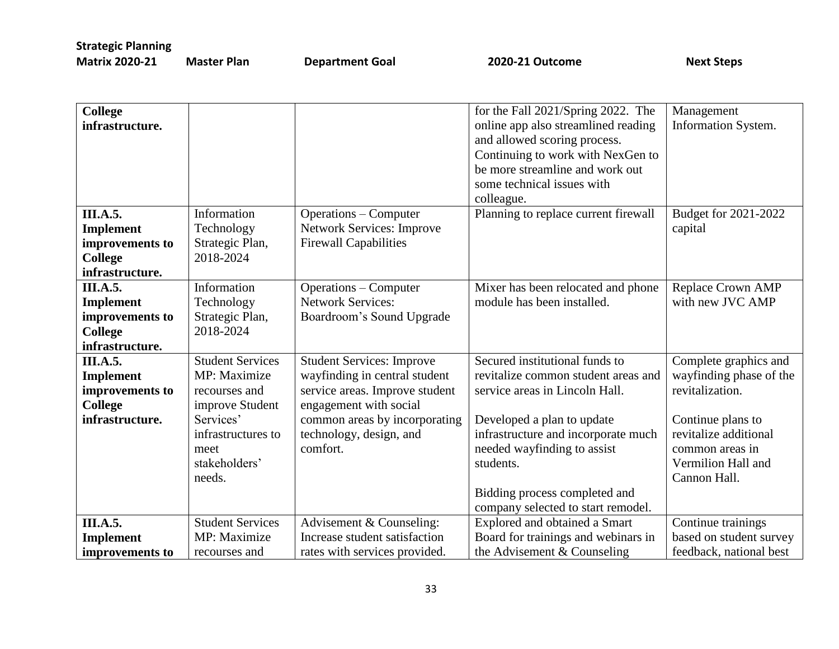| <b>College</b><br>infrastructure.   |                           |                                                                  | for the Fall 2021/Spring 2022. The<br>online app also streamlined reading<br>and allowed scoring process.<br>Continuing to work with NexGen to<br>be more streamline and work out<br>some technical issues with<br>colleague. | Management<br>Information System. |
|-------------------------------------|---------------------------|------------------------------------------------------------------|-------------------------------------------------------------------------------------------------------------------------------------------------------------------------------------------------------------------------------|-----------------------------------|
| III.A.5.                            | Information<br>Technology | <b>Operations – Computer</b><br><b>Network Services: Improve</b> | Planning to replace current firewall                                                                                                                                                                                          | Budget for 2021-2022              |
| <b>Implement</b><br>improvements to | Strategic Plan,           | <b>Firewall Capabilities</b>                                     |                                                                                                                                                                                                                               | capital                           |
| <b>College</b>                      | 2018-2024                 |                                                                  |                                                                                                                                                                                                                               |                                   |
| infrastructure.                     |                           |                                                                  |                                                                                                                                                                                                                               |                                   |
| <b>III.A.5.</b>                     | Information               | <b>Operations – Computer</b>                                     | Mixer has been relocated and phone                                                                                                                                                                                            | <b>Replace Crown AMP</b>          |
| <b>Implement</b>                    | Technology                | <b>Network Services:</b>                                         | module has been installed.                                                                                                                                                                                                    | with new JVC AMP                  |
| improvements to                     | Strategic Plan,           | Boardroom's Sound Upgrade                                        |                                                                                                                                                                                                                               |                                   |
| <b>College</b>                      | 2018-2024                 |                                                                  |                                                                                                                                                                                                                               |                                   |
| infrastructure.<br><b>III.A.5.</b>  | <b>Student Services</b>   | <b>Student Services: Improve</b>                                 | Secured institutional funds to                                                                                                                                                                                                | Complete graphics and             |
| <b>Implement</b>                    | MP: Maximize              | wayfinding in central student                                    | revitalize common student areas and                                                                                                                                                                                           | wayfinding phase of the           |
| improvements to                     | recourses and             | service areas. Improve student                                   | service areas in Lincoln Hall.                                                                                                                                                                                                | revitalization.                   |
| <b>College</b>                      | improve Student           | engagement with social                                           |                                                                                                                                                                                                                               |                                   |
| infrastructure.                     | Services'                 | common areas by incorporating                                    | Developed a plan to update                                                                                                                                                                                                    | Continue plans to                 |
|                                     | infrastructures to        | technology, design, and                                          | infrastructure and incorporate much                                                                                                                                                                                           | revitalize additional             |
|                                     | meet                      | comfort.                                                         | needed wayfinding to assist                                                                                                                                                                                                   | common areas in                   |
|                                     | stakeholders'             |                                                                  | students.                                                                                                                                                                                                                     | Vermilion Hall and                |
|                                     | needs.                    |                                                                  |                                                                                                                                                                                                                               | Cannon Hall.                      |
|                                     |                           |                                                                  | Bidding process completed and                                                                                                                                                                                                 |                                   |
| <b>III.A.5.</b>                     | <b>Student Services</b>   | Advisement & Counseling:                                         | company selected to start remodel.<br>Explored and obtained a Smart                                                                                                                                                           | Continue trainings                |
| <b>Implement</b>                    | MP: Maximize              | Increase student satisfaction                                    | Board for trainings and webinars in                                                                                                                                                                                           | based on student survey           |
| improvements to                     | recourses and             | rates with services provided.                                    | the Advisement & Counseling                                                                                                                                                                                                   | feedback, national best           |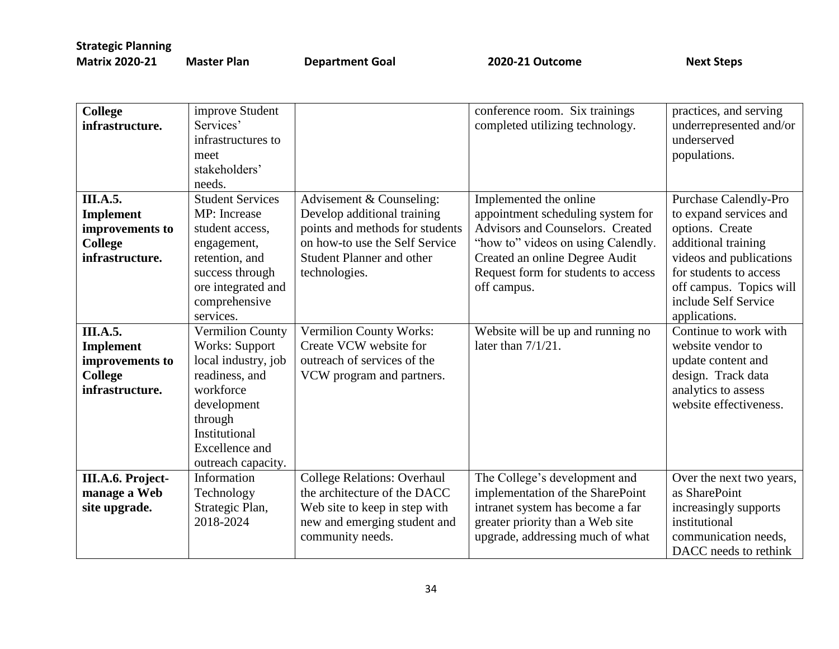| <b>Matrix 2020-21</b> | <b>Mas</b> |
|-----------------------|------------|
|-----------------------|------------|

**Man Ariel 2020-21 Outcome** Computer Plan **Next Steps** 

| <b>College</b><br>infrastructure.                                                           | improve Student<br>Services'<br>infrastructures to<br>meet<br>stakeholders'<br>needs.                                                                                                            |                                                                                                                                                                                   | conference room. Six trainings<br>completed utilizing technology.                                                                                                                                                             | practices, and serving<br>underrepresented and/or<br>underserved<br>populations.                                                                                                                                          |
|---------------------------------------------------------------------------------------------|--------------------------------------------------------------------------------------------------------------------------------------------------------------------------------------------------|-----------------------------------------------------------------------------------------------------------------------------------------------------------------------------------|-------------------------------------------------------------------------------------------------------------------------------------------------------------------------------------------------------------------------------|---------------------------------------------------------------------------------------------------------------------------------------------------------------------------------------------------------------------------|
| <b>III.A.5.</b><br><b>Implement</b><br>improvements to<br><b>College</b><br>infrastructure. | <b>Student Services</b><br>MP: Increase<br>student access,<br>engagement,<br>retention, and<br>success through<br>ore integrated and<br>comprehensive<br>services.                               | Advisement & Counseling:<br>Develop additional training<br>points and methods for students<br>on how-to use the Self Service<br><b>Student Planner and other</b><br>technologies. | Implemented the online<br>appointment scheduling system for<br>Advisors and Counselors. Created<br>"how to" videos on using Calendly.<br>Created an online Degree Audit<br>Request form for students to access<br>off campus. | <b>Purchase Calendly-Pro</b><br>to expand services and<br>options. Create<br>additional training<br>videos and publications<br>for students to access<br>off campus. Topics will<br>include Self Service<br>applications. |
| <b>III.A.5.</b><br>Implement<br>improvements to<br><b>College</b><br>infrastructure.        | <b>Vermilion County</b><br><b>Works: Support</b><br>local industry, job<br>readiness, and<br>workforce<br>development<br>through<br>Institutional<br><b>Excellence</b> and<br>outreach capacity. | Vermilion County Works:<br>Create VCW website for<br>outreach of services of the<br>VCW program and partners.                                                                     | Website will be up and running no<br>later than $7/1/21$ .                                                                                                                                                                    | Continue to work with<br>website vendor to<br>update content and<br>design. Track data<br>analytics to assess<br>website effectiveness.                                                                                   |
| III.A.6. Project-<br>manage a Web<br>site upgrade.                                          | Information<br>Technology<br>Strategic Plan,<br>2018-2024                                                                                                                                        | <b>College Relations: Overhaul</b><br>the architecture of the DACC<br>Web site to keep in step with<br>new and emerging student and<br>community needs.                           | The College's development and<br>implementation of the SharePoint<br>intranet system has become a far<br>greater priority than a Web site<br>upgrade, addressing much of what                                                 | Over the next two years,<br>as SharePoint<br>increasingly supports<br>institutional<br>communication needs,<br>DACC needs to rethink                                                                                      |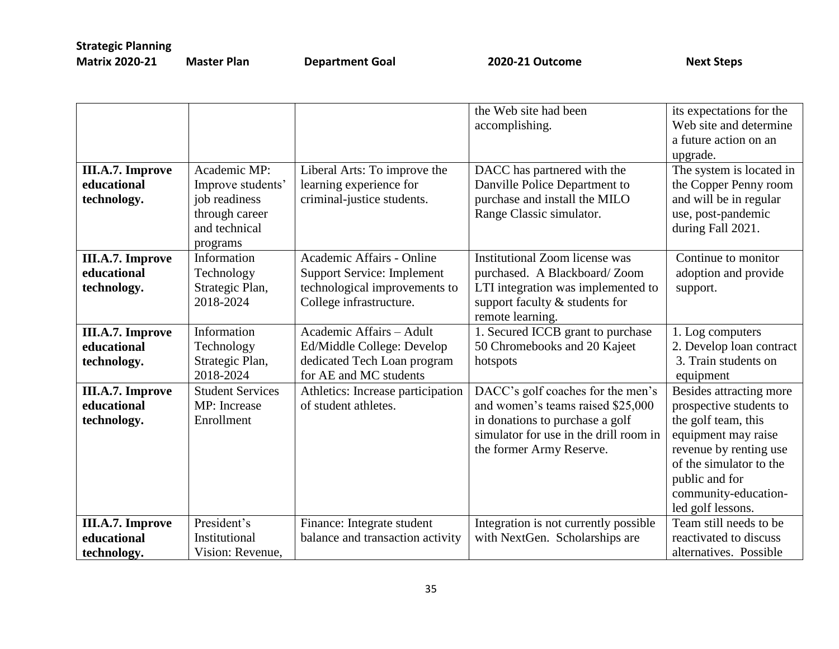|                         |                         |                                   | the Web site had been                  | its expectations for the |
|-------------------------|-------------------------|-----------------------------------|----------------------------------------|--------------------------|
|                         |                         |                                   | accomplishing.                         | Web site and determine   |
|                         |                         |                                   |                                        | a future action on an    |
|                         |                         |                                   |                                        | upgrade.                 |
| III.A.7. Improve        | Academic MP:            | Liberal Arts: To improve the      | DACC has partnered with the            | The system is located in |
| educational             | Improve students'       | learning experience for           | Danville Police Department to          | the Copper Penny room    |
| technology.             | job readiness           | criminal-justice students.        | purchase and install the MILO          | and will be in regular   |
|                         | through career          |                                   | Range Classic simulator.               | use, post-pandemic       |
|                         | and technical           |                                   |                                        | during Fall 2021.        |
|                         | programs                |                                   |                                        |                          |
| III.A.7. Improve        | Information             | Academic Affairs - Online         | <b>Institutional Zoom license was</b>  | Continue to monitor      |
| educational             | Technology              | <b>Support Service: Implement</b> | purchased. A Blackboard/Zoom           | adoption and provide     |
| technology.             | Strategic Plan,         | technological improvements to     | LTI integration was implemented to     | support.                 |
|                         | 2018-2024               | College infrastructure.           | support faculty & students for         |                          |
|                         |                         |                                   | remote learning.                       |                          |
| III.A.7. Improve        | Information             | Academic Affairs - Adult          | 1. Secured ICCB grant to purchase      | 1. Log computers         |
| educational             | Technology              | Ed/Middle College: Develop        | 50 Chromebooks and 20 Kajeet           | 2. Develop loan contract |
| technology.             | Strategic Plan,         | dedicated Tech Loan program       | hotspots                               | 3. Train students on     |
|                         | 2018-2024               | for AE and MC students            |                                        | equipment                |
| <b>III.A.7. Improve</b> | <b>Student Services</b> | Athletics: Increase participation | DACC's golf coaches for the men's      | Besides attracting more  |
| educational             | MP: Increase            | of student athletes.              | and women's teams raised \$25,000      | prospective students to  |
| technology.             | Enrollment              |                                   | in donations to purchase a golf        | the golf team, this      |
|                         |                         |                                   | simulator for use in the drill room in | equipment may raise      |
|                         |                         |                                   | the former Army Reserve.               | revenue by renting use   |
|                         |                         |                                   |                                        | of the simulator to the  |
|                         |                         |                                   |                                        | public and for           |
|                         |                         |                                   |                                        | community-education-     |
|                         |                         |                                   |                                        | led golf lessons.        |
| <b>III.A.7. Improve</b> | President's             | Finance: Integrate student        | Integration is not currently possible  | Team still needs to be   |
| educational             | Institutional           | balance and transaction activity  | with NextGen. Scholarships are         | reactivated to discuss   |
| technology.             | Vision: Revenue,        |                                   |                                        | alternatives. Possible   |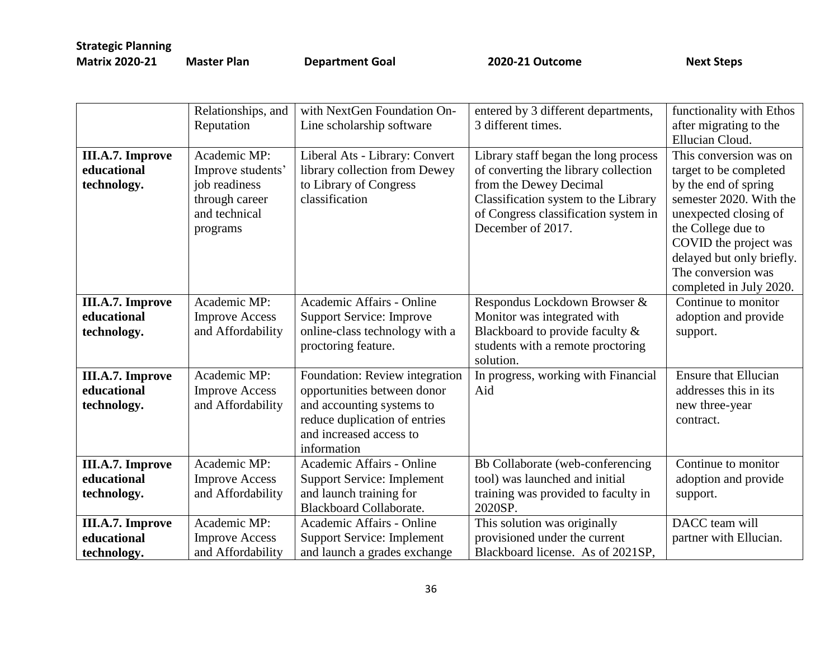**Master Plan Coal 2020-21 Outcome** Next Steps

|                                                       | Relationships, and<br>Reputation                                                                  | with NextGen Foundation On-<br>Line scholarship software                                                                                                              | entered by 3 different departments,<br>3 different times.                                                                                                                                                   | functionality with Ethos<br>after migrating to the<br>Ellucian Cloud.                                                                                                                                                                                     |
|-------------------------------------------------------|---------------------------------------------------------------------------------------------------|-----------------------------------------------------------------------------------------------------------------------------------------------------------------------|-------------------------------------------------------------------------------------------------------------------------------------------------------------------------------------------------------------|-----------------------------------------------------------------------------------------------------------------------------------------------------------------------------------------------------------------------------------------------------------|
| <b>III.A.7. Improve</b><br>educational<br>technology. | Academic MP:<br>Improve students'<br>job readiness<br>through career<br>and technical<br>programs | Liberal Ats - Library: Convert<br>library collection from Dewey<br>to Library of Congress<br>classification                                                           | Library staff began the long process<br>of converting the library collection<br>from the Dewey Decimal<br>Classification system to the Library<br>of Congress classification system in<br>December of 2017. | This conversion was on<br>target to be completed<br>by the end of spring<br>semester 2020. With the<br>unexpected closing of<br>the College due to<br>COVID the project was<br>delayed but only briefly.<br>The conversion was<br>completed in July 2020. |
| III.A.7. Improve<br>educational<br>technology.        | Academic MP:<br><b>Improve Access</b><br>and Affordability                                        | Academic Affairs - Online<br><b>Support Service: Improve</b><br>online-class technology with a<br>proctoring feature.                                                 | Respondus Lockdown Browser &<br>Monitor was integrated with<br>Blackboard to provide faculty &<br>students with a remote proctoring<br>solution.                                                            | Continue to monitor<br>adoption and provide<br>support.                                                                                                                                                                                                   |
| <b>III.A.7. Improve</b><br>educational<br>technology. | Academic MP:<br><b>Improve Access</b><br>and Affordability                                        | Foundation: Review integration<br>opportunities between donor<br>and accounting systems to<br>reduce duplication of entries<br>and increased access to<br>information | In progress, working with Financial<br>Aid                                                                                                                                                                  | <b>Ensure that Ellucian</b><br>addresses this in its<br>new three-year<br>contract.                                                                                                                                                                       |
| III.A.7. Improve<br>educational<br>technology.        | Academic MP:<br><b>Improve Access</b><br>and Affordability                                        | Academic Affairs - Online<br><b>Support Service: Implement</b><br>and launch training for<br><b>Blackboard Collaborate.</b>                                           | Bb Collaborate (web-conferencing<br>tool) was launched and initial<br>training was provided to faculty in<br>2020SP.                                                                                        | Continue to monitor<br>adoption and provide<br>support.                                                                                                                                                                                                   |
| III.A.7. Improve<br>educational<br>technology.        | Academic MP:<br><b>Improve Access</b><br>and Affordability                                        | Academic Affairs - Online<br><b>Support Service: Implement</b><br>and launch a grades exchange                                                                        | This solution was originally<br>provisioned under the current<br>Blackboard license. As of 2021SP,                                                                                                          | DACC team will<br>partner with Ellucian.                                                                                                                                                                                                                  |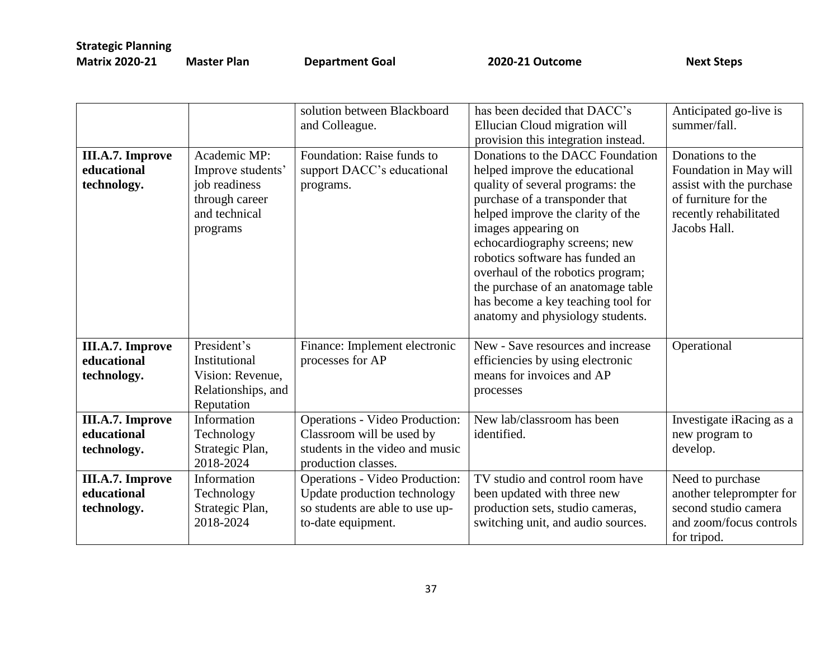| <b>Matrix 2020-21</b> | Ma |
|-----------------------|----|
|                       |    |

**Mater Plan Coal 2020-21 Outcome** Next Steps

|                                                       |                                                                                                   | solution between Blackboard<br>and Colleague.                                                                                  | has been decided that DACC's<br>Ellucian Cloud migration will<br>provision this integration instead.                                                                                                                                                                                                                                                                                                                          | Anticipated go-live is<br>summer/fall.                                                                                                   |
|-------------------------------------------------------|---------------------------------------------------------------------------------------------------|--------------------------------------------------------------------------------------------------------------------------------|-------------------------------------------------------------------------------------------------------------------------------------------------------------------------------------------------------------------------------------------------------------------------------------------------------------------------------------------------------------------------------------------------------------------------------|------------------------------------------------------------------------------------------------------------------------------------------|
| <b>III.A.7. Improve</b><br>educational<br>technology. | Academic MP:<br>Improve students'<br>job readiness<br>through career<br>and technical<br>programs | Foundation: Raise funds to<br>support DACC's educational<br>programs.                                                          | Donations to the DACC Foundation<br>helped improve the educational<br>quality of several programs: the<br>purchase of a transponder that<br>helped improve the clarity of the<br>images appearing on<br>echocardiography screens; new<br>robotics software has funded an<br>overhaul of the robotics program;<br>the purchase of an anatomage table<br>has become a key teaching tool for<br>anatomy and physiology students. | Donations to the<br>Foundation in May will<br>assist with the purchase<br>of furniture for the<br>recently rehabilitated<br>Jacobs Hall. |
| <b>III.A.7. Improve</b><br>educational<br>technology. | President's<br>Institutional<br>Vision: Revenue,<br>Relationships, and<br>Reputation              | Finance: Implement electronic<br>processes for AP                                                                              | New - Save resources and increase<br>efficiencies by using electronic<br>means for invoices and AP<br>processes                                                                                                                                                                                                                                                                                                               | Operational                                                                                                                              |
| <b>III.A.7. Improve</b><br>educational<br>technology. | Information<br>Technology<br>Strategic Plan,<br>2018-2024                                         | <b>Operations - Video Production:</b><br>Classroom will be used by<br>students in the video and music<br>production classes.   | New lab/classroom has been<br>identified.                                                                                                                                                                                                                                                                                                                                                                                     | Investigate iRacing as a<br>new program to<br>develop.                                                                                   |
| <b>III.A.7. Improve</b><br>educational<br>technology. | Information<br>Technology<br>Strategic Plan,<br>2018-2024                                         | <b>Operations - Video Production:</b><br>Update production technology<br>so students are able to use up-<br>to-date equipment. | TV studio and control room have<br>been updated with three new<br>production sets, studio cameras,<br>switching unit, and audio sources.                                                                                                                                                                                                                                                                                      | Need to purchase<br>another teleprompter for<br>second studio camera<br>and zoom/focus controls<br>for tripod.                           |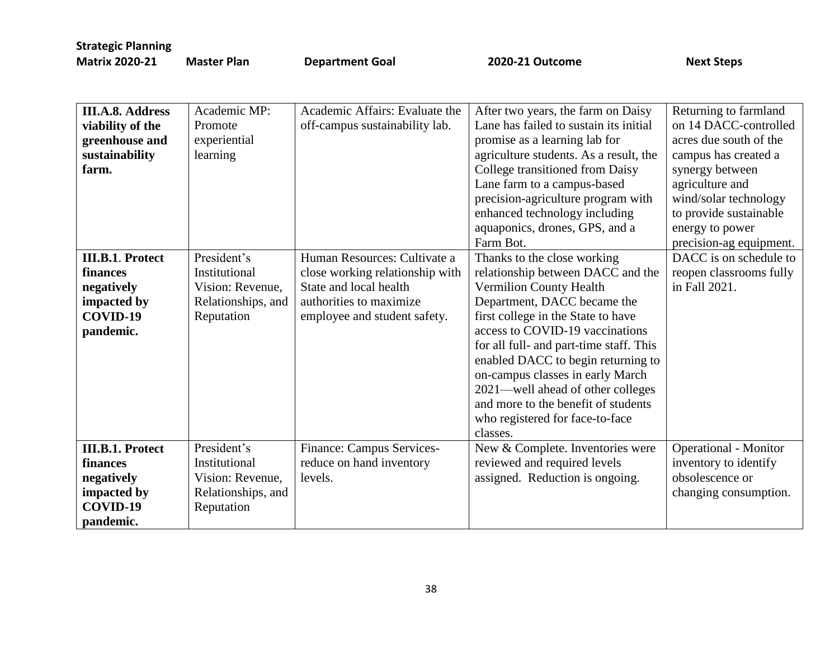**Master Plan Coal 2020-21 Outcome** Next Steps

| <b>III.A.8. Address</b> | Academic MP:       | Academic Affairs: Evaluate the   | After two years, the farm on Daisy      | Returning to farmland        |
|-------------------------|--------------------|----------------------------------|-----------------------------------------|------------------------------|
| viability of the        | Promote            | off-campus sustainability lab.   | Lane has failed to sustain its initial  | on 14 DACC-controlled        |
| greenhouse and          | experiential       |                                  | promise as a learning lab for           | acres due south of the       |
| sustainability          | learning           |                                  | agriculture students. As a result, the  | campus has created a         |
| farm.                   |                    |                                  | College transitioned from Daisy         | synergy between              |
|                         |                    |                                  | Lane farm to a campus-based             | agriculture and              |
|                         |                    |                                  | precision-agriculture program with      | wind/solar technology        |
|                         |                    |                                  | enhanced technology including           | to provide sustainable       |
|                         |                    |                                  | aquaponics, drones, GPS, and a          | energy to power              |
|                         |                    |                                  | Farm Bot.                               | precision-ag equipment.      |
| <b>III.B.1. Protect</b> | President's        | Human Resources: Cultivate a     | Thanks to the close working             | DACC is on schedule to       |
| finances                | Institutional      | close working relationship with  | relationship between DACC and the       | reopen classrooms fully      |
| negatively              | Vision: Revenue,   | State and local health           | Vermilion County Health                 | in Fall 2021.                |
| impacted by             | Relationships, and | authorities to maximize          | Department, DACC became the             |                              |
| COVID-19                | Reputation         | employee and student safety.     | first college in the State to have      |                              |
| pandemic.               |                    |                                  | access to COVID-19 vaccinations         |                              |
|                         |                    |                                  | for all full- and part-time staff. This |                              |
|                         |                    |                                  | enabled DACC to begin returning to      |                              |
|                         |                    |                                  | on-campus classes in early March        |                              |
|                         |                    |                                  | 2021—well ahead of other colleges       |                              |
|                         |                    |                                  | and more to the benefit of students     |                              |
|                         |                    |                                  | who registered for face-to-face         |                              |
|                         |                    |                                  | classes.                                |                              |
| <b>III.B.1. Protect</b> | President's        | <b>Finance: Campus Services-</b> | New & Complete. Inventories were        | <b>Operational - Monitor</b> |
| finances                | Institutional      | reduce on hand inventory         | reviewed and required levels            | inventory to identify        |
| negatively              | Vision: Revenue,   | levels.                          | assigned. Reduction is ongoing.         | obsolescence or              |
| impacted by             | Relationships, and |                                  |                                         | changing consumption.        |
| COVID-19                | Reputation         |                                  |                                         |                              |
| pandemic.               |                    |                                  |                                         |                              |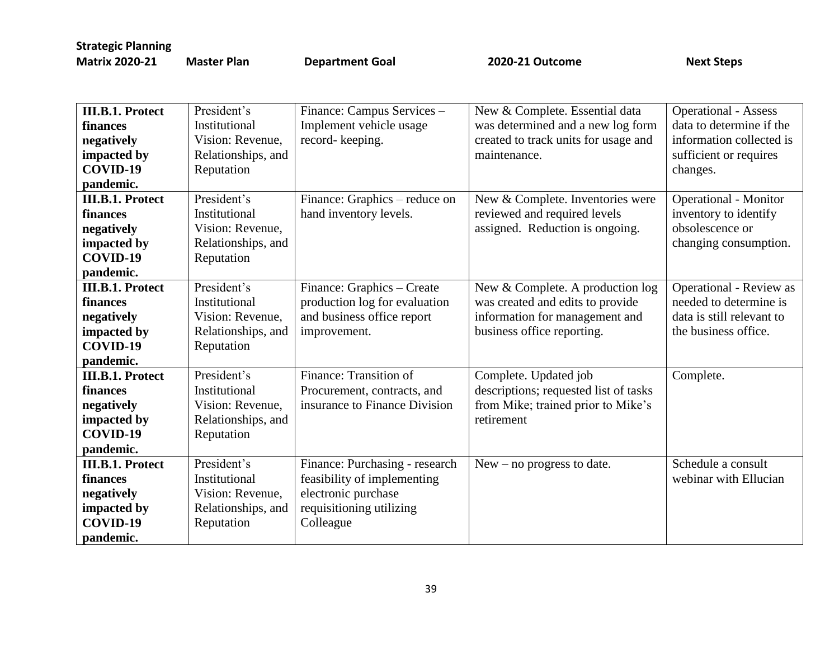| <b>III.B.1. Protect</b> | President's        | Finance: Campus Services -     | New & Complete. Essential data        | <b>Operational - Assess</b>    |
|-------------------------|--------------------|--------------------------------|---------------------------------------|--------------------------------|
| finances                | Institutional      | Implement vehicle usage        | was determined and a new log form     | data to determine if the       |
| negatively              | Vision: Revenue,   | record-keeping.                | created to track units for usage and  | information collected is       |
| impacted by             | Relationships, and |                                | maintenance.                          | sufficient or requires         |
| COVID-19                | Reputation         |                                |                                       | changes.                       |
| pandemic.               |                    |                                |                                       |                                |
| <b>III.B.1. Protect</b> | President's        | Finance: Graphics – reduce on  | New & Complete. Inventories were      | <b>Operational - Monitor</b>   |
| finances                | Institutional      | hand inventory levels.         | reviewed and required levels          | inventory to identify          |
| negatively              | Vision: Revenue,   |                                | assigned. Reduction is ongoing.       | obsolescence or                |
| impacted by             | Relationships, and |                                |                                       | changing consumption.          |
| COVID-19                | Reputation         |                                |                                       |                                |
| pandemic.               |                    |                                |                                       |                                |
| <b>III.B.1. Protect</b> | President's        | Finance: Graphics - Create     | New & Complete. A production log      | <b>Operational - Review as</b> |
| finances                | Institutional      | production log for evaluation  | was created and edits to provide      | needed to determine is         |
| negatively              | Vision: Revenue,   | and business office report     | information for management and        | data is still relevant to      |
| impacted by             | Relationships, and | improvement.                   | business office reporting.            | the business office.           |
| COVID-19                | Reputation         |                                |                                       |                                |
| pandemic.               |                    |                                |                                       |                                |
| <b>III.B.1. Protect</b> | President's        | Finance: Transition of         | Complete. Updated job                 | Complete.                      |
| finances                | Institutional      | Procurement, contracts, and    | descriptions; requested list of tasks |                                |
| negatively              | Vision: Revenue,   | insurance to Finance Division  | from Mike; trained prior to Mike's    |                                |
| impacted by             | Relationships, and |                                | retirement                            |                                |
| COVID-19                | Reputation         |                                |                                       |                                |
| pandemic.               |                    |                                |                                       |                                |
| <b>III.B.1. Protect</b> | President's        | Finance: Purchasing - research | $New - no progress to date.$          | Schedule a consult             |
| finances                | Institutional      | feasibility of implementing    |                                       | webinar with Ellucian          |
| negatively              | Vision: Revenue,   | electronic purchase            |                                       |                                |
| impacted by             | Relationships, and | requisitioning utilizing       |                                       |                                |
| COVID-19                | Reputation         | Colleague                      |                                       |                                |
| pandemic.               |                    |                                |                                       |                                |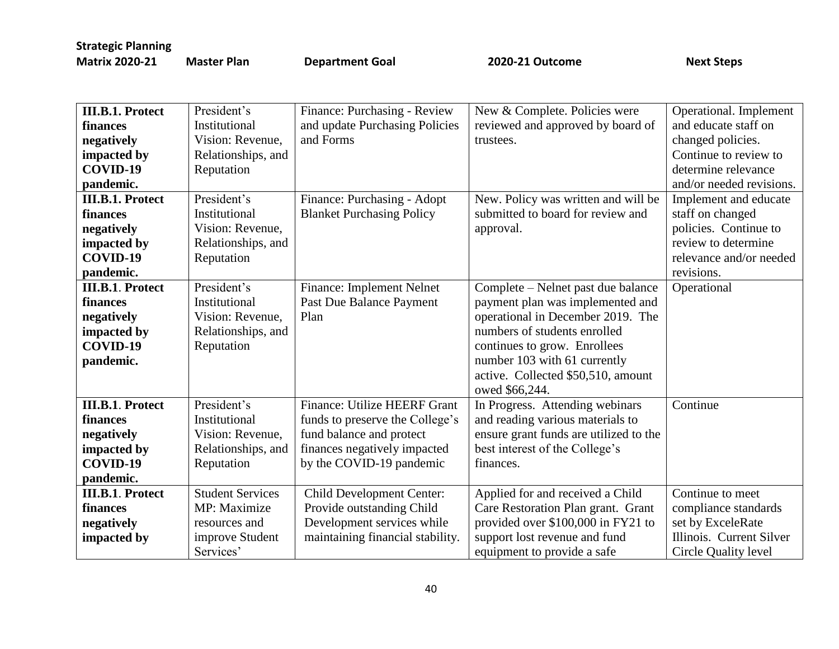| <b>III.B.1. Protect</b> | President's             | Finance: Purchasing - Review        | New & Complete. Policies were          | Operational. Implement   |
|-------------------------|-------------------------|-------------------------------------|----------------------------------------|--------------------------|
| finances                | Institutional           | and update Purchasing Policies      | reviewed and approved by board of      | and educate staff on     |
| negatively              | Vision: Revenue,        | and Forms                           | trustees.                              | changed policies.        |
| impacted by             | Relationships, and      |                                     |                                        | Continue to review to    |
| COVID-19                | Reputation              |                                     |                                        | determine relevance      |
| pandemic.               |                         |                                     |                                        | and/or needed revisions. |
| <b>III.B.1. Protect</b> | President's             | Finance: Purchasing - Adopt         | New. Policy was written and will be    | Implement and educate    |
| finances                | Institutional           | <b>Blanket Purchasing Policy</b>    | submitted to board for review and      | staff on changed         |
| negatively              | Vision: Revenue,        |                                     | approval.                              | policies. Continue to    |
| impacted by             | Relationships, and      |                                     |                                        | review to determine      |
| COVID-19                | Reputation              |                                     |                                        | relevance and/or needed  |
| pandemic.               |                         |                                     |                                        | revisions.               |
| <b>III.B.1. Protect</b> | President's             | Finance: Implement Nelnet           | Complete – Nelnet past due balance     | Operational              |
| finances                | Institutional           | Past Due Balance Payment            | payment plan was implemented and       |                          |
| negatively              | Vision: Revenue,        | Plan                                | operational in December 2019. The      |                          |
| impacted by             | Relationships, and      |                                     | numbers of students enrolled           |                          |
| COVID-19                | Reputation              |                                     | continues to grow. Enrollees           |                          |
| pandemic.               |                         |                                     | number 103 with 61 currently           |                          |
|                         |                         |                                     | active. Collected \$50,510, amount     |                          |
|                         |                         |                                     | owed \$66,244.                         |                          |
| <b>III.B.1. Protect</b> | President's             | <b>Finance: Utilize HEERF Grant</b> | In Progress. Attending webinars        | Continue                 |
| finances                | Institutional           | funds to preserve the College's     | and reading various materials to       |                          |
| negatively              | Vision: Revenue,        | fund balance and protect            | ensure grant funds are utilized to the |                          |
| impacted by             | Relationships, and      | finances negatively impacted        | best interest of the College's         |                          |
| COVID-19                | Reputation              | by the COVID-19 pandemic            | finances.                              |                          |
| pandemic.               |                         |                                     |                                        |                          |
| <b>III.B.1. Protect</b> | <b>Student Services</b> | Child Development Center:           | Applied for and received a Child       | Continue to meet         |
| finances                | MP: Maximize            | Provide outstanding Child           | Care Restoration Plan grant. Grant     | compliance standards     |
| negatively              | resources and           | Development services while          | provided over \$100,000 in FY21 to     | set by ExceleRate        |
| impacted by             | improve Student         | maintaining financial stability.    | support lost revenue and fund          | Illinois. Current Silver |
|                         | Services'               |                                     | equipment to provide a safe            | Circle Quality level     |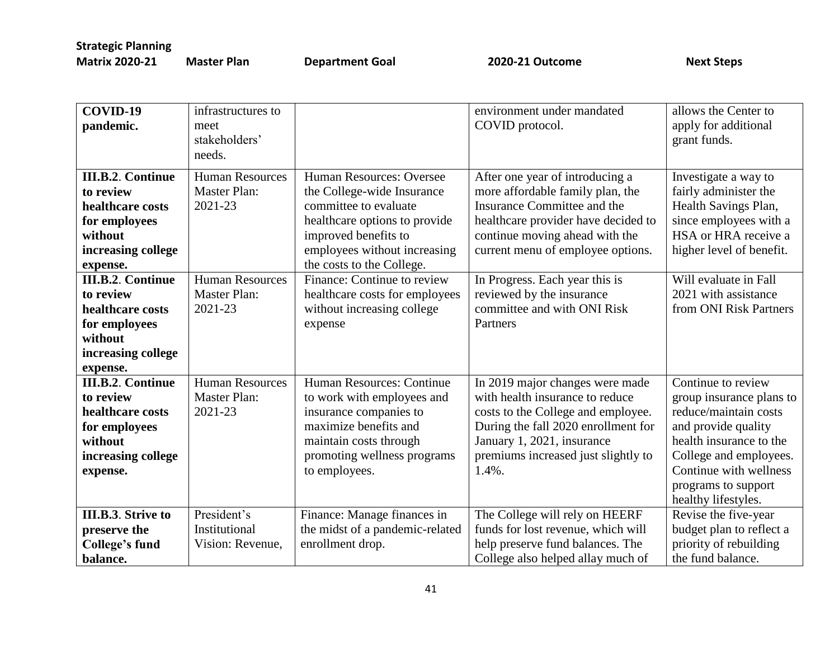| COVID-19<br>pandemic.                                                                                                   | infrastructures to<br>meet<br>stakeholders'<br>needs.    |                                                                                                                                                                                                       | environment under mandated<br>COVID protocol.                                                                                                                                                                                 | allows the Center to<br>apply for additional<br>grant funds.                                                                                                                                                                |
|-------------------------------------------------------------------------------------------------------------------------|----------------------------------------------------------|-------------------------------------------------------------------------------------------------------------------------------------------------------------------------------------------------------|-------------------------------------------------------------------------------------------------------------------------------------------------------------------------------------------------------------------------------|-----------------------------------------------------------------------------------------------------------------------------------------------------------------------------------------------------------------------------|
| <b>III.B.2. Continue</b><br>to review<br>healthcare costs<br>for employees<br>without<br>increasing college<br>expense. | <b>Human Resources</b><br><b>Master Plan:</b><br>2021-23 | Human Resources: Oversee<br>the College-wide Insurance<br>committee to evaluate<br>healthcare options to provide<br>improved benefits to<br>employees without increasing<br>the costs to the College. | After one year of introducing a<br>more affordable family plan, the<br>Insurance Committee and the<br>healthcare provider have decided to<br>continue moving ahead with the<br>current menu of employee options.              | Investigate a way to<br>fairly administer the<br>Health Savings Plan,<br>since employees with a<br>HSA or HRA receive a<br>higher level of benefit.                                                                         |
| <b>III.B.2. Continue</b><br>to review<br>healthcare costs<br>for employees<br>without<br>increasing college<br>expense. | <b>Human Resources</b><br><b>Master Plan:</b><br>2021-23 | Finance: Continue to review<br>healthcare costs for employees<br>without increasing college<br>expense                                                                                                | In Progress. Each year this is<br>reviewed by the insurance<br>committee and with ONI Risk<br>Partners                                                                                                                        | Will evaluate in Fall<br>2021 with assistance<br>from ONI Risk Partners                                                                                                                                                     |
| <b>III.B.2. Continue</b><br>to review<br>healthcare costs<br>for employees<br>without<br>increasing college<br>expense. | <b>Human Resources</b><br><b>Master Plan:</b><br>2021-23 | Human Resources: Continue<br>to work with employees and<br>insurance companies to<br>maximize benefits and<br>maintain costs through<br>promoting wellness programs<br>to employees.                  | In 2019 major changes were made<br>with health insurance to reduce<br>costs to the College and employee.<br>During the fall 2020 enrollment for<br>January 1, 2021, insurance<br>premiums increased just slightly to<br>1.4%. | Continue to review<br>group insurance plans to<br>reduce/maintain costs<br>and provide quality<br>health insurance to the<br>College and employees.<br>Continue with wellness<br>programs to support<br>healthy lifestyles. |
| <b>III.B.3.</b> Strive to<br>preserve the<br><b>College's fund</b><br>balance.                                          | President's<br>Institutional<br>Vision: Revenue,         | Finance: Manage finances in<br>the midst of a pandemic-related<br>enrollment drop.                                                                                                                    | The College will rely on HEERF<br>funds for lost revenue, which will<br>help preserve fund balances. The<br>College also helped allay much of                                                                                 | Revise the five-year<br>budget plan to reflect a<br>priority of rebuilding<br>the fund balance.                                                                                                                             |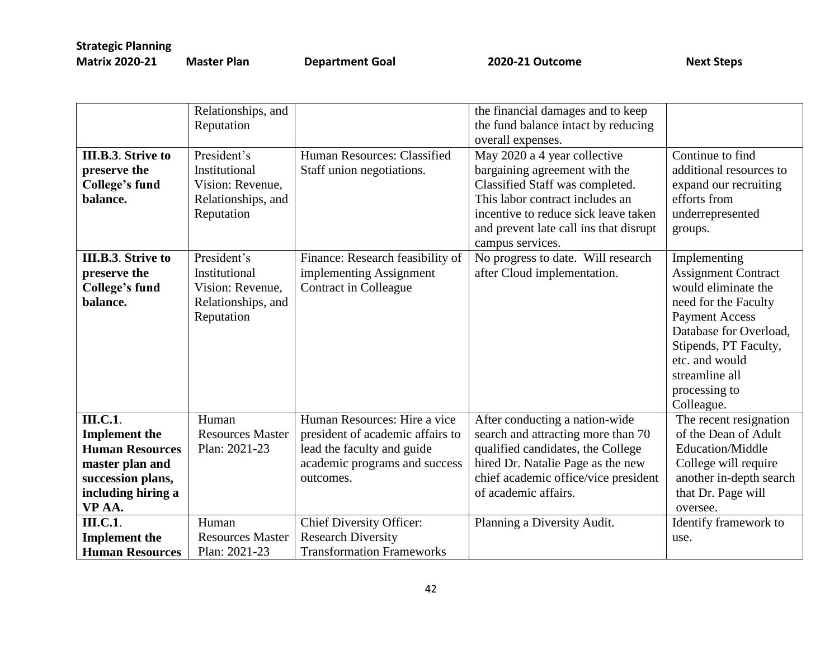|                           | Relationships, and      |                                  | the financial damages and to keep      |                            |
|---------------------------|-------------------------|----------------------------------|----------------------------------------|----------------------------|
|                           | Reputation              |                                  | the fund balance intact by reducing    |                            |
|                           |                         |                                  | overall expenses.                      |                            |
| <b>III.B.3. Strive to</b> | President's             | Human Resources: Classified      | May 2020 a 4 year collective           | Continue to find           |
| preserve the              | Institutional           | Staff union negotiations.        | bargaining agreement with the          | additional resources to    |
| <b>College's fund</b>     | Vision: Revenue,        |                                  | Classified Staff was completed.        | expand our recruiting      |
| balance.                  | Relationships, and      |                                  | This labor contract includes an        | efforts from               |
|                           | Reputation              |                                  | incentive to reduce sick leave taken   | underrepresented           |
|                           |                         |                                  | and prevent late call ins that disrupt | groups.                    |
|                           |                         |                                  | campus services.                       |                            |
| <b>III.B.3.</b> Strive to | President's             | Finance: Research feasibility of | No progress to date. Will research     | Implementing               |
| preserve the              | Institutional           | implementing Assignment          | after Cloud implementation.            | <b>Assignment Contract</b> |
| <b>College's fund</b>     | Vision: Revenue,        | Contract in Colleague            |                                        | would eliminate the        |
| balance.                  | Relationships, and      |                                  |                                        | need for the Faculty       |
|                           | Reputation              |                                  |                                        | <b>Payment Access</b>      |
|                           |                         |                                  |                                        | Database for Overload.     |
|                           |                         |                                  |                                        | Stipends, PT Faculty,      |
|                           |                         |                                  |                                        | etc. and would             |
|                           |                         |                                  |                                        | streamline all             |
|                           |                         |                                  |                                        | processing to              |
|                           |                         |                                  |                                        | Colleague.                 |
| <b>III.C.1</b> .          | Human                   | Human Resources: Hire a vice     | After conducting a nation-wide         | The recent resignation     |
| <b>Implement</b> the      | <b>Resources Master</b> | president of academic affairs to | search and attracting more than 70     | of the Dean of Adult       |
| <b>Human Resources</b>    | Plan: 2021-23           | lead the faculty and guide       | qualified candidates, the College      | Education/Middle           |
|                           |                         |                                  | hired Dr. Natalie Page as the new      |                            |
| master plan and           |                         | academic programs and success    |                                        | College will require       |
| succession plans,         |                         | outcomes.                        | chief academic office/vice president   | another in-depth search    |
| including hiring a        |                         |                                  | of academic affairs.                   | that Dr. Page will         |
| VP AA.                    |                         |                                  |                                        | oversee.                   |
| <b>III.C.1</b> .          | Human                   | <b>Chief Diversity Officer:</b>  | Planning a Diversity Audit.            | Identify framework to      |
| <b>Implement</b> the      | <b>Resources Master</b> | <b>Research Diversity</b>        |                                        | use.                       |
| <b>Human Resources</b>    | Plan: 2021-23           | <b>Transformation Frameworks</b> |                                        |                            |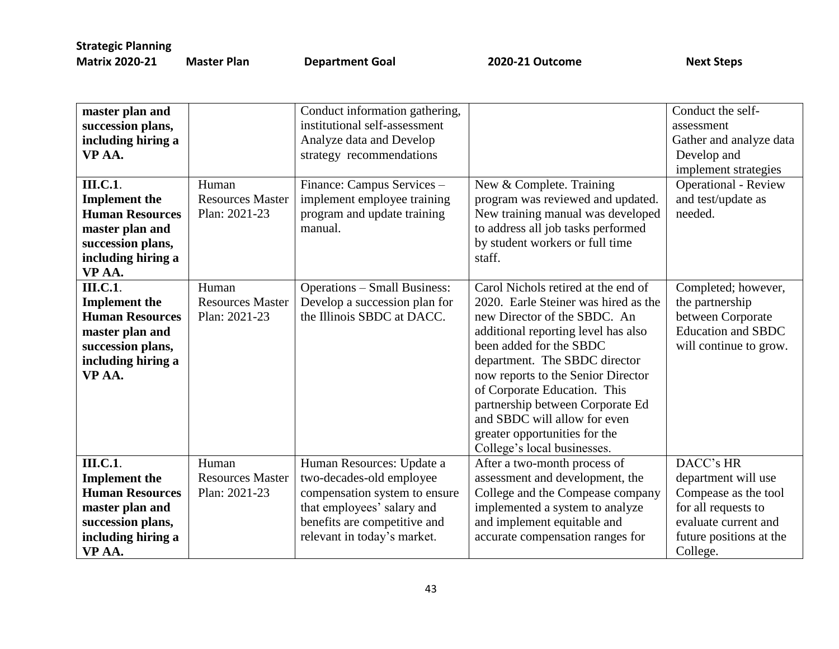| master plan and<br>succession plans,<br>including hiring a<br>VP AA.<br><b>III.C.1</b> .<br><b>Implement the</b><br><b>Human Resources</b><br>master plan and<br>succession plans,<br>including hiring a | Human<br><b>Resources Master</b><br>Plan: 2021-23 | Conduct information gathering,<br>institutional self-assessment<br>Analyze data and Develop<br>strategy recommendations<br>Finance: Campus Services -<br>implement employee training<br>program and update training<br>manual. | New & Complete. Training<br>program was reviewed and updated.<br>New training manual was developed<br>to address all job tasks performed<br>by student workers or full time<br>staff.                                                                                                                                                                                                                                    | Conduct the self-<br>assessment<br>Gather and analyze data<br>Develop and<br>implement strategies<br>Operational - Review<br>and test/update as<br>needed. |
|----------------------------------------------------------------------------------------------------------------------------------------------------------------------------------------------------------|---------------------------------------------------|--------------------------------------------------------------------------------------------------------------------------------------------------------------------------------------------------------------------------------|--------------------------------------------------------------------------------------------------------------------------------------------------------------------------------------------------------------------------------------------------------------------------------------------------------------------------------------------------------------------------------------------------------------------------|------------------------------------------------------------------------------------------------------------------------------------------------------------|
| VP AA.<br><b>III.C.1</b> .<br><b>Implement the</b><br><b>Human Resources</b><br>master plan and<br>succession plans,<br>including hiring a<br>VP AA.                                                     | Human<br><b>Resources Master</b><br>Plan: 2021-23 | <b>Operations - Small Business:</b><br>Develop a succession plan for<br>the Illinois SBDC at DACC.                                                                                                                             | Carol Nichols retired at the end of<br>2020. Earle Steiner was hired as the<br>new Director of the SBDC. An<br>additional reporting level has also<br>been added for the SBDC<br>department. The SBDC director<br>now reports to the Senior Director<br>of Corporate Education. This<br>partnership between Corporate Ed<br>and SBDC will allow for even<br>greater opportunities for the<br>College's local businesses. | Completed; however,<br>the partnership<br>between Corporate<br><b>Education and SBDC</b><br>will continue to grow.                                         |
| <b>III.C.1</b> .<br><b>Implement</b> the<br><b>Human Resources</b><br>master plan and<br>succession plans,<br>including hiring a<br>VP AA.                                                               | Human<br><b>Resources Master</b><br>Plan: 2021-23 | Human Resources: Update a<br>two-decades-old employee<br>compensation system to ensure<br>that employees' salary and<br>benefits are competitive and<br>relevant in today's market.                                            | After a two-month process of<br>assessment and development, the<br>College and the Compease company<br>implemented a system to analyze<br>and implement equitable and<br>accurate compensation ranges for                                                                                                                                                                                                                | DACC's HR<br>department will use<br>Compease as the tool<br>for all requests to<br>evaluate current and<br>future positions at the<br>College.             |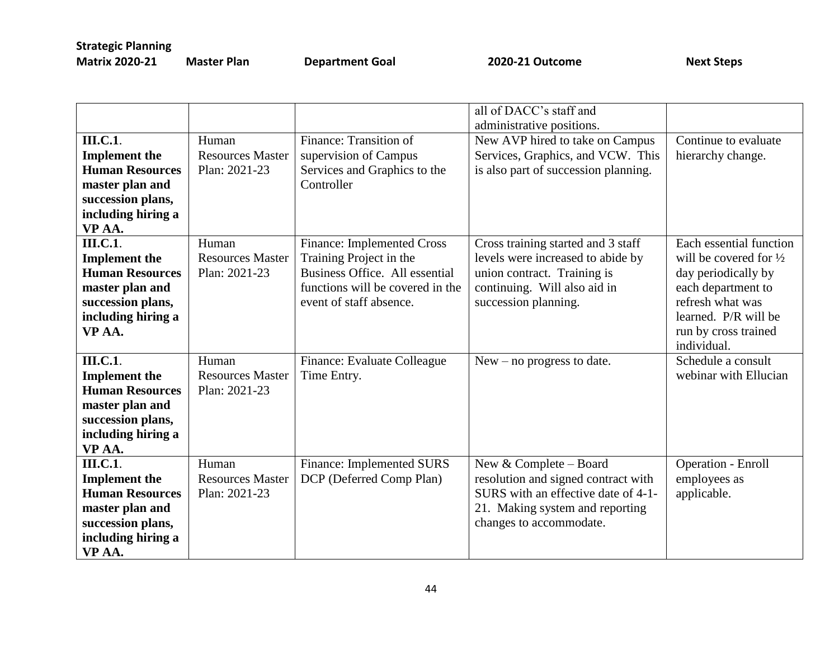|                        |                         |                                   | all of DACC's staff and              |                                   |
|------------------------|-------------------------|-----------------------------------|--------------------------------------|-----------------------------------|
|                        |                         |                                   | administrative positions.            |                                   |
| <b>III.C.1</b> .       | Human                   | Finance: Transition of            | New AVP hired to take on Campus      | Continue to evaluate              |
| <b>Implement</b> the   | <b>Resources Master</b> | supervision of Campus             | Services, Graphics, and VCW. This    | hierarchy change.                 |
| <b>Human Resources</b> | Plan: 2021-23           | Services and Graphics to the      | is also part of succession planning. |                                   |
| master plan and        |                         | Controller                        |                                      |                                   |
| succession plans,      |                         |                                   |                                      |                                   |
| including hiring a     |                         |                                   |                                      |                                   |
| VP AA.                 |                         |                                   |                                      |                                   |
| <b>III.C.1</b> .       | Human                   | <b>Finance: Implemented Cross</b> | Cross training started and 3 staff   | Each essential function           |
| <b>Implement the</b>   | <b>Resources Master</b> | Training Project in the           | levels were increased to abide by    | will be covered for $\frac{1}{2}$ |
| <b>Human Resources</b> | Plan: 2021-23           | Business Office. All essential    | union contract. Training is          | day periodically by               |
| master plan and        |                         | functions will be covered in the  | continuing. Will also aid in         | each department to                |
| succession plans,      |                         | event of staff absence.           | succession planning.                 | refresh what was                  |
| including hiring a     |                         |                                   |                                      | learned. P/R will be              |
| VP AA.                 |                         |                                   |                                      | run by cross trained              |
|                        |                         |                                   |                                      | individual.                       |
| <b>III.C.1</b> .       | Human                   | Finance: Evaluate Colleague       | $New - no progress to date.$         | Schedule a consult                |
| <b>Implement</b> the   | <b>Resources Master</b> | Time Entry.                       |                                      | webinar with Ellucian             |
| <b>Human Resources</b> | Plan: 2021-23           |                                   |                                      |                                   |
| master plan and        |                         |                                   |                                      |                                   |
| succession plans,      |                         |                                   |                                      |                                   |
| including hiring a     |                         |                                   |                                      |                                   |
| VP AA.                 |                         |                                   |                                      |                                   |
| <b>III.C.1</b> .       | Human                   | Finance: Implemented SURS         | New & Complete - Board               | <b>Operation - Enroll</b>         |
| <b>Implement</b> the   | <b>Resources Master</b> | DCP (Deferred Comp Plan)          | resolution and signed contract with  | employees as                      |
| <b>Human Resources</b> | Plan: 2021-23           |                                   | SURS with an effective date of 4-1-  | applicable.                       |
| master plan and        |                         |                                   | 21. Making system and reporting      |                                   |
| succession plans,      |                         |                                   | changes to accommodate.              |                                   |
| including hiring a     |                         |                                   |                                      |                                   |
| VP AA.                 |                         |                                   |                                      |                                   |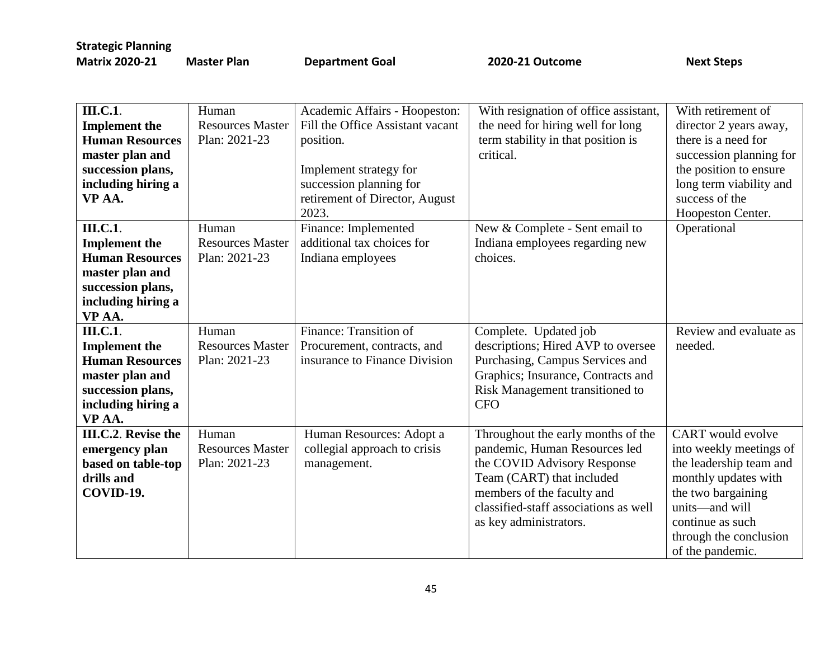| <b>III.C.1</b> .       | Human                   | Academic Affairs - Hoopeston:    | With resignation of office assistant, | With retirement of       |
|------------------------|-------------------------|----------------------------------|---------------------------------------|--------------------------|
|                        | <b>Resources Master</b> | Fill the Office Assistant vacant |                                       |                          |
| <b>Implement the</b>   |                         |                                  | the need for hiring well for long     | director 2 years away,   |
| <b>Human Resources</b> | Plan: 2021-23           | position.                        | term stability in that position is    | there is a need for      |
| master plan and        |                         |                                  | critical.                             | succession planning for  |
| succession plans,      |                         | Implement strategy for           |                                       | the position to ensure   |
| including hiring a     |                         | succession planning for          |                                       | long term viability and  |
| VP AA.                 |                         | retirement of Director, August   |                                       | success of the           |
|                        |                         | 2023.                            |                                       | Hoopeston Center.        |
| <b>III.C.1</b> .       | Human                   | Finance: Implemented             | New & Complete - Sent email to        | Operational              |
| <b>Implement</b> the   | <b>Resources Master</b> | additional tax choices for       | Indiana employees regarding new       |                          |
| <b>Human Resources</b> | Plan: 2021-23           | Indiana employees                | choices.                              |                          |
| master plan and        |                         |                                  |                                       |                          |
| succession plans,      |                         |                                  |                                       |                          |
| including hiring a     |                         |                                  |                                       |                          |
| VP AA.                 |                         |                                  |                                       |                          |
| <b>III.C.1</b> .       | Human                   | Finance: Transition of           | Complete. Updated job                 | Review and evaluate as   |
| <b>Implement the</b>   | <b>Resources Master</b> | Procurement, contracts, and      | descriptions; Hired AVP to oversee    | needed.                  |
| <b>Human Resources</b> | Plan: 2021-23           | insurance to Finance Division    | Purchasing, Campus Services and       |                          |
| master plan and        |                         |                                  | Graphics; Insurance, Contracts and    |                          |
| succession plans,      |                         |                                  | Risk Management transitioned to       |                          |
| including hiring a     |                         |                                  | <b>CFO</b>                            |                          |
| VP AA.                 |                         |                                  |                                       |                          |
| III.C.2. Revise the    | Human                   | Human Resources: Adopt a         | Throughout the early months of the    | <b>CART</b> would evolve |
| emergency plan         | <b>Resources Master</b> | collegial approach to crisis     | pandemic, Human Resources led         | into weekly meetings of  |
| based on table-top     | Plan: 2021-23           | management.                      | the COVID Advisory Response           | the leadership team and  |
| drills and             |                         |                                  | Team (CART) that included             | monthly updates with     |
| COVID-19.              |                         |                                  | members of the faculty and            | the two bargaining       |
|                        |                         |                                  | classified-staff associations as well | units-and will           |
|                        |                         |                                  | as key administrators.                | continue as such         |
|                        |                         |                                  |                                       | through the conclusion   |
|                        |                         |                                  |                                       | of the pandemic.         |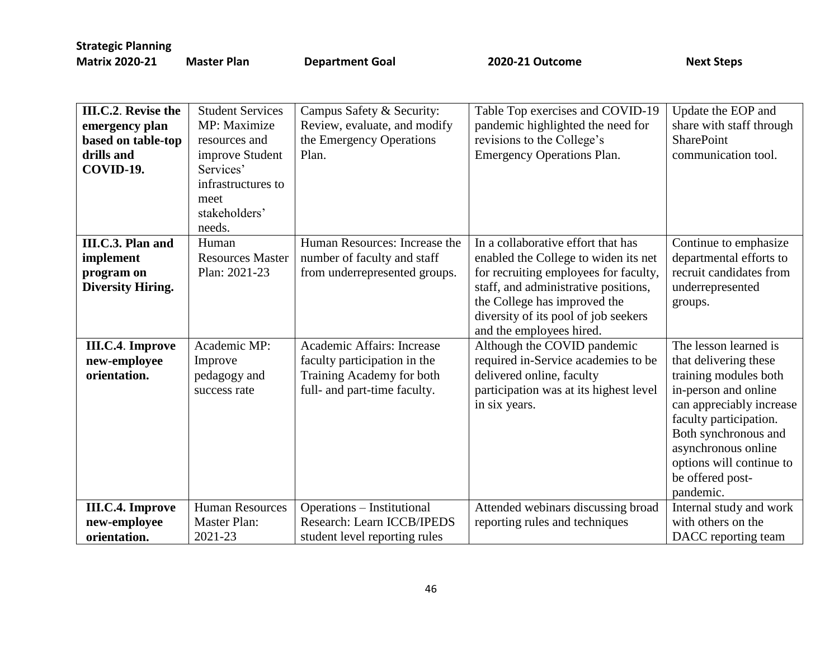| III.C.2. Revise the<br>emergency plan<br>based on table-top<br>drills and<br>COVID-19. | <b>Student Services</b><br>MP: Maximize<br>resources and<br>improve Student<br>Services'<br>infrastructures to<br>meet<br>stakeholders'<br>needs. | Campus Safety & Security:<br>Review, evaluate, and modify<br>the Emergency Operations<br>Plan. | Table Top exercises and COVID-19<br>pandemic highlighted the need for<br>revisions to the College's<br><b>Emergency Operations Plan.</b> | Update the EOP and<br>share with staff through<br><b>SharePoint</b><br>communication tool. |
|----------------------------------------------------------------------------------------|---------------------------------------------------------------------------------------------------------------------------------------------------|------------------------------------------------------------------------------------------------|------------------------------------------------------------------------------------------------------------------------------------------|--------------------------------------------------------------------------------------------|
| III.C.3. Plan and                                                                      | Human                                                                                                                                             | Human Resources: Increase the                                                                  | In a collaborative effort that has                                                                                                       | Continue to emphasize                                                                      |
| implement                                                                              | <b>Resources Master</b>                                                                                                                           | number of faculty and staff                                                                    | enabled the College to widen its net                                                                                                     | departmental efforts to                                                                    |
| program on                                                                             | Plan: 2021-23                                                                                                                                     | from underrepresented groups.                                                                  | for recruiting employees for faculty,                                                                                                    | recruit candidates from                                                                    |
| <b>Diversity Hiring.</b>                                                               |                                                                                                                                                   |                                                                                                | staff, and administrative positions,                                                                                                     | underrepresented                                                                           |
|                                                                                        |                                                                                                                                                   |                                                                                                | the College has improved the                                                                                                             | groups.                                                                                    |
|                                                                                        |                                                                                                                                                   |                                                                                                | diversity of its pool of job seekers                                                                                                     |                                                                                            |
|                                                                                        |                                                                                                                                                   |                                                                                                | and the employees hired.                                                                                                                 |                                                                                            |
| <b>III.C.4. Improve</b>                                                                | Academic MP:                                                                                                                                      | Academic Affairs: Increase                                                                     | Although the COVID pandemic                                                                                                              | The lesson learned is                                                                      |
| new-employee                                                                           | Improve                                                                                                                                           | faculty participation in the                                                                   | required in-Service academies to be                                                                                                      | that delivering these                                                                      |
| orientation.                                                                           | pedagogy and                                                                                                                                      | Training Academy for both                                                                      | delivered online, faculty                                                                                                                | training modules both                                                                      |
|                                                                                        | success rate                                                                                                                                      | full- and part-time faculty.                                                                   | participation was at its highest level                                                                                                   | in-person and online                                                                       |
|                                                                                        |                                                                                                                                                   |                                                                                                | in six years.                                                                                                                            | can appreciably increase                                                                   |
|                                                                                        |                                                                                                                                                   |                                                                                                |                                                                                                                                          | faculty participation.                                                                     |
|                                                                                        |                                                                                                                                                   |                                                                                                |                                                                                                                                          | Both synchronous and                                                                       |
|                                                                                        |                                                                                                                                                   |                                                                                                |                                                                                                                                          | asynchronous online                                                                        |
|                                                                                        |                                                                                                                                                   |                                                                                                |                                                                                                                                          | options will continue to                                                                   |
|                                                                                        |                                                                                                                                                   |                                                                                                |                                                                                                                                          | be offered post-                                                                           |
|                                                                                        |                                                                                                                                                   |                                                                                                |                                                                                                                                          | pandemic.                                                                                  |
| <b>III.C.4. Improve</b>                                                                | <b>Human Resources</b>                                                                                                                            | Operations – Institutional                                                                     | Attended webinars discussing broad                                                                                                       | Internal study and work                                                                    |
| new-employee                                                                           | <b>Master Plan:</b>                                                                                                                               | Research: Learn ICCB/IPEDS                                                                     | reporting rules and techniques                                                                                                           | with others on the                                                                         |
| orientation.                                                                           | 2021-23                                                                                                                                           | student level reporting rules                                                                  |                                                                                                                                          | DACC reporting team                                                                        |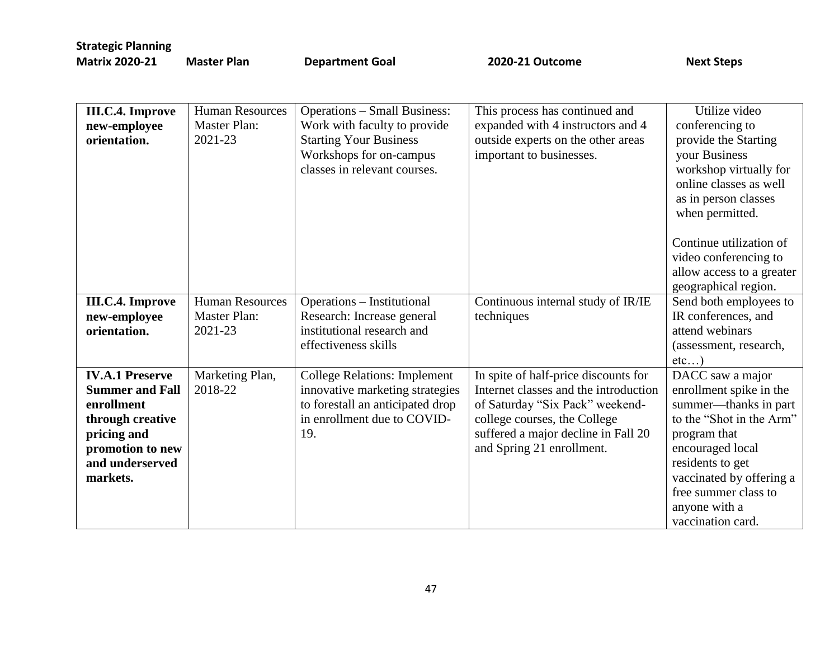**Master Plan Coal 2020-21 Outcome** Next Steps

| <b>III.C.4. Improve</b><br>new-employee<br>orientation.                                                                                              | <b>Human Resources</b><br><b>Master Plan:</b><br>2021-23 | <b>Operations - Small Business:</b><br>Work with faculty to provide<br><b>Starting Your Business</b><br>Workshops for on-campus<br>classes in relevant courses. | This process has continued and<br>expanded with 4 instructors and 4<br>outside experts on the other areas<br>important to businesses.                                                                                | Utilize video<br>conferencing to<br>provide the Starting<br>your Business<br>workshop virtually for<br>online classes as well<br>as in person classes<br>when permitted.                                                                           |
|------------------------------------------------------------------------------------------------------------------------------------------------------|----------------------------------------------------------|-----------------------------------------------------------------------------------------------------------------------------------------------------------------|----------------------------------------------------------------------------------------------------------------------------------------------------------------------------------------------------------------------|----------------------------------------------------------------------------------------------------------------------------------------------------------------------------------------------------------------------------------------------------|
|                                                                                                                                                      |                                                          |                                                                                                                                                                 |                                                                                                                                                                                                                      | Continue utilization of<br>video conferencing to<br>allow access to a greater<br>geographical region.                                                                                                                                              |
| <b>III.C.4. Improve</b><br>new-employee<br>orientation.                                                                                              | <b>Human Resources</b><br><b>Master Plan:</b><br>2021-23 | Operations – Institutional<br>Research: Increase general<br>institutional research and<br>effectiveness skills                                                  | Continuous internal study of IR/IE<br>techniques                                                                                                                                                                     | Send both employees to<br>IR conferences, and<br>attend webinars<br>(assessment, research,<br>etc)                                                                                                                                                 |
| <b>IV.A.1 Preserve</b><br><b>Summer and Fall</b><br>enrollment<br>through creative<br>pricing and<br>promotion to new<br>and underserved<br>markets. | Marketing Plan,<br>2018-22                               | <b>College Relations: Implement</b><br>innovative marketing strategies<br>to forestall an anticipated drop<br>in enrollment due to COVID-<br>19.                | In spite of half-price discounts for<br>Internet classes and the introduction<br>of Saturday "Six Pack" weekend-<br>college courses, the College<br>suffered a major decline in Fall 20<br>and Spring 21 enrollment. | DACC saw a major<br>enrollment spike in the<br>summer—thanks in part<br>to the "Shot in the Arm"<br>program that<br>encouraged local<br>residents to get<br>vaccinated by offering a<br>free summer class to<br>anyone with a<br>vaccination card. |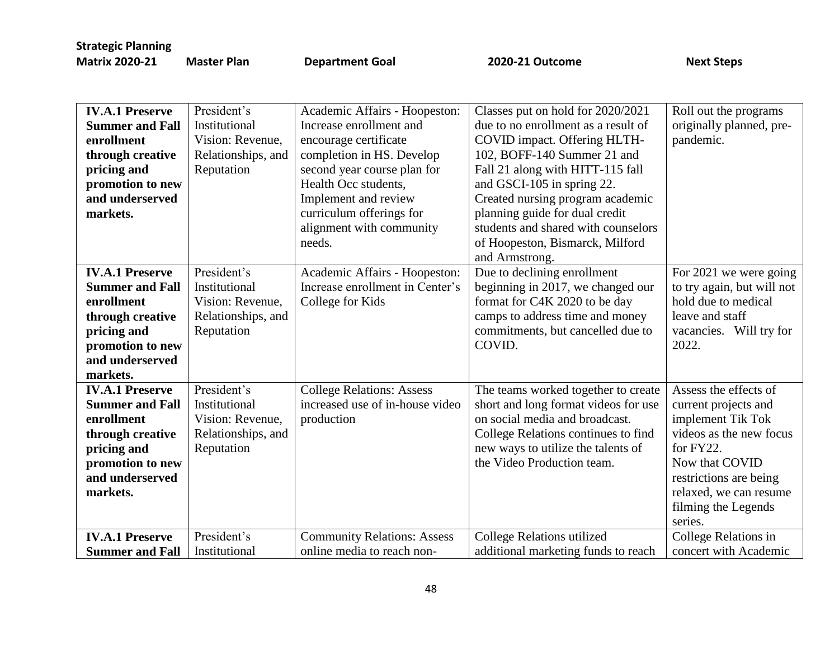| <b>Matrix 2020-21</b> | N |
|-----------------------|---|

**Master Plan COAL Accord Department Goal 2020-21 Outcome Accord Construct Steps** 

| <b>IV.A.1 Preserve</b><br><b>Summer and Fall</b><br>enrollment<br>through creative<br>pricing and<br>promotion to new<br>and underserved<br>markets. | President's<br>Institutional<br>Vision: Revenue,<br>Relationships, and<br>Reputation | Academic Affairs - Hoopeston:<br>Increase enrollment and<br>encourage certificate<br>completion in HS. Develop<br>second year course plan for<br>Health Occ students,<br>Implement and review<br>curriculum offerings for<br>alignment with community | Classes put on hold for 2020/2021<br>due to no enrollment as a result of<br>COVID impact. Offering HLTH-<br>102, BOFF-140 Summer 21 and<br>Fall 21 along with HITT-115 fall<br>and GSCI-105 in spring 22.<br>Created nursing program academic<br>planning guide for dual credit<br>students and shared with counselors | Roll out the programs<br>originally planned, pre-<br>pandemic.                                                                                                                                                     |
|------------------------------------------------------------------------------------------------------------------------------------------------------|--------------------------------------------------------------------------------------|-------------------------------------------------------------------------------------------------------------------------------------------------------------------------------------------------------------------------------------------------------|------------------------------------------------------------------------------------------------------------------------------------------------------------------------------------------------------------------------------------------------------------------------------------------------------------------------|--------------------------------------------------------------------------------------------------------------------------------------------------------------------------------------------------------------------|
|                                                                                                                                                      |                                                                                      | needs.                                                                                                                                                                                                                                                | of Hoopeston, Bismarck, Milford<br>and Armstrong.                                                                                                                                                                                                                                                                      |                                                                                                                                                                                                                    |
| <b>IV.A.1 Preserve</b><br><b>Summer and Fall</b><br>enrollment<br>through creative<br>pricing and<br>promotion to new<br>and underserved<br>markets. | President's<br>Institutional<br>Vision: Revenue,<br>Relationships, and<br>Reputation | Academic Affairs - Hoopeston:<br>Increase enrollment in Center's<br>College for Kids                                                                                                                                                                  | Due to declining enrollment<br>beginning in 2017, we changed our<br>format for C4K 2020 to be day<br>camps to address time and money<br>commitments, but cancelled due to<br>COVID.                                                                                                                                    | For 2021 we were going<br>to try again, but will not<br>hold due to medical<br>leave and staff<br>vacancies. Will try for<br>2022.                                                                                 |
| <b>IV.A.1 Preserve</b><br><b>Summer and Fall</b><br>enrollment<br>through creative<br>pricing and<br>promotion to new<br>and underserved<br>markets. | President's<br>Institutional<br>Vision: Revenue,<br>Relationships, and<br>Reputation | <b>College Relations: Assess</b><br>increased use of in-house video<br>production                                                                                                                                                                     | The teams worked together to create<br>short and long format videos for use<br>on social media and broadcast.<br>College Relations continues to find<br>new ways to utilize the talents of<br>the Video Production team.                                                                                               | Assess the effects of<br>current projects and<br>implement Tik Tok<br>videos as the new focus<br>for FY22.<br>Now that COVID<br>restrictions are being<br>relaxed, we can resume<br>filming the Legends<br>series. |
| <b>IV.A.1 Preserve</b><br><b>Summer and Fall</b>                                                                                                     | President's<br>Institutional                                                         | <b>Community Relations: Assess</b><br>online media to reach non-                                                                                                                                                                                      | College Relations utilized<br>additional marketing funds to reach                                                                                                                                                                                                                                                      | College Relations in<br>concert with Academic                                                                                                                                                                      |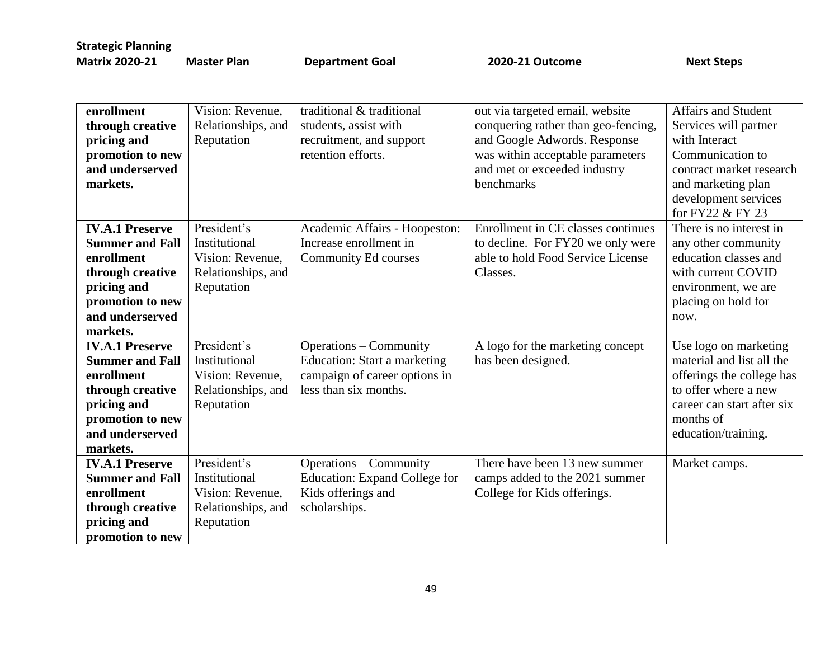| enrollment<br>through creative<br>pricing and<br>promotion to new<br>and underserved<br>markets.                                                     | Vision: Revenue,<br>Relationships, and<br>Reputation                                 | traditional & traditional<br>students, assist with<br>recruitment, and support<br>retention efforts.                           | out via targeted email, website<br>conquering rather than geo-fencing,<br>and Google Adwords. Response<br>was within acceptable parameters<br>and met or exceeded industry<br>benchmarks | <b>Affairs and Student</b><br>Services will partner<br>with Interact<br>Communication to<br>contract market research<br>and marketing plan<br>development services<br>for FY22 & FY 23 |
|------------------------------------------------------------------------------------------------------------------------------------------------------|--------------------------------------------------------------------------------------|--------------------------------------------------------------------------------------------------------------------------------|------------------------------------------------------------------------------------------------------------------------------------------------------------------------------------------|----------------------------------------------------------------------------------------------------------------------------------------------------------------------------------------|
| <b>IV.A.1 Preserve</b><br><b>Summer and Fall</b><br>enrollment<br>through creative<br>pricing and<br>promotion to new<br>and underserved<br>markets. | President's<br>Institutional<br>Vision: Revenue,<br>Relationships, and<br>Reputation | Academic Affairs - Hoopeston:<br>Increase enrollment in<br>Community Ed courses                                                | Enrollment in CE classes continues<br>to decline. For FY20 we only were<br>able to hold Food Service License<br>Classes.                                                                 | There is no interest in<br>any other community<br>education classes and<br>with current COVID<br>environment, we are<br>placing on hold for<br>now.                                    |
| <b>IV.A.1 Preserve</b><br><b>Summer and Fall</b><br>enrollment<br>through creative<br>pricing and<br>promotion to new<br>and underserved<br>markets. | President's<br>Institutional<br>Vision: Revenue,<br>Relationships, and<br>Reputation | <b>Operations – Community</b><br><b>Education: Start a marketing</b><br>campaign of career options in<br>less than six months. | A logo for the marketing concept<br>has been designed.                                                                                                                                   | Use logo on marketing<br>material and list all the<br>offerings the college has<br>to offer where a new<br>career can start after six<br>months of<br>education/training.              |
| <b>IV.A.1 Preserve</b><br><b>Summer and Fall</b><br>enrollment<br>through creative<br>pricing and<br>promotion to new                                | President's<br>Institutional<br>Vision: Revenue,<br>Relationships, and<br>Reputation | <b>Operations - Community</b><br><b>Education: Expand College for</b><br>Kids offerings and<br>scholarships.                   | There have been 13 new summer<br>camps added to the 2021 summer<br>College for Kids offerings.                                                                                           | Market camps.                                                                                                                                                                          |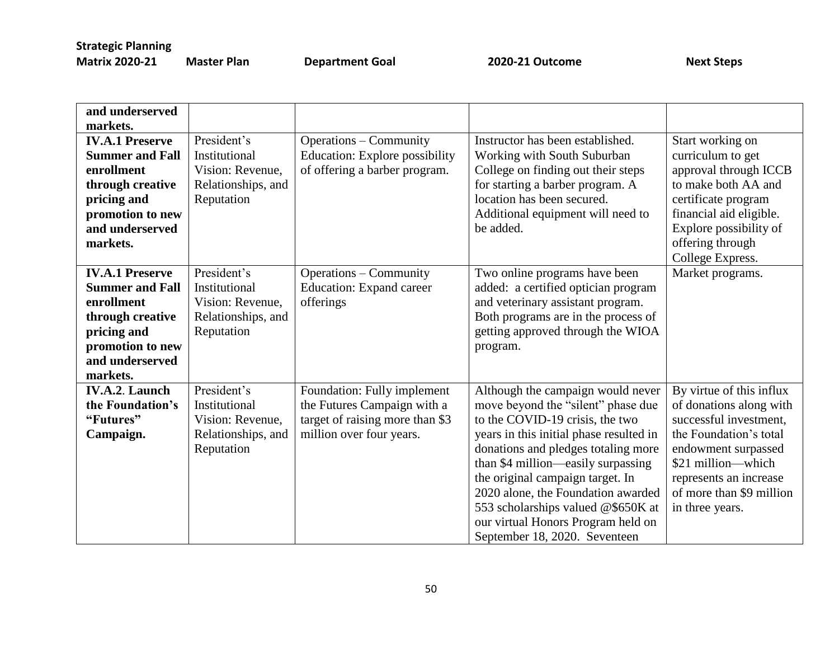**Master Plan Coal 2020-21 Outcome** Next Steps

| and underserved<br>markets.                                                                                                                          |                                                                                      |                                                                                                                           |                                                                                                                                                                                                                                                                                                                                                                                                                           |                                                                                                                                                                                                                               |
|------------------------------------------------------------------------------------------------------------------------------------------------------|--------------------------------------------------------------------------------------|---------------------------------------------------------------------------------------------------------------------------|---------------------------------------------------------------------------------------------------------------------------------------------------------------------------------------------------------------------------------------------------------------------------------------------------------------------------------------------------------------------------------------------------------------------------|-------------------------------------------------------------------------------------------------------------------------------------------------------------------------------------------------------------------------------|
| <b>IV.A.1 Preserve</b><br><b>Summer and Fall</b><br>enrollment<br>through creative<br>pricing and<br>promotion to new<br>and underserved<br>markets. | President's<br>Institutional<br>Vision: Revenue,<br>Relationships, and<br>Reputation | <b>Operations – Community</b><br><b>Education: Explore possibility</b><br>of offering a barber program.                   | Instructor has been established.<br>Working with South Suburban<br>College on finding out their steps<br>for starting a barber program. A<br>location has been secured.<br>Additional equipment will need to<br>be added.                                                                                                                                                                                                 | Start working on<br>curriculum to get<br>approval through ICCB<br>to make both AA and<br>certificate program<br>financial aid eligible.<br>Explore possibility of<br>offering through<br>College Express.                     |
| <b>IV.A.1 Preserve</b><br><b>Summer and Fall</b><br>enrollment<br>through creative<br>pricing and<br>promotion to new<br>and underserved<br>markets. | President's<br>Institutional<br>Vision: Revenue,<br>Relationships, and<br>Reputation | <b>Operations – Community</b><br><b>Education:</b> Expand career<br>offerings                                             | Two online programs have been<br>added: a certified optician program<br>and veterinary assistant program.<br>Both programs are in the process of<br>getting approved through the WIOA<br>program.                                                                                                                                                                                                                         | Market programs.                                                                                                                                                                                                              |
| <b>IV.A.2. Launch</b><br>the Foundation's<br>"Futures"<br>Campaign.                                                                                  | President's<br>Institutional<br>Vision: Revenue,<br>Relationships, and<br>Reputation | Foundation: Fully implement<br>the Futures Campaign with a<br>target of raising more than \$3<br>million over four years. | Although the campaign would never<br>move beyond the "silent" phase due<br>to the COVID-19 crisis, the two<br>years in this initial phase resulted in<br>donations and pledges totaling more<br>than \$4 million—easily surpassing<br>the original campaign target. In<br>2020 alone, the Foundation awarded<br>553 scholarships valued @\$650K at<br>our virtual Honors Program held on<br>September 18, 2020. Seventeen | By virtue of this influx<br>of donations along with<br>successful investment,<br>the Foundation's total<br>endowment surpassed<br>\$21 million—which<br>represents an increase<br>of more than \$9 million<br>in three years. |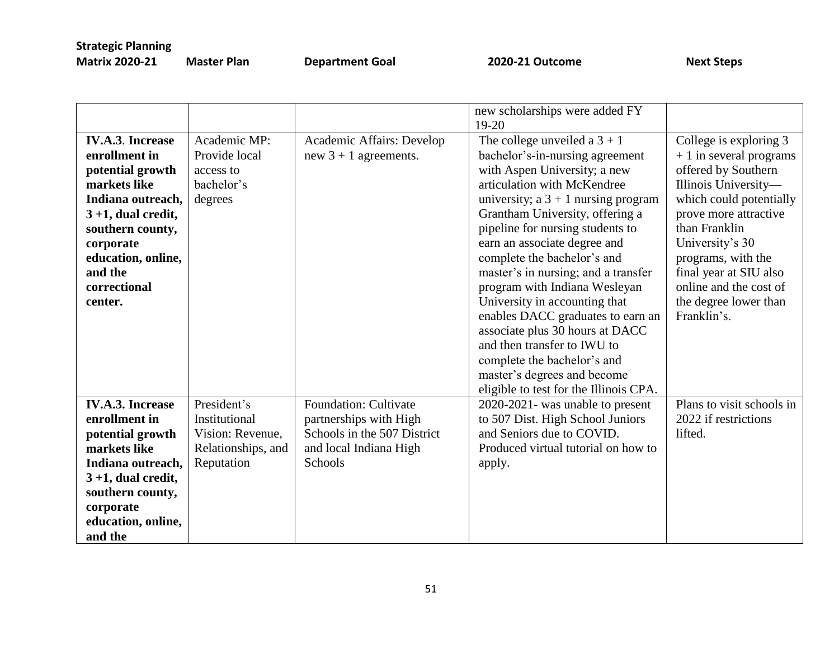|                                                                                                                                                                                                                          |                                                                                      |                                                                                                                            | new scholarships were added FY                                                                                                                                                                                                                                                                                                                                                                                                                                                                                                                                                                                                                        |                                                                                                                                                                                                                                                                                                             |
|--------------------------------------------------------------------------------------------------------------------------------------------------------------------------------------------------------------------------|--------------------------------------------------------------------------------------|----------------------------------------------------------------------------------------------------------------------------|-------------------------------------------------------------------------------------------------------------------------------------------------------------------------------------------------------------------------------------------------------------------------------------------------------------------------------------------------------------------------------------------------------------------------------------------------------------------------------------------------------------------------------------------------------------------------------------------------------------------------------------------------------|-------------------------------------------------------------------------------------------------------------------------------------------------------------------------------------------------------------------------------------------------------------------------------------------------------------|
| <b>IV.A.3. Increase</b><br>enrollment in<br>potential growth<br>markets like<br>Indiana outreach,<br>$3 + 1$ , dual credit,<br>southern county,<br>corporate<br>education, online,<br>and the<br>correctional<br>center. | Academic MP:<br>Provide local<br>access to<br>bachelor's<br>degrees                  | Academic Affairs: Develop<br>new $3 + 1$ agreements.                                                                       | $19-20$<br>The college unveiled a $3 + 1$<br>bachelor's-in-nursing agreement<br>with Aspen University; a new<br>articulation with McKendree<br>university; $a \, 3 + 1$ nursing program<br>Grantham University, offering a<br>pipeline for nursing students to<br>earn an associate degree and<br>complete the bachelor's and<br>master's in nursing; and a transfer<br>program with Indiana Wesleyan<br>University in accounting that<br>enables DACC graduates to earn an<br>associate plus 30 hours at DACC<br>and then transfer to IWU to<br>complete the bachelor's and<br>master's degrees and become<br>eligible to test for the Illinois CPA. | College is exploring 3<br>$+1$ in several programs<br>offered by Southern<br>Illinois University-<br>which could potentially<br>prove more attractive<br>than Franklin<br>University's 30<br>programs, with the<br>final year at SIU also<br>online and the cost of<br>the degree lower than<br>Franklin's. |
| <b>IV.A.3. Increase</b><br>enrollment in<br>potential growth<br>markets like<br>Indiana outreach,<br>$3 + 1$ , dual credit,<br>southern county,<br>corporate<br>education, online,<br>and the                            | President's<br>Institutional<br>Vision: Revenue,<br>Relationships, and<br>Reputation | <b>Foundation: Cultivate</b><br>partnerships with High<br>Schools in the 507 District<br>and local Indiana High<br>Schools | 2020-2021- was unable to present<br>to 507 Dist. High School Juniors<br>and Seniors due to COVID.<br>Produced virtual tutorial on how to<br>apply.                                                                                                                                                                                                                                                                                                                                                                                                                                                                                                    | Plans to visit schools in<br>2022 if restrictions<br>lifted.                                                                                                                                                                                                                                                |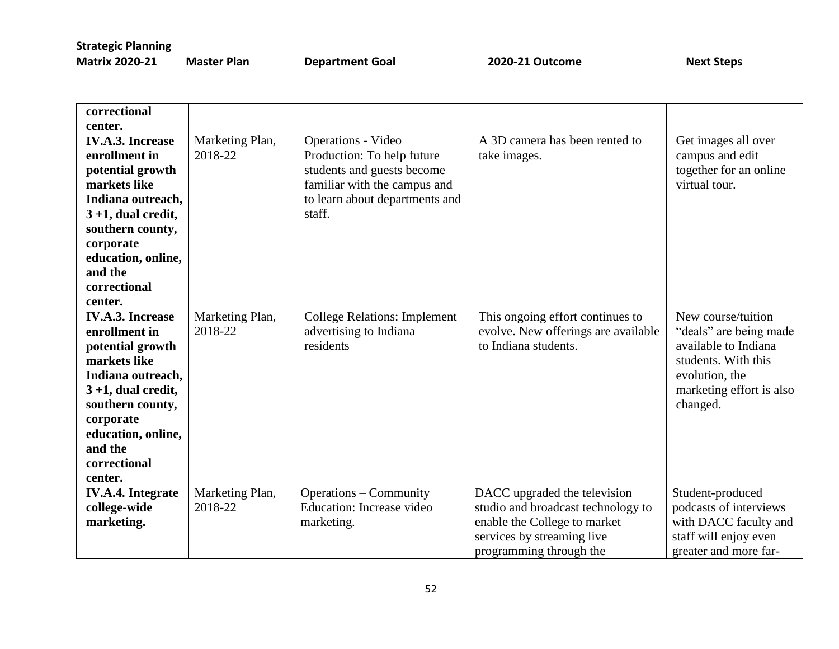| <b>Matrix 2020-21</b> |
|-----------------------|
|-----------------------|

**Mater Plan Coal 2020-21 Outcome** Next Steps

| correctional             |                 |                                     |                                     |                          |
|--------------------------|-----------------|-------------------------------------|-------------------------------------|--------------------------|
| center.                  |                 |                                     |                                     |                          |
| <b>IV.A.3. Increase</b>  | Marketing Plan, | Operations - Video                  | A 3D camera has been rented to      | Get images all over      |
| enrollment in            | 2018-22         | Production: To help future          | take images.                        | campus and edit          |
| potential growth         |                 | students and guests become          |                                     | together for an online   |
| markets like             |                 | familiar with the campus and        |                                     | virtual tour.            |
| Indiana outreach,        |                 | to learn about departments and      |                                     |                          |
| $3 + 1$ , dual credit,   |                 | staff.                              |                                     |                          |
| southern county,         |                 |                                     |                                     |                          |
| corporate                |                 |                                     |                                     |                          |
| education, online,       |                 |                                     |                                     |                          |
| and the                  |                 |                                     |                                     |                          |
| correctional             |                 |                                     |                                     |                          |
| center.                  |                 |                                     |                                     |                          |
| <b>IV.A.3. Increase</b>  | Marketing Plan, | <b>College Relations: Implement</b> | This ongoing effort continues to    | New course/tuition       |
| enrollment in            | 2018-22         | advertising to Indiana              | evolve. New offerings are available | "deals" are being made   |
| potential growth         |                 | residents                           | to Indiana students.                | available to Indiana     |
| markets like             |                 |                                     |                                     | students. With this      |
| Indiana outreach,        |                 |                                     |                                     | evolution, the           |
| $3 + 1$ , dual credit,   |                 |                                     |                                     | marketing effort is also |
| southern county,         |                 |                                     |                                     | changed.                 |
| corporate                |                 |                                     |                                     |                          |
| education, online,       |                 |                                     |                                     |                          |
| and the                  |                 |                                     |                                     |                          |
| correctional             |                 |                                     |                                     |                          |
| center.                  |                 |                                     |                                     |                          |
| <b>IV.A.4.</b> Integrate | Marketing Plan, | <b>Operations – Community</b>       | DACC upgraded the television        | Student-produced         |
| college-wide             | 2018-22         | Education: Increase video           | studio and broadcast technology to  | podcasts of interviews   |
| marketing.               |                 | marketing.                          | enable the College to market        | with DACC faculty and    |
|                          |                 |                                     | services by streaming live          | staff will enjoy even    |
|                          |                 |                                     | programming through the             | greater and more far-    |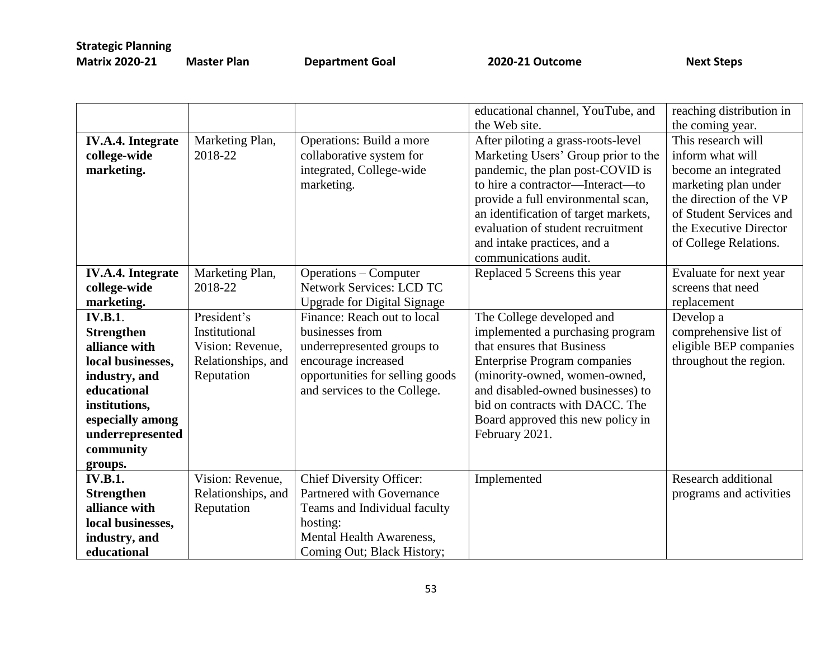| <b>Matrix 2020-21</b> | Mas |
|-----------------------|-----|
|                       |     |

**Man Aries 2020-21 Outcome** Computer Plan Department Goal 2020-21 Outcome Next Steps

|                          |                    |                                    | educational channel, YouTube, and    | reaching distribution in |
|--------------------------|--------------------|------------------------------------|--------------------------------------|--------------------------|
|                          |                    |                                    | the Web site.                        | the coming year.         |
| <b>IV.A.4.</b> Integrate | Marketing Plan,    | <b>Operations:</b> Build a more    | After piloting a grass-roots-level   | This research will       |
| college-wide             | 2018-22            | collaborative system for           | Marketing Users' Group prior to the  | inform what will         |
| marketing.               |                    | integrated, College-wide           | pandemic, the plan post-COVID is     | become an integrated     |
|                          |                    | marketing.                         | to hire a contractor-Interact-to     | marketing plan under     |
|                          |                    |                                    | provide a full environmental scan,   | the direction of the VP  |
|                          |                    |                                    | an identification of target markets, | of Student Services and  |
|                          |                    |                                    | evaluation of student recruitment    | the Executive Director   |
|                          |                    |                                    | and intake practices, and a          | of College Relations.    |
|                          |                    |                                    | communications audit.                |                          |
| <b>IV.A.4.</b> Integrate | Marketing Plan,    | <b>Operations – Computer</b>       | Replaced 5 Screens this year         | Evaluate for next year   |
| college-wide             | 2018-22            | Network Services: LCD TC           |                                      | screens that need        |
| marketing.               |                    | <b>Upgrade for Digital Signage</b> |                                      | replacement              |
| <b>IV.B.1.</b>           | President's        | Finance: Reach out to local        | The College developed and            | Develop a                |
| <b>Strengthen</b>        | Institutional      | businesses from                    | implemented a purchasing program     | comprehensive list of    |
| alliance with            | Vision: Revenue,   | underrepresented groups to         | that ensures that Business           | eligible BEP companies   |
| local businesses,        | Relationships, and | encourage increased                | <b>Enterprise Program companies</b>  | throughout the region.   |
| industry, and            | Reputation         | opportunities for selling goods    | (minority-owned, women-owned,        |                          |
| educational              |                    | and services to the College.       | and disabled-owned businesses) to    |                          |
| institutions,            |                    |                                    | bid on contracts with DACC. The      |                          |
| especially among         |                    |                                    | Board approved this new policy in    |                          |
| underrepresented         |                    |                                    | February 2021.                       |                          |
| community                |                    |                                    |                                      |                          |
| groups.                  |                    |                                    |                                      |                          |
| <b>IV.B.1.</b>           | Vision: Revenue,   | <b>Chief Diversity Officer:</b>    | Implemented                          | Research additional      |
| <b>Strengthen</b>        | Relationships, and | Partnered with Governance          |                                      | programs and activities  |
| alliance with            | Reputation         | Teams and Individual faculty       |                                      |                          |
| local businesses,        |                    | hosting:                           |                                      |                          |
| industry, and            |                    | <b>Mental Health Awareness,</b>    |                                      |                          |
| educational              |                    | Coming Out; Black History;         |                                      |                          |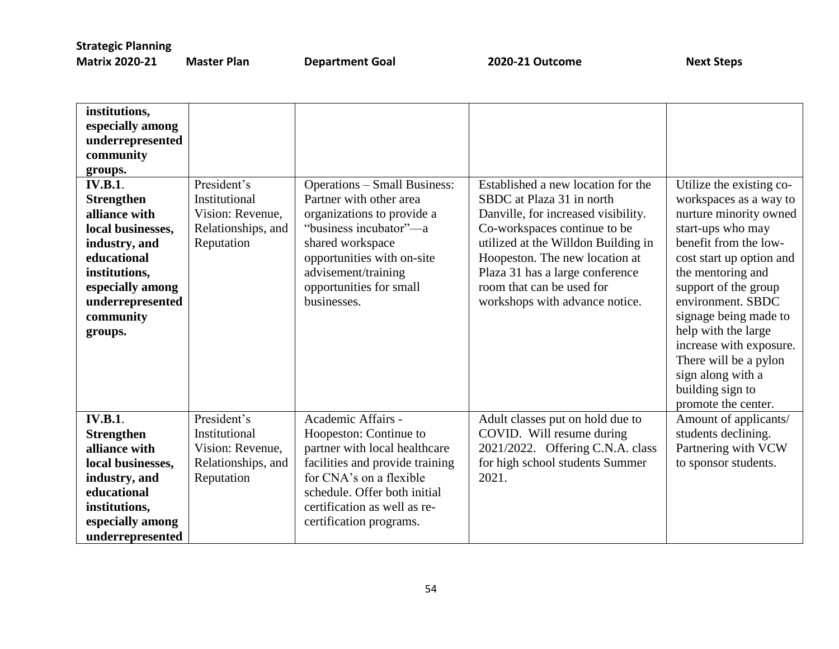| institutions,<br>especially among<br>underrepresented<br>community<br>groups.<br><b>IV.B.1.</b><br><b>Strengthen</b><br>alliance with<br>local businesses,<br>industry, and<br>educational<br>institutions,<br>especially among<br>underrepresented<br>community<br>groups. | President's<br>Institutional<br>Vision: Revenue,<br>Relationships, and<br>Reputation | <b>Operations – Small Business:</b><br>Partner with other area<br>organizations to provide a<br>"business incubator"—a<br>shared workspace<br>opportunities with on-site<br>advisement/training<br>opportunities for small<br>businesses. | Established a new location for the<br>SBDC at Plaza 31 in north<br>Danville, for increased visibility.<br>Co-workspaces continue to be<br>utilized at the Willdon Building in<br>Hoopeston. The new location at<br>Plaza 31 has a large conference<br>room that can be used for<br>workshops with advance notice. | Utilize the existing co-<br>workspaces as a way to<br>nurture minority owned<br>start-ups who may<br>benefit from the low-<br>cost start up option and<br>the mentoring and<br>support of the group<br>environment. SBDC<br>signage being made to<br>help with the large<br>increase with exposure.<br>There will be a pylon<br>sign along with a<br>building sign to |
|-----------------------------------------------------------------------------------------------------------------------------------------------------------------------------------------------------------------------------------------------------------------------------|--------------------------------------------------------------------------------------|-------------------------------------------------------------------------------------------------------------------------------------------------------------------------------------------------------------------------------------------|-------------------------------------------------------------------------------------------------------------------------------------------------------------------------------------------------------------------------------------------------------------------------------------------------------------------|-----------------------------------------------------------------------------------------------------------------------------------------------------------------------------------------------------------------------------------------------------------------------------------------------------------------------------------------------------------------------|
| <b>IV.B.1.</b><br><b>Strengthen</b><br>alliance with<br>local businesses,<br>industry, and<br>educational<br>institutions,<br>especially among<br>underrepresented                                                                                                          | President's<br>Institutional<br>Vision: Revenue,<br>Relationships, and<br>Reputation | Academic Affairs -<br>Hoopeston: Continue to<br>partner with local healthcare<br>facilities and provide training<br>for CNA's on a flexible<br>schedule. Offer both initial<br>certification as well as re-<br>certification programs.    | Adult classes put on hold due to<br>COVID. Will resume during<br>2021/2022. Offering C.N.A. class<br>for high school students Summer<br>2021.                                                                                                                                                                     | promote the center.<br>Amount of applicants/<br>students declining.<br>Partnering with VCW<br>to sponsor students.                                                                                                                                                                                                                                                    |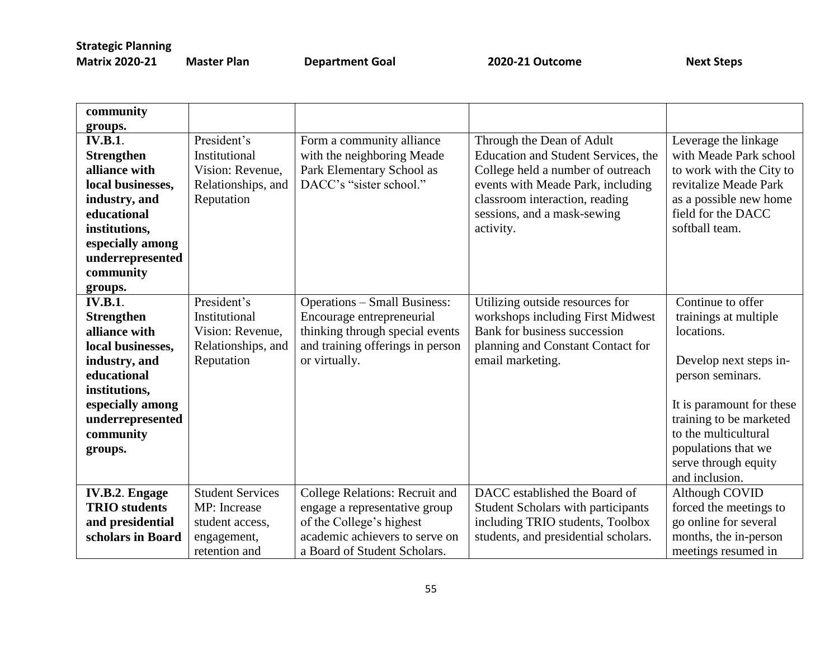| community             |                         |                                     |                                      |                           |
|-----------------------|-------------------------|-------------------------------------|--------------------------------------|---------------------------|
| groups.               |                         |                                     |                                      |                           |
| <b>IV.B.1.</b>        | President's             | Form a community alliance           | Through the Dean of Adult            | Leverage the linkage      |
| <b>Strengthen</b>     | Institutional           | with the neighboring Meade          | Education and Student Services, the  | with Meade Park school    |
| alliance with         | Vision: Revenue,        | Park Elementary School as           | College held a number of outreach    | to work with the City to  |
| local businesses,     |                         | DACC's "sister school."             | events with Meade Park, including    | revitalize Meade Park     |
|                       | Relationships, and      |                                     |                                      |                           |
| industry, and         | Reputation              |                                     | classroom interaction, reading       | as a possible new home    |
| educational           |                         |                                     | sessions, and a mask-sewing          | field for the DACC        |
| institutions,         |                         |                                     | activity.                            | softball team.            |
| especially among      |                         |                                     |                                      |                           |
| underrepresented      |                         |                                     |                                      |                           |
| community             |                         |                                     |                                      |                           |
| groups.               |                         |                                     |                                      |                           |
| <b>IV.B.1.</b>        | President's             | <b>Operations - Small Business:</b> | Utilizing outside resources for      | Continue to offer         |
| <b>Strengthen</b>     | Institutional           | Encourage entrepreneurial           | workshops including First Midwest    | trainings at multiple     |
| alliance with         | Vision: Revenue,        | thinking through special events     | Bank for business succession         | locations.                |
| local businesses,     | Relationships, and      | and training offerings in person    | planning and Constant Contact for    |                           |
| industry, and         | Reputation              | or virtually.                       | email marketing.                     | Develop next steps in-    |
| educational           |                         |                                     |                                      | person seminars.          |
| institutions,         |                         |                                     |                                      |                           |
| especially among      |                         |                                     |                                      | It is paramount for these |
| underrepresented      |                         |                                     |                                      | training to be marketed   |
| community             |                         |                                     |                                      | to the multicultural      |
| groups.               |                         |                                     |                                      | populations that we       |
|                       |                         |                                     |                                      | serve through equity      |
|                       |                         |                                     |                                      | and inclusion.            |
| <b>IV.B.2. Engage</b> | <b>Student Services</b> | College Relations: Recruit and      | DACC established the Board of        | Although COVID            |
| <b>TRIO</b> students  | MP: Increase            | engage a representative group       | Student Scholars with participants   | forced the meetings to    |
| and presidential      | student access,         | of the College's highest            | including TRIO students, Toolbox     | go online for several     |
| scholars in Board     | engagement,             | academic achievers to serve on      | students, and presidential scholars. | months, the in-person     |
|                       | retention and           | a Board of Student Scholars.        |                                      | meetings resumed in       |
|                       |                         |                                     |                                      |                           |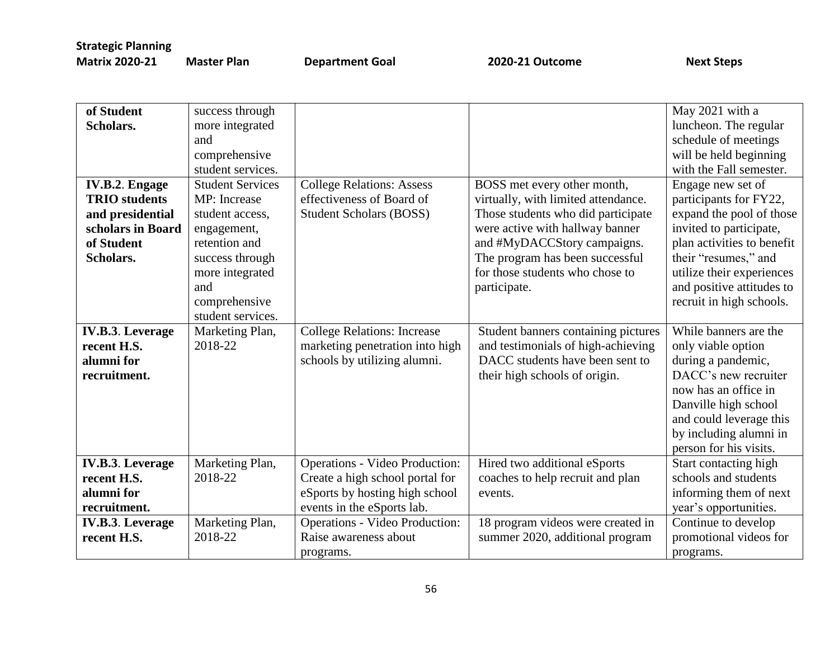| of Student              | success through         |                                       |                                     | May 2021 with a            |
|-------------------------|-------------------------|---------------------------------------|-------------------------------------|----------------------------|
| Scholars.               | more integrated         |                                       |                                     | luncheon. The regular      |
|                         | and                     |                                       |                                     | schedule of meetings       |
|                         | comprehensive           |                                       |                                     | will be held beginning     |
|                         | student services.       |                                       |                                     | with the Fall semester.    |
| <b>IV.B.2. Engage</b>   | <b>Student Services</b> | <b>College Relations: Assess</b>      | BOSS met every other month,         | Engage new set of          |
| <b>TRIO</b> students    | MP: Increase            | effectiveness of Board of             | virtually, with limited attendance. | participants for FY22,     |
| and presidential        | student access,         | <b>Student Scholars (BOSS)</b>        | Those students who did participate  | expand the pool of those   |
| scholars in Board       | engagement,             |                                       | were active with hallway banner     | invited to participate,    |
| of Student              | retention and           |                                       | and #MyDACCStory campaigns.         | plan activities to benefit |
| Scholars.               | success through         |                                       | The program has been successful     | their "resumes," and       |
|                         | more integrated         |                                       | for those students who chose to     | utilize their experiences  |
|                         | and                     |                                       | participate.                        | and positive attitudes to  |
|                         | comprehensive           |                                       |                                     | recruit in high schools.   |
|                         | student services.       |                                       |                                     |                            |
| <b>IV.B.3. Leverage</b> | Marketing Plan,         | <b>College Relations: Increase</b>    | Student banners containing pictures | While banners are the      |
| recent H.S.             | 2018-22                 | marketing penetration into high       | and testimonials of high-achieving  | only viable option         |
| alumni for              |                         | schools by utilizing alumni.          | DACC students have been sent to     | during a pandemic,         |
| recruitment.            |                         |                                       | their high schools of origin.       | DACC's new recruiter       |
|                         |                         |                                       |                                     | now has an office in       |
|                         |                         |                                       |                                     | Danville high school       |
|                         |                         |                                       |                                     | and could leverage this    |
|                         |                         |                                       |                                     | by including alumni in     |
|                         |                         |                                       |                                     | person for his visits.     |
| <b>IV.B.3. Leverage</b> | Marketing Plan,         | <b>Operations - Video Production:</b> | Hired two additional eSports        | Start contacting high      |
| recent H.S.             | 2018-22                 | Create a high school portal for       | coaches to help recruit and plan    | schools and students       |
| alumni for              |                         | eSports by hosting high school        | events.                             | informing them of next     |
| recruitment.            |                         | events in the eSports lab.            |                                     | year's opportunities.      |
| <b>IV.B.3. Leverage</b> | Marketing Plan,         | <b>Operations - Video Production:</b> | 18 program videos were created in   | Continue to develop        |
| recent H.S.             | 2018-22                 | Raise awareness about                 | summer 2020, additional program     | promotional videos for     |
|                         |                         | programs.                             |                                     | programs.                  |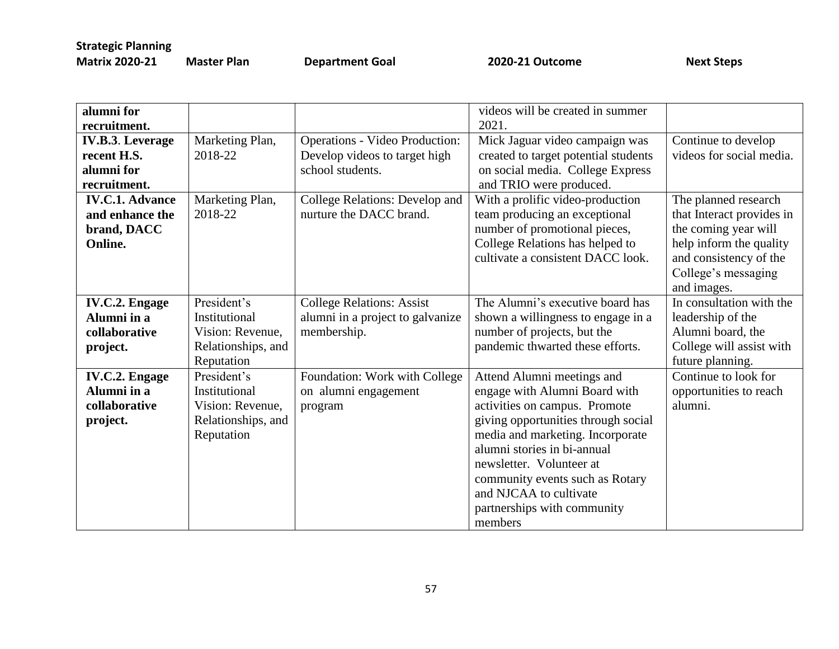**Master Plan Coal 2020-21 Outcome** Next Steps

| alumni for<br>recruitment. |                            |                                                           | videos will be created in summer<br>2021.                              |                           |
|----------------------------|----------------------------|-----------------------------------------------------------|------------------------------------------------------------------------|---------------------------|
| <b>IV.B.3. Leverage</b>    |                            | <b>Operations - Video Production:</b>                     |                                                                        | Continue to develop       |
| recent H.S.                | Marketing Plan,<br>2018-22 | Develop videos to target high                             | Mick Jaguar video campaign was<br>created to target potential students | videos for social media.  |
| alumni for                 |                            | school students.                                          | on social media. College Express                                       |                           |
| recruitment.               |                            |                                                           | and TRIO were produced.                                                |                           |
|                            |                            |                                                           |                                                                        |                           |
| <b>IV.C.1. Advance</b>     | Marketing Plan,<br>2018-22 | College Relations: Develop and<br>nurture the DACC brand. | With a prolific video-production                                       | The planned research      |
| and enhance the            |                            |                                                           | team producing an exceptional                                          | that Interact provides in |
| brand, DACC                |                            |                                                           | number of promotional pieces,                                          | the coming year will      |
| <b>Online.</b>             |                            |                                                           | College Relations has helped to                                        | help inform the quality   |
|                            |                            |                                                           | cultivate a consistent DACC look.                                      | and consistency of the    |
|                            |                            |                                                           |                                                                        | College's messaging       |
|                            |                            |                                                           |                                                                        | and images.               |
| <b>IV.C.2. Engage</b>      | President's                | <b>College Relations: Assist</b>                          | The Alumni's executive board has                                       | In consultation with the  |
| Alumni in a                | Institutional              | alumni in a project to galvanize                          | shown a willingness to engage in a                                     | leadership of the         |
| collaborative              | Vision: Revenue,           | membership.                                               | number of projects, but the                                            | Alumni board, the         |
| project.                   | Relationships, and         |                                                           | pandemic thwarted these efforts.                                       | College will assist with  |
|                            | Reputation                 |                                                           |                                                                        | future planning.          |
| <b>IV.C.2. Engage</b>      | President's                | Foundation: Work with College                             | Attend Alumni meetings and                                             | Continue to look for      |
| Alumni in a                | Institutional              | on alumni engagement                                      | engage with Alumni Board with                                          | opportunities to reach    |
| collaborative              | Vision: Revenue,           | program                                                   | activities on campus. Promote                                          | alumni.                   |
| project.                   | Relationships, and         |                                                           | giving opportunities through social                                    |                           |
|                            | Reputation                 |                                                           | media and marketing. Incorporate                                       |                           |
|                            |                            |                                                           | alumni stories in bi-annual                                            |                           |
|                            |                            |                                                           | newsletter. Volunteer at                                               |                           |
|                            |                            |                                                           | community events such as Rotary                                        |                           |
|                            |                            |                                                           | and NJCAA to cultivate                                                 |                           |
|                            |                            |                                                           | partnerships with community                                            |                           |
|                            |                            |                                                           | members                                                                |                           |